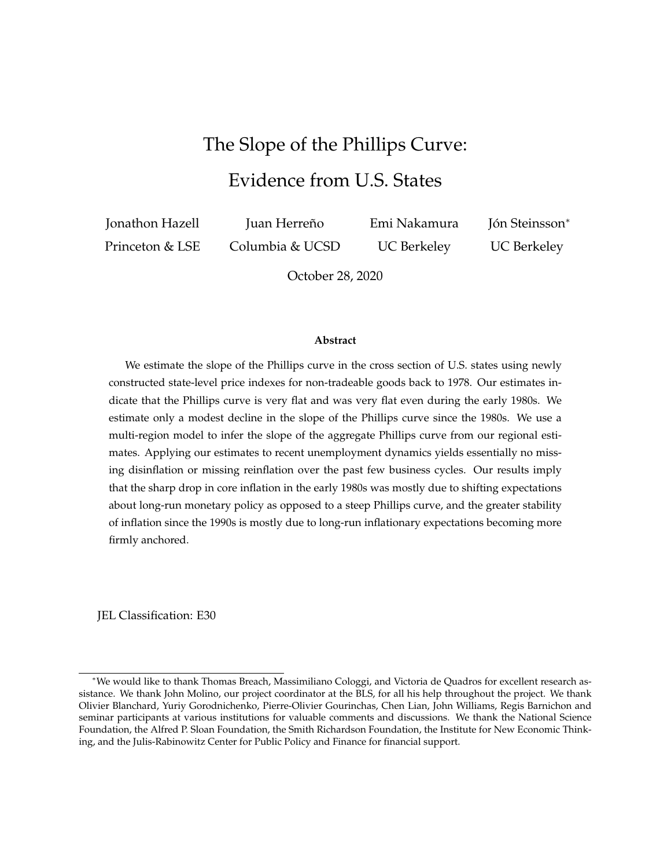# The Slope of the Phillips Curve: Evidence from U.S. States

<span id="page-0-0"></span>Jonathon Hazell Princeton & LSE

Juan Herreño Columbia & UCSD Emi Nakamura UC Berkeley

Jón Steinsson\* UC Berkeley

October 28, 2020

#### **Abstract**

We estimate the slope of the Phillips curve in the cross section of U.S. states using newly constructed state-level price indexes for non-tradeable goods back to 1978. Our estimates indicate that the Phillips curve is very flat and was very flat even during the early 1980s. We estimate only a modest decline in the slope of the Phillips curve since the 1980s. We use a multi-region model to infer the slope of the aggregate Phillips curve from our regional estimates. Applying our estimates to recent unemployment dynamics yields essentially no missing disinflation or missing reinflation over the past few business cycles. Our results imply that the sharp drop in core inflation in the early 1980s was mostly due to shifting expectations about long-run monetary policy as opposed to a steep Phillips curve, and the greater stability of inflation since the 1990s is mostly due to long-run inflationary expectations becoming more firmly anchored.

JEL Classification: E30

<sup>∗</sup>We would like to thank Thomas Breach, Massimiliano Cologgi, and Victoria de Quadros for excellent research assistance. We thank John Molino, our project coordinator at the BLS, for all his help throughout the project. We thank Olivier Blanchard, Yuriy Gorodnichenko, Pierre-Olivier Gourinchas, Chen Lian, John Williams, Regis Barnichon and seminar participants at various institutions for valuable comments and discussions. We thank the National Science Foundation, the Alfred P. Sloan Foundation, the Smith Richardson Foundation, the Institute for New Economic Thinking, and the Julis-Rabinowitz Center for Public Policy and Finance for financial support.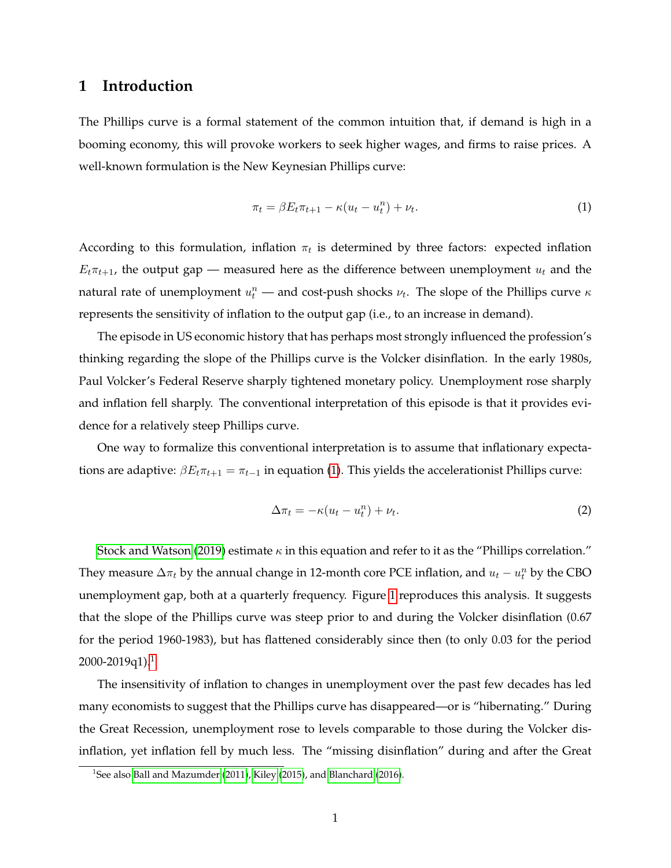# **1 Introduction**

The Phillips curve is a formal statement of the common intuition that, if demand is high in a booming economy, this will provoke workers to seek higher wages, and firms to raise prices. A well-known formulation is the New Keynesian Phillips curve:

<span id="page-1-0"></span>
$$
\pi_t = \beta E_t \pi_{t+1} - \kappa (u_t - u_t^n) + \nu_t. \tag{1}
$$

According to this formulation, inflation  $\pi_t$  is determined by three factors: expected inflation  $E_t\pi_{t+1}$ , the output gap — measured here as the difference between unemployment  $u_t$  and the natural rate of unemployment  $u_t^n$  — and cost-push shocks  $\nu_t$ . The slope of the Phillips curve  $\kappa$ represents the sensitivity of inflation to the output gap (i.e., to an increase in demand).

The episode in US economic history that has perhaps most strongly influenced the profession's thinking regarding the slope of the Phillips curve is the Volcker disinflation. In the early 1980s, Paul Volcker's Federal Reserve sharply tightened monetary policy. Unemployment rose sharply and inflation fell sharply. The conventional interpretation of this episode is that it provides evidence for a relatively steep Phillips curve.

One way to formalize this conventional interpretation is to assume that inflationary expectations are adaptive:  $\beta E_t \pi_{t+1} = \pi_{t-1}$  in equation [\(1\)](#page-1-0). This yields the accelerationist Phillips curve:

$$
\Delta \pi_t = -\kappa (u_t - u_t^n) + \nu_t. \tag{2}
$$

[Stock and Watson](#page-70-0) [\(2019\)](#page-70-0) estimate  $\kappa$  in this equation and refer to it as the "Phillips correlation." They measure  $\Delta \pi_t$  by the annual change in 12-month core PCE inflation, and  $u_t - u_t^n$  by the CBO unemployment gap, both at a quarterly frequency. Figure [1](#page-2-0) reproduces this analysis. It suggests that the slope of the Phillips curve was steep prior to and during the Volcker disinflation (0.67 for the period 1960-1983), but has flattened considerably since then (to only 0.03 for the period  $2000 - 2019q1$  $2000 - 2019q1$  $2000 - 2019q1$ .<sup>1</sup>

The insensitivity of inflation to changes in unemployment over the past few decades has led many economists to suggest that the Phillips curve has disappeared—or is "hibernating." During the Great Recession, unemployment rose to levels comparable to those during the Volcker disinflation, yet inflation fell by much less. The "missing disinflation" during and after the Great

<span id="page-1-1"></span><sup>&</sup>lt;sup>1</sup>See also [Ball and Mazumder](#page-67-0) [\(2011\)](#page-67-0), [Kiley](#page-69-0) [\(2015\)](#page-69-0), and [Blanchard](#page-67-1) [\(2016\)](#page-67-1).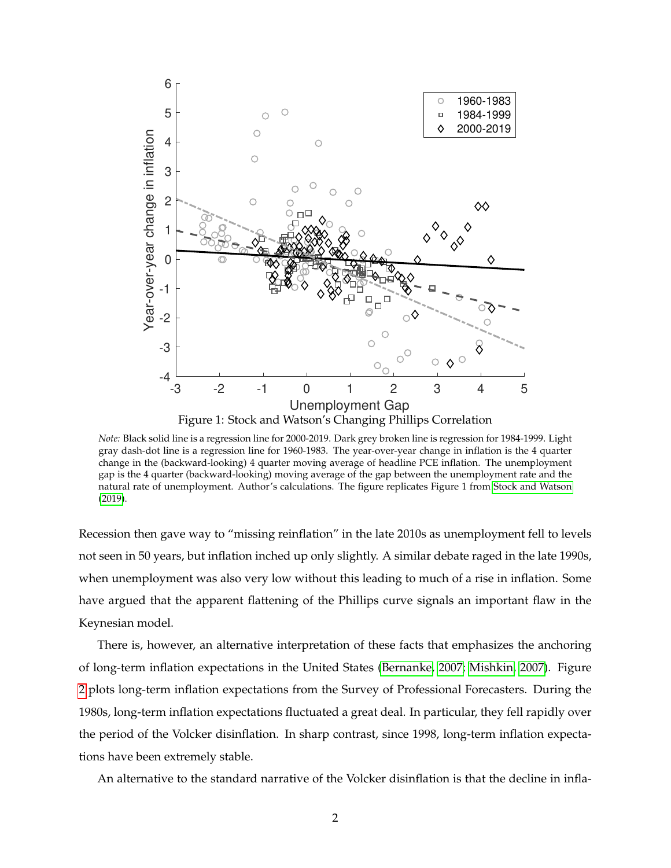<span id="page-2-0"></span>

*Note:* Black solid line is a regression line for 2000-2019. Dark grey broken line is regression for 1984-1999. Light gray dash-dot line is a regression line for 1960-1983. The year-over-year change in inflation is the 4 quarter change in the (backward-looking) 4 quarter moving average of headline PCE inflation. The unemployment gap is the 4 quarter (backward-looking) moving average of the gap between the unemployment rate and the natural rate of unemployment. Author's calculations. The figure replicates Figure 1 from [Stock and Watson](#page-70-0) [\(2019\)](#page-70-0).

Recession then gave way to "missing reinflation" in the late 2010s as unemployment fell to levels not seen in 50 years, but inflation inched up only slightly. A similar debate raged in the late 1990s, when unemployment was also very low without this leading to much of a rise in inflation. Some have argued that the apparent flattening of the Phillips curve signals an important flaw in the Keynesian model.

There is, however, an alternative interpretation of these facts that emphasizes the anchoring of long-term inflation expectations in the United States [\(Bernanke, 2007;](#page-67-2) [Mishkin, 2007\)](#page-69-1). Figure [2](#page-3-0) plots long-term inflation expectations from the Survey of Professional Forecasters. During the 1980s, long-term inflation expectations fluctuated a great deal. In particular, they fell rapidly over the period of the Volcker disinflation. In sharp contrast, since 1998, long-term inflation expectations have been extremely stable.

An alternative to the standard narrative of the Volcker disinflation is that the decline in infla-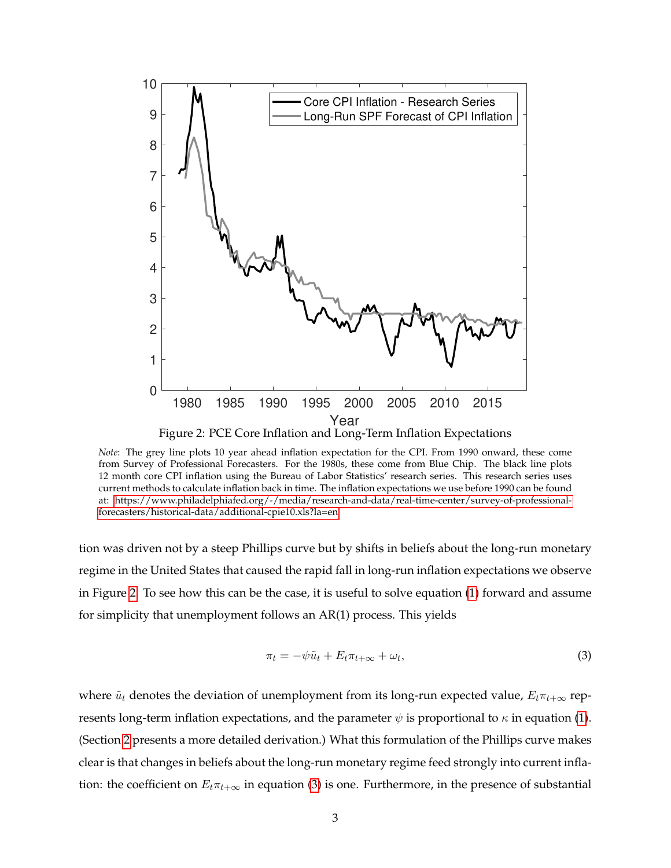<span id="page-3-0"></span>

Figure 2: PCE Core Inflation and Long-Term Inflation Expectations

*Note*: The grey line plots 10 year ahead inflation expectation for the CPI. From 1990 onward, these come from Survey of Professional Forecasters. For the 1980s, these come from Blue Chip. The black line plots 12 month core CPI inflation using the Bureau of Labor Statistics' research series. This research series uses current methods to calculate inflation back in time. The inflation expectations we use before 1990 can be found at: [https://www.philadelphiafed.org/-/media/research-and-data/real-time-center/survey-of-professional](#page-0-0)[forecasters/historical-data/additional-cpie10.xls?la=en](#page-0-0)

tion was driven not by a steep Phillips curve but by shifts in beliefs about the long-run monetary regime in the United States that caused the rapid fall in long-run inflation expectations we observe in Figure [2.](#page-3-0) To see how this can be the case, it is useful to solve equation [\(1\)](#page-1-0) forward and assume for simplicity that unemployment follows an AR(1) process. This yields

<span id="page-3-1"></span>
$$
\pi_t = -\psi \tilde{u}_t + E_t \pi_{t+\infty} + \omega_t, \tag{3}
$$

where  $\tilde{u}_t$  denotes the deviation of unemployment from its long-run expected value,  $E_t\pi_{t+\infty}$  represents long-term inflation expectations, and the parameter  $\psi$  is proportional to  $\kappa$  in equation [\(1\)](#page-1-0). (Section [2](#page-8-0) presents a more detailed derivation.) What this formulation of the Phillips curve makes clear is that changes in beliefs about the long-run monetary regime feed strongly into current inflation: the coefficient on  $E_t\pi_{t+\infty}$  in equation [\(3\)](#page-3-1) is one. Furthermore, in the presence of substantial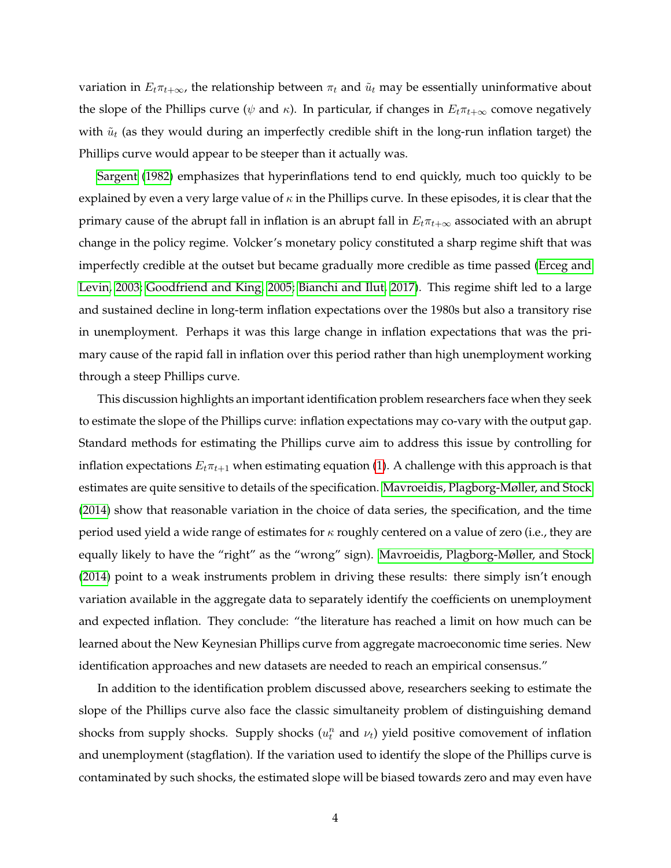variation in  $E_t\pi_{t+\infty}$ , the relationship between  $\pi_t$  and  $\tilde{u}_t$  may be essentially uninformative about the slope of the Phillips curve ( $\psi$  and  $\kappa$ ). In particular, if changes in  $E_t\pi_{t+\infty}$  comove negatively with  $\tilde{u}_t$  (as they would during an imperfectly credible shift in the long-run inflation target) the Phillips curve would appear to be steeper than it actually was.

[Sargent](#page-70-1) [\(1982\)](#page-70-1) emphasizes that hyperinflations tend to end quickly, much too quickly to be explained by even a very large value of  $\kappa$  in the Phillips curve. In these episodes, it is clear that the primary cause of the abrupt fall in inflation is an abrupt fall in  $E_t \pi_{t+\infty}$  associated with an abrupt change in the policy regime. Volcker's monetary policy constituted a sharp regime shift that was imperfectly credible at the outset but became gradually more credible as time passed [\(Erceg and](#page-68-0) [Levin, 2003;](#page-68-0) [Goodfriend and King, 2005;](#page-68-1) [Bianchi and Ilut, 2017\)](#page-67-3). This regime shift led to a large and sustained decline in long-term inflation expectations over the 1980s but also a transitory rise in unemployment. Perhaps it was this large change in inflation expectations that was the primary cause of the rapid fall in inflation over this period rather than high unemployment working through a steep Phillips curve.

This discussion highlights an important identification problem researchers face when they seek to estimate the slope of the Phillips curve: inflation expectations may co-vary with the output gap. Standard methods for estimating the Phillips curve aim to address this issue by controlling for inflation expectations  $E_t\pi_{t+1}$  when estimating equation [\(1\)](#page-1-0). A challenge with this approach is that estimates are quite sensitive to details of the specification. [Mavroeidis, Plagborg-Møller, and Stock](#page-69-2) [\(2014\)](#page-69-2) show that reasonable variation in the choice of data series, the specification, and the time period used yield a wide range of estimates for  $\kappa$  roughly centered on a value of zero (i.e., they are equally likely to have the "right" as the "wrong" sign). [Mavroeidis, Plagborg-Møller, and Stock](#page-69-2) [\(2014\)](#page-69-2) point to a weak instruments problem in driving these results: there simply isn't enough variation available in the aggregate data to separately identify the coefficients on unemployment and expected inflation. They conclude: "the literature has reached a limit on how much can be learned about the New Keynesian Phillips curve from aggregate macroeconomic time series. New identification approaches and new datasets are needed to reach an empirical consensus."

In addition to the identification problem discussed above, researchers seeking to estimate the slope of the Phillips curve also face the classic simultaneity problem of distinguishing demand shocks from supply shocks. Supply shocks  $(u_t^n$  and  $v_t)$  yield positive comovement of inflation and unemployment (stagflation). If the variation used to identify the slope of the Phillips curve is contaminated by such shocks, the estimated slope will be biased towards zero and may even have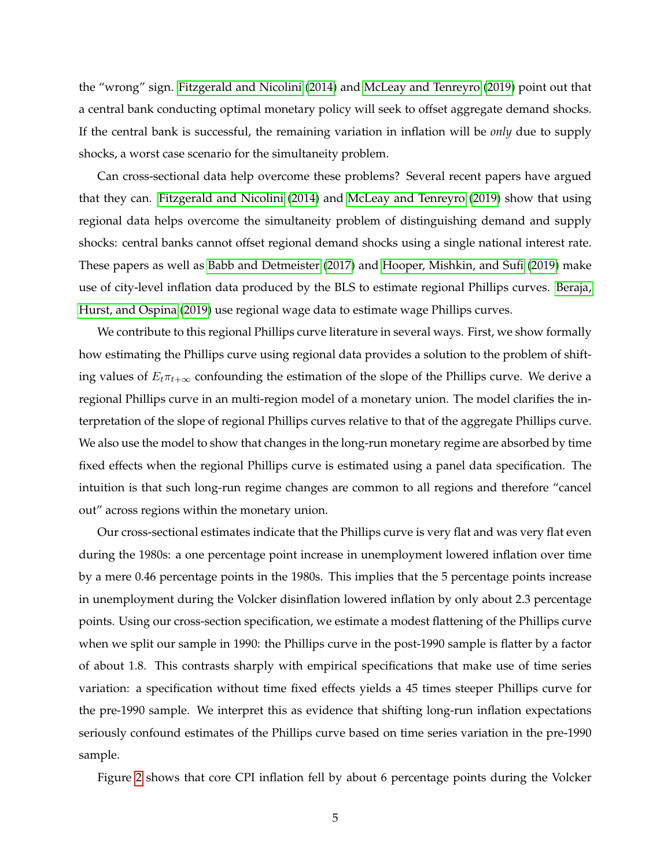the "wrong" sign. [Fitzgerald and Nicolini](#page-68-2) [\(2014\)](#page-68-2) and [McLeay and Tenreyro](#page-69-3) [\(2019\)](#page-69-3) point out that a central bank conducting optimal monetary policy will seek to offset aggregate demand shocks. If the central bank is successful, the remaining variation in inflation will be *only* due to supply shocks, a worst case scenario for the simultaneity problem.

Can cross-sectional data help overcome these problems? Several recent papers have argued that they can. [Fitzgerald and Nicolini](#page-68-2) [\(2014\)](#page-68-2) and [McLeay and Tenreyro](#page-69-3) [\(2019\)](#page-69-3) show that using regional data helps overcome the simultaneity problem of distinguishing demand and supply shocks: central banks cannot offset regional demand shocks using a single national interest rate. These papers as well as [Babb and Detmeister](#page-67-4) [\(2017\)](#page-67-4) and [Hooper, Mishkin, and Sufi](#page-68-3) [\(2019\)](#page-68-3) make use of city-level inflation data produced by the BLS to estimate regional Phillips curves. [Beraja,](#page-67-5) [Hurst, and Ospina](#page-67-5) [\(2019\)](#page-67-5) use regional wage data to estimate wage Phillips curves.

We contribute to this regional Phillips curve literature in several ways. First, we show formally how estimating the Phillips curve using regional data provides a solution to the problem of shifting values of  $E_t\pi_{t+\infty}$  confounding the estimation of the slope of the Phillips curve. We derive a regional Phillips curve in an multi-region model of a monetary union. The model clarifies the interpretation of the slope of regional Phillips curves relative to that of the aggregate Phillips curve. We also use the model to show that changes in the long-run monetary regime are absorbed by time fixed effects when the regional Phillips curve is estimated using a panel data specification. The intuition is that such long-run regime changes are common to all regions and therefore "cancel out" across regions within the monetary union.

Our cross-sectional estimates indicate that the Phillips curve is very flat and was very flat even during the 1980s: a one percentage point increase in unemployment lowered inflation over time by a mere 0.46 percentage points in the 1980s. This implies that the 5 percentage points increase in unemployment during the Volcker disinflation lowered inflation by only about 2.3 percentage points. Using our cross-section specification, we estimate a modest flattening of the Phillips curve when we split our sample in 1990: the Phillips curve in the post-1990 sample is flatter by a factor of about 1.8. This contrasts sharply with empirical specifications that make use of time series variation: a specification without time fixed effects yields a 45 times steeper Phillips curve for the pre-1990 sample. We interpret this as evidence that shifting long-run inflation expectations seriously confound estimates of the Phillips curve based on time series variation in the pre-1990 sample.

Figure [2](#page-3-0) shows that core CPI inflation fell by about 6 percentage points during the Volcker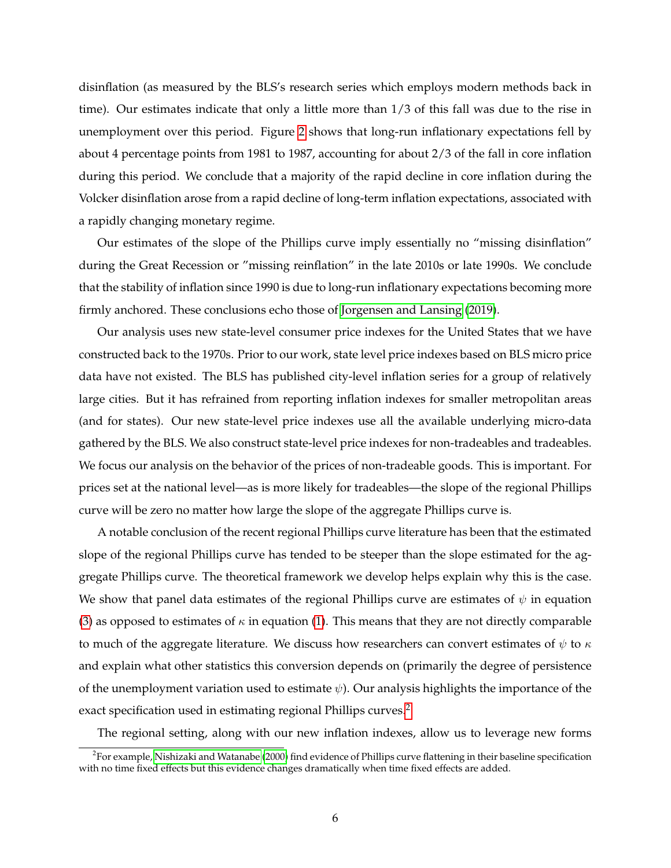disinflation (as measured by the BLS's research series which employs modern methods back in time). Our estimates indicate that only a little more than 1/3 of this fall was due to the rise in unemployment over this period. Figure [2](#page-3-0) shows that long-run inflationary expectations fell by about 4 percentage points from 1981 to 1987, accounting for about 2/3 of the fall in core inflation during this period. We conclude that a majority of the rapid decline in core inflation during the Volcker disinflation arose from a rapid decline of long-term inflation expectations, associated with a rapidly changing monetary regime.

Our estimates of the slope of the Phillips curve imply essentially no "missing disinflation" during the Great Recession or "missing reinflation" in the late 2010s or late 1990s. We conclude that the stability of inflation since 1990 is due to long-run inflationary expectations becoming more firmly anchored. These conclusions echo those of [Jorgensen and Lansing](#page-68-4) [\(2019\)](#page-68-4).

Our analysis uses new state-level consumer price indexes for the United States that we have constructed back to the 1970s. Prior to our work, state level price indexes based on BLS micro price data have not existed. The BLS has published city-level inflation series for a group of relatively large cities. But it has refrained from reporting inflation indexes for smaller metropolitan areas (and for states). Our new state-level price indexes use all the available underlying micro-data gathered by the BLS. We also construct state-level price indexes for non-tradeables and tradeables. We focus our analysis on the behavior of the prices of non-tradeable goods. This is important. For prices set at the national level—as is more likely for tradeables—the slope of the regional Phillips curve will be zero no matter how large the slope of the aggregate Phillips curve is.

A notable conclusion of the recent regional Phillips curve literature has been that the estimated slope of the regional Phillips curve has tended to be steeper than the slope estimated for the aggregate Phillips curve. The theoretical framework we develop helps explain why this is the case. We show that panel data estimates of the regional Phillips curve are estimates of  $\psi$  in equation [\(3\)](#page-3-1) as opposed to estimates of  $\kappa$  in equation [\(1\)](#page-1-0). This means that they are not directly comparable to much of the aggregate literature. We discuss how researchers can convert estimates of  $\psi$  to  $\kappa$ and explain what other statistics this conversion depends on (primarily the degree of persistence of the unemployment variation used to estimate  $\psi$ ). Our analysis highlights the importance of the exact specification used in estimating regional Phillips curves.<sup>[2](#page-6-0)</sup>

The regional setting, along with our new inflation indexes, allow us to leverage new forms

<span id="page-6-0"></span> $^2$ For example, [Nishizaki and Watanabe](#page-69-4) [\(2000\)](#page-69-4) find evidence of Phillips curve flattening in their baseline specification with no time fixed effects but this evidence changes dramatically when time fixed effects are added.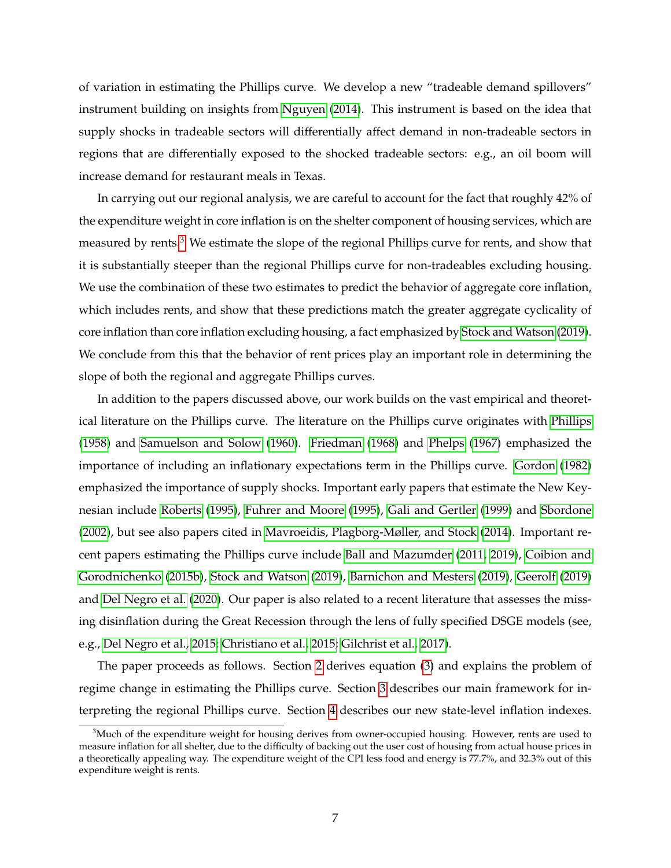of variation in estimating the Phillips curve. We develop a new "tradeable demand spillovers" instrument building on insights from [Nguyen](#page-69-5) [\(2014\)](#page-69-5). This instrument is based on the idea that supply shocks in tradeable sectors will differentially affect demand in non-tradeable sectors in regions that are differentially exposed to the shocked tradeable sectors: e.g., an oil boom will increase demand for restaurant meals in Texas.

In carrying out our regional analysis, we are careful to account for the fact that roughly 42% of the expenditure weight in core inflation is on the shelter component of housing services, which are measured by rents. $3$  We estimate the slope of the regional Phillips curve for rents, and show that it is substantially steeper than the regional Phillips curve for non-tradeables excluding housing. We use the combination of these two estimates to predict the behavior of aggregate core inflation, which includes rents, and show that these predictions match the greater aggregate cyclicality of core inflation than core inflation excluding housing, a fact emphasized by [Stock and Watson](#page-70-0) [\(2019\)](#page-70-0). We conclude from this that the behavior of rent prices play an important role in determining the slope of both the regional and aggregate Phillips curves.

In addition to the papers discussed above, our work builds on the vast empirical and theoretical literature on the Phillips curve. The literature on the Phillips curve originates with [Phillips](#page-69-6) [\(1958\)](#page-69-6) and [Samuelson and Solow](#page-70-2) [\(1960\)](#page-70-2). [Friedman](#page-68-5) [\(1968\)](#page-68-5) and [Phelps](#page-69-7) [\(1967\)](#page-69-7) emphasized the importance of including an inflationary expectations term in the Phillips curve. [Gordon](#page-68-6) [\(1982\)](#page-68-6) emphasized the importance of supply shocks. Important early papers that estimate the New Keynesian include [Roberts](#page-69-8) [\(1995\)](#page-69-8), [Fuhrer and Moore](#page-68-7) [\(1995\)](#page-68-7), [Gali and Gertler](#page-68-8) [\(1999\)](#page-68-8) and [Sbordone](#page-70-3) [\(2002\)](#page-70-3), but see also papers cited in [Mavroeidis, Plagborg-Møller, and Stock](#page-69-2) [\(2014\)](#page-69-2). Important recent papers estimating the Phillips curve include [Ball and Mazumder](#page-67-0) [\(2011,](#page-67-0) [2019\)](#page-67-6), [Coibion and](#page-67-7) [Gorodnichenko](#page-67-7) [\(2015b\)](#page-67-7), [Stock and Watson](#page-70-0) [\(2019\)](#page-70-0), [Barnichon and Mesters](#page-67-8) [\(2019\)](#page-67-8), [Geerolf](#page-68-9) [\(2019\)](#page-68-9) and [Del Negro et al.](#page-68-10) [\(2020\)](#page-68-10). Our paper is also related to a recent literature that assesses the missing disinflation during the Great Recession through the lens of fully specified DSGE models (see, e.g., [Del Negro et al., 2015;](#page-68-11) [Christiano et al., 2015;](#page-67-9) [Gilchrist et al., 2017\)](#page-68-12).

The paper proceeds as follows. Section [2](#page-8-0) derives equation [\(3\)](#page-3-1) and explains the problem of regime change in estimating the Phillips curve. Section [3](#page-11-0) describes our main framework for interpreting the regional Phillips curve. Section [4](#page-23-0) describes our new state-level inflation indexes.

<span id="page-7-0"></span> $3$ Much of the expenditure weight for housing derives from owner-occupied housing. However, rents are used to measure inflation for all shelter, due to the difficulty of backing out the user cost of housing from actual house prices in a theoretically appealing way. The expenditure weight of the CPI less food and energy is 77.7%, and 32.3% out of this expenditure weight is rents.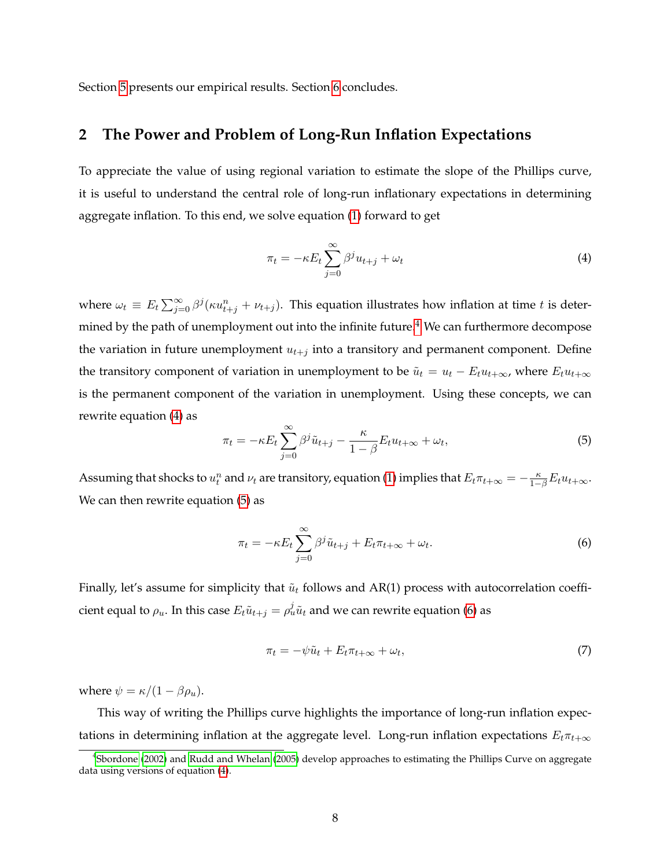Section [5](#page-27-0) presents our empirical results. Section [6](#page-41-0) concludes.

## <span id="page-8-0"></span>**2 The Power and Problem of Long-Run Inflation Expectations**

To appreciate the value of using regional variation to estimate the slope of the Phillips curve, it is useful to understand the central role of long-run inflationary expectations in determining aggregate inflation. To this end, we solve equation [\(1\)](#page-1-0) forward to get

<span id="page-8-2"></span>
$$
\pi_t = -\kappa E_t \sum_{j=0}^{\infty} \beta^j u_{t+j} + \omega_t \tag{4}
$$

where  $\omega_t \equiv E_t \sum_{j=0}^{\infty} \beta^j (\kappa u_{t+j}^n + \nu_{t+j}).$  This equation illustrates how inflation at time t is deter-mined by the path of unemployment out into the infinite future.<sup>[4](#page-8-1)</sup> We can furthermore decompose the variation in future unemployment  $u_{t+j}$  into a transitory and permanent component. Define the transitory component of variation in unemployment to be  $\tilde{u}_t = u_t - E_t u_{t+\infty}$ , where  $E_t u_{t+\infty}$ is the permanent component of the variation in unemployment. Using these concepts, we can rewrite equation [\(4\)](#page-8-2) as

<span id="page-8-3"></span>
$$
\pi_t = -\kappa E_t \sum_{j=0}^{\infty} \beta^j \tilde{u}_{t+j} - \frac{\kappa}{1-\beta} E_t u_{t+\infty} + \omega_t,
$$
\n(5)

Assuming that shocks to  $u_t^n$  and  $\nu_t$  are transitory, equation [\(1\)](#page-1-0) implies that  $E_t\pi_{t+\infty} = -\frac{\kappa}{1-\beta}E_t u_{t+\infty}$ . We can then rewrite equation [\(5\)](#page-8-3) as

<span id="page-8-4"></span>
$$
\pi_t = -\kappa E_t \sum_{j=0}^{\infty} \beta^j \tilde{u}_{t+j} + E_t \pi_{t+\infty} + \omega_t.
$$
 (6)

Finally, let's assume for simplicity that  $\tilde{u}_t$  follows and AR(1) process with autocorrelation coefficient equal to  $\rho_u$ . In this case  $E_t\tilde{u}_{t+j}=\rho^j_u\tilde{u}_t$  and we can rewrite equation [\(6\)](#page-8-4) as

<span id="page-8-5"></span>
$$
\pi_t = -\psi \tilde{u}_t + E_t \pi_{t+\infty} + \omega_t, \tag{7}
$$

where  $\psi = \kappa/(1 - \beta \rho_u)$ .

This way of writing the Phillips curve highlights the importance of long-run inflation expectations in determining inflation at the aggregate level. Long-run inflation expectations  $E_t \pi_{t+\infty}$ 

<span id="page-8-1"></span><sup>4</sup> [Sbordone](#page-70-3) [\(2002\)](#page-70-3) and [Rudd and Whelan](#page-70-4) [\(2005\)](#page-70-4) develop approaches to estimating the Phillips Curve on aggregate data using versions of equation [\(4\)](#page-8-2).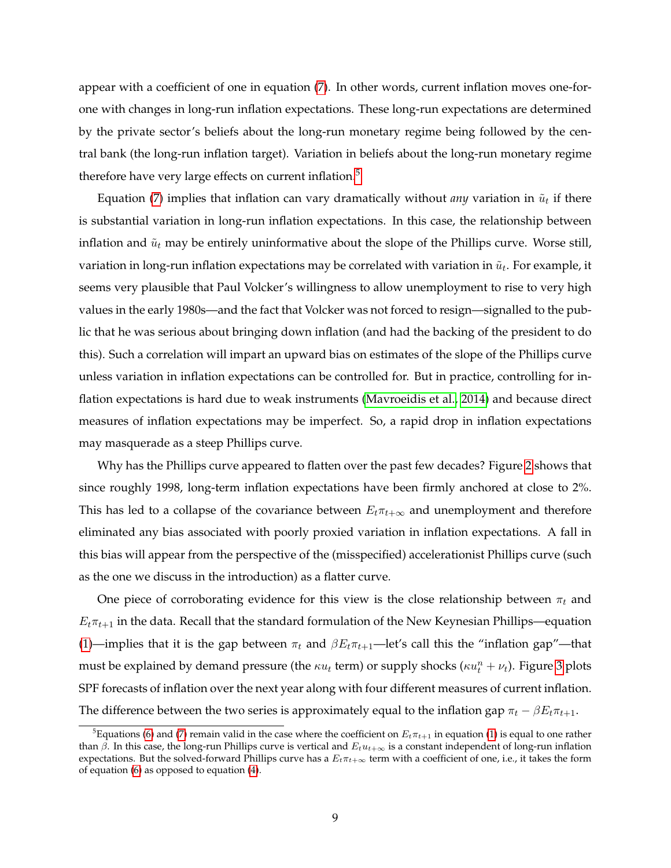appear with a coefficient of one in equation [\(7\)](#page-8-5). In other words, current inflation moves one-forone with changes in long-run inflation expectations. These long-run expectations are determined by the private sector's beliefs about the long-run monetary regime being followed by the central bank (the long-run inflation target). Variation in beliefs about the long-run monetary regime therefore have very large effects on current inflation.<sup>[5](#page-9-0)</sup>

Equation [\(7\)](#page-8-5) implies that inflation can vary dramatically without *any* variation in  $\tilde{u}_t$  if there is substantial variation in long-run inflation expectations. In this case, the relationship between inflation and  $\tilde{u}_t$  may be entirely uninformative about the slope of the Phillips curve. Worse still, variation in long-run inflation expectations may be correlated with variation in  $\tilde{u}_t$ . For example, it seems very plausible that Paul Volcker's willingness to allow unemployment to rise to very high values in the early 1980s—and the fact that Volcker was not forced to resign—signalled to the public that he was serious about bringing down inflation (and had the backing of the president to do this). Such a correlation will impart an upward bias on estimates of the slope of the Phillips curve unless variation in inflation expectations can be controlled for. But in practice, controlling for inflation expectations is hard due to weak instruments [\(Mavroeidis et al., 2014\)](#page-69-2) and because direct measures of inflation expectations may be imperfect. So, a rapid drop in inflation expectations may masquerade as a steep Phillips curve.

Why has the Phillips curve appeared to flatten over the past few decades? Figure [2](#page-3-0) shows that since roughly 1998, long-term inflation expectations have been firmly anchored at close to 2%. This has led to a collapse of the covariance between  $E_t \pi_{t+\infty}$  and unemployment and therefore eliminated any bias associated with poorly proxied variation in inflation expectations. A fall in this bias will appear from the perspective of the (misspecified) accelerationist Phillips curve (such as the one we discuss in the introduction) as a flatter curve.

One piece of corroborating evidence for this view is the close relationship between  $\pi_t$  and  $E_t\pi_{t+1}$  in the data. Recall that the standard formulation of the New Keynesian Phillips—equation [\(1\)](#page-1-0)—implies that it is the gap between  $\pi_t$  and  $\beta E_t \pi_{t+1}$ —let's call this the "inflation gap"—that must be explained by demand pressure (the  $\kappa u_t$  term) or supply shocks ( $\kappa u_t^n + \nu_t$ ). Figure [3](#page-10-0) plots SPF forecasts of inflation over the next year along with four different measures of current inflation. The difference between the two series is approximately equal to the inflation gap  $\pi_t - \beta E_t \pi_{t+1}$ .

<span id="page-9-0"></span><sup>&</sup>lt;sup>5</sup>Equations [\(6\)](#page-8-4) and [\(7\)](#page-8-5) remain valid in the case where the coefficient on  $E_t\pi_{t+1}$  in equation [\(1\)](#page-1-0) is equal to one rather than  $\beta$ . In this case, the long-run Phillips curve is vertical and  $E_t u_{t+\infty}$  is a constant independent of long-run inflation expectations. But the solved-forward Phillips curve has a  $E_t\pi_{t+\infty}$  term with a coefficient of one, i.e., it takes the form of equation [\(6\)](#page-8-4) as opposed to equation [\(4\)](#page-8-2).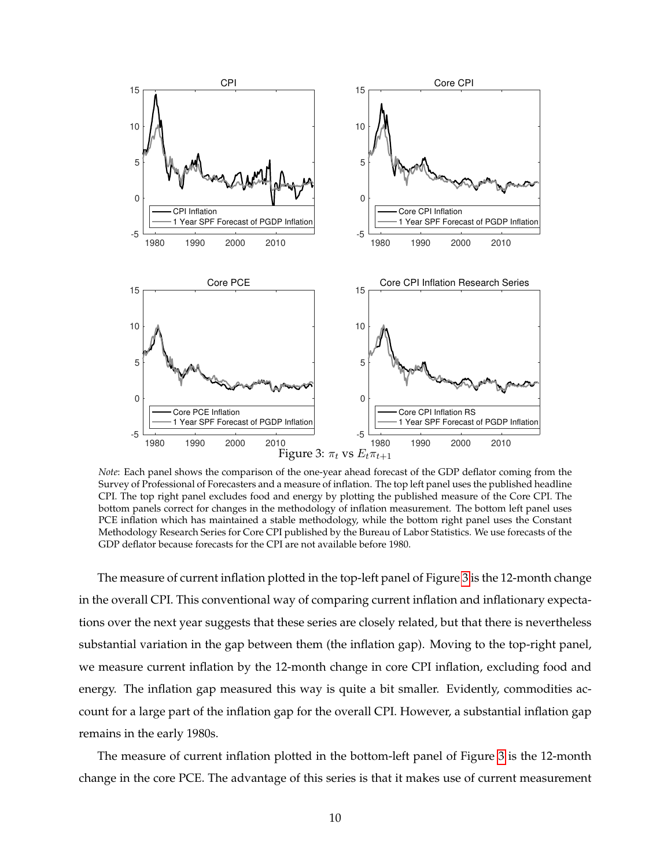<span id="page-10-0"></span>

*Note*: Each panel shows the comparison of the one-year ahead forecast of the GDP deflator coming from the Survey of Professional of Forecasters and a measure of inflation. The top left panel uses the published headline CPI. The top right panel excludes food and energy by plotting the published measure of the Core CPI. The bottom panels correct for changes in the methodology of inflation measurement. The bottom left panel uses PCE inflation which has maintained a stable methodology, while the bottom right panel uses the Constant Methodology Research Series for Core CPI published by the Bureau of Labor Statistics. We use forecasts of the GDP deflator because forecasts for the CPI are not available before 1980.

The measure of current inflation plotted in the top-left panel of Figure [3](#page-10-0) is the 12-month change in the overall CPI. This conventional way of comparing current inflation and inflationary expectations over the next year suggests that these series are closely related, but that there is nevertheless substantial variation in the gap between them (the inflation gap). Moving to the top-right panel, we measure current inflation by the 12-month change in core CPI inflation, excluding food and energy. The inflation gap measured this way is quite a bit smaller. Evidently, commodities account for a large part of the inflation gap for the overall CPI. However, a substantial inflation gap remains in the early 1980s.

The measure of current inflation plotted in the bottom-left panel of Figure [3](#page-10-0) is the 12-month change in the core PCE. The advantage of this series is that it makes use of current measurement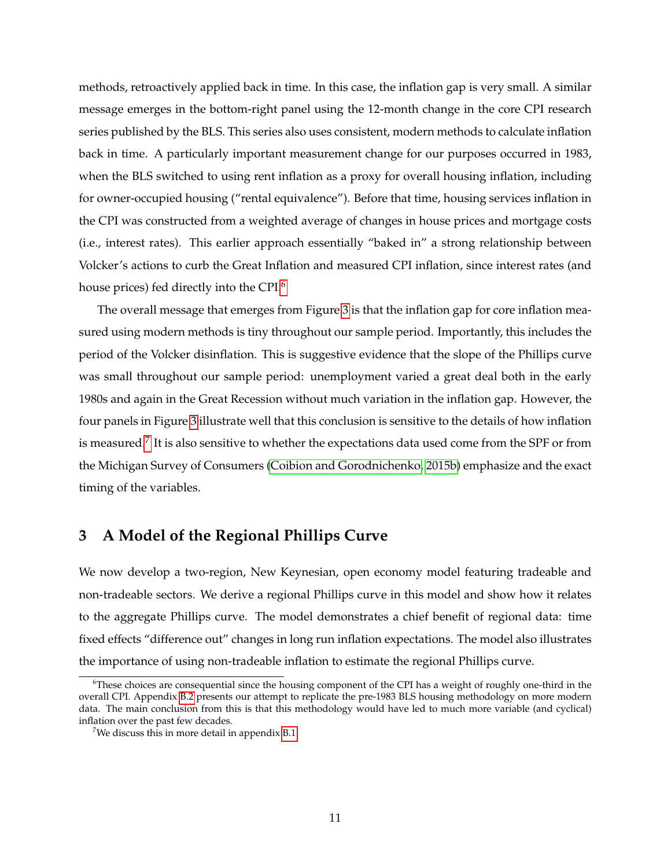methods, retroactively applied back in time. In this case, the inflation gap is very small. A similar message emerges in the bottom-right panel using the 12-month change in the core CPI research series published by the BLS. This series also uses consistent, modern methods to calculate inflation back in time. A particularly important measurement change for our purposes occurred in 1983, when the BLS switched to using rent inflation as a proxy for overall housing inflation, including for owner-occupied housing ("rental equivalence"). Before that time, housing services inflation in the CPI was constructed from a weighted average of changes in house prices and mortgage costs (i.e., interest rates). This earlier approach essentially "baked in" a strong relationship between Volcker's actions to curb the Great Inflation and measured CPI inflation, since interest rates (and house prices) fed directly into the CPI.[6](#page-11-1)

The overall message that emerges from Figure [3](#page-10-0) is that the inflation gap for core inflation measured using modern methods is tiny throughout our sample period. Importantly, this includes the period of the Volcker disinflation. This is suggestive evidence that the slope of the Phillips curve was small throughout our sample period: unemployment varied a great deal both in the early 1980s and again in the Great Recession without much variation in the inflation gap. However, the four panels in Figure [3](#page-10-0) illustrate well that this conclusion is sensitive to the details of how inflation is measured. $^7$  $^7$  It is also sensitive to whether the expectations data used come from the SPF or from the Michigan Survey of Consumers [\(Coibion and Gorodnichenko, 2015b\)](#page-67-7) emphasize and the exact timing of the variables.

## <span id="page-11-0"></span>**3 A Model of the Regional Phillips Curve**

We now develop a two-region, New Keynesian, open economy model featuring tradeable and non-tradeable sectors. We derive a regional Phillips curve in this model and show how it relates to the aggregate Phillips curve. The model demonstrates a chief benefit of regional data: time fixed effects "difference out" changes in long run inflation expectations. The model also illustrates the importance of using non-tradeable inflation to estimate the regional Phillips curve.

<span id="page-11-1"></span><sup>6</sup>These choices are consequential since the housing component of the CPI has a weight of roughly one-third in the overall CPI. Appendix [B.2](#page-60-0) presents our attempt to replicate the pre-1983 BLS housing methodology on more modern data. The main conclusion from this is that this methodology would have led to much more variable (and cyclical) inflation over the past few decades.

<span id="page-11-2"></span><sup>&</sup>lt;sup>7</sup>We discuss this in more detail in appendix [B.1.](#page-59-0)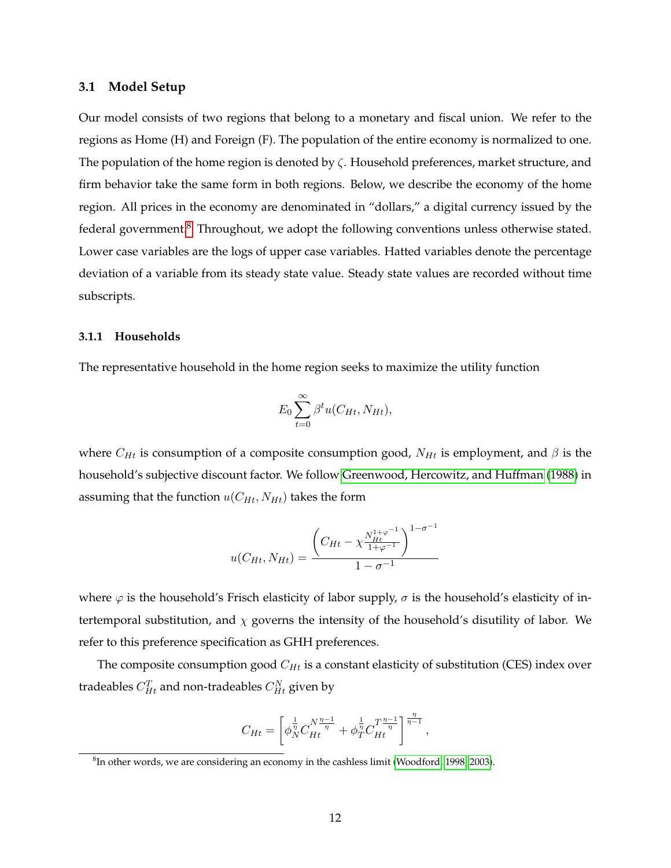#### <span id="page-12-1"></span>**3.1 Model Setup**

Our model consists of two regions that belong to a monetary and fiscal union. We refer to the regions as Home (H) and Foreign (F). The population of the entire economy is normalized to one. The population of the home region is denoted by  $\zeta$ . Household preferences, market structure, and firm behavior take the same form in both regions. Below, we describe the economy of the home region. All prices in the economy are denominated in "dollars," a digital currency issued by the federal government.<sup>[8](#page-12-0)</sup> Throughout, we adopt the following conventions unless otherwise stated. Lower case variables are the logs of upper case variables. Hatted variables denote the percentage deviation of a variable from its steady state value. Steady state values are recorded without time subscripts.

#### **3.1.1 Households**

The representative household in the home region seeks to maximize the utility function

$$
E_0 \sum_{t=0}^{\infty} \beta^t u(C_{Ht}, N_{Ht}),
$$

where  $C_{Ht}$  is consumption of a composite consumption good,  $N_{Ht}$  is employment, and  $\beta$  is the household's subjective discount factor. We follow [Greenwood, Hercowitz, and Huffman](#page-68-13) [\(1988\)](#page-68-13) in assuming that the function  $u(C_{Ht}, N_{Ht})$  takes the form

$$
u(C_{Ht}, N_{Ht}) = \frac{\left(C_{Ht} - \chi_{\frac{Ht}{1+\varphi^{-1}}}^{N_{Ht}^{1+\varphi^{-1}}}\right)^{1-\sigma^{-1}}}{1-\sigma^{-1}}
$$

where  $\varphi$  is the household's Frisch elasticity of labor supply,  $\sigma$  is the household's elasticity of intertemporal substitution, and  $\chi$  governs the intensity of the household's disutility of labor. We refer to this preference specification as GHH preferences.

The composite consumption good  $C_{Ht}$  is a constant elasticity of substitution (CES) index over tradeables  $C_{Ht}^T$  and non-tradeables  $C_{Ht}^N$  given by

$$
C_{Ht} = \left[ \phi_N^{\frac{1}{\eta}} C_{Ht}^{N \frac{\eta - 1}{\eta}} + \phi_T^{\frac{1}{\eta}} C_{Ht}^{T \frac{\eta - 1}{\eta}} \right]^{\frac{\eta}{\eta - 1}},
$$

<span id="page-12-0"></span> ${}^{8}$ In other words, we are considering an economy in the cashless limit [\(Woodford, 1998,](#page-70-5) [2003\)](#page-70-6).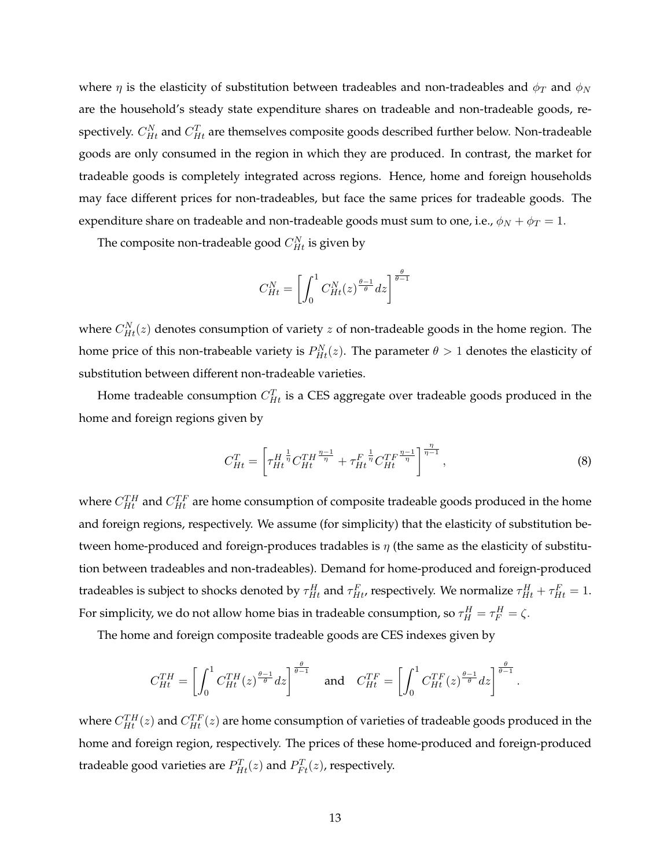where  $\eta$  is the elasticity of substitution between tradeables and non-tradeables and  $\phi_T$  and  $\phi_N$ are the household's steady state expenditure shares on tradeable and non-tradeable goods, respectively.  $C_{Ht}^{N}$  and  $C_{Ht}^{T}$  are themselves composite goods described further below. Non-tradeable goods are only consumed in the region in which they are produced. In contrast, the market for tradeable goods is completely integrated across regions. Hence, home and foreign households may face different prices for non-tradeables, but face the same prices for tradeable goods. The expenditure share on tradeable and non-tradeable goods must sum to one, i.e.,  $\phi_N + \phi_T = 1$ .

The composite non-tradeable good  $C_{Ht}^N$  is given by

$$
C_{Ht}^N = \left[ \int_0^1 C_{Ht}^N(z)^{\frac{\theta-1}{\theta}}dz \right]^{\frac{\theta}{\theta-1}}
$$

where  $C_{Ht}^{N}(z)$  denotes consumption of variety  $z$  of non-tradeable goods in the home region. The home price of this non-trabeable variety is  $P_{Ht}^{N}(z)$ . The parameter  $\theta > 1$  denotes the elasticity of substitution between different non-tradeable varieties.

Home tradeable consumption  $C_{Ht}^T$  is a CES aggregate over tradeable goods produced in the home and foreign regions given by

$$
C_{Ht}^{T} = \left[ \tau_{Ht}^{H \frac{1}{\eta}} C_{Ht}^{TH \frac{\eta - 1}{\eta}} + \tau_{Ht}^{F \frac{1}{\eta}} C_{Ht}^{TF \frac{\eta - 1}{\eta}} \right]^{\frac{\eta}{\eta - 1}},
$$
\n(8)

.

where  $C_{Ht}^{TH}$  and  $C_{Ht}^{TF}$  are home consumption of composite tradeable goods produced in the home and foreign regions, respectively. We assume (for simplicity) that the elasticity of substitution between home-produced and foreign-produces tradables is  $\eta$  (the same as the elasticity of substitution between tradeables and non-tradeables). Demand for home-produced and foreign-produced tradeables is subject to shocks denoted by  $\tau_{Ht}^H$  and  $\tau_{Ht}^F$ , respectively. We normalize  $\tau_{Ht}^H+\tau_{Ht}^F=1.$ For simplicity, we do not allow home bias in tradeable consumption, so  $\tau_H^H = \tau_F^H = \zeta$ .

The home and foreign composite tradeable goods are CES indexes given by

$$
C_{Ht}^{TH} = \left[ \int_0^1 C_{Ht}^{TH}(z)^{\frac{\theta-1}{\theta}} dz \right]^{\frac{\theta}{\theta-1}} \quad \text{and} \quad C_{Ht}^{TF} = \left[ \int_0^1 C_{Ht}^{TF}(z)^{\frac{\theta-1}{\theta}} dz \right]^{\frac{\theta}{\theta-1}}
$$

where  $C_{Ht}^{TH}(z)$  and  $C_{Ht}^{TF}(z)$  are home consumption of varieties of tradeable goods produced in the home and foreign region, respectively. The prices of these home-produced and foreign-produced tradeable good varieties are  $P_{Ht}^T(z)$  and  $P_{Ft}^T(z)$ , respectively.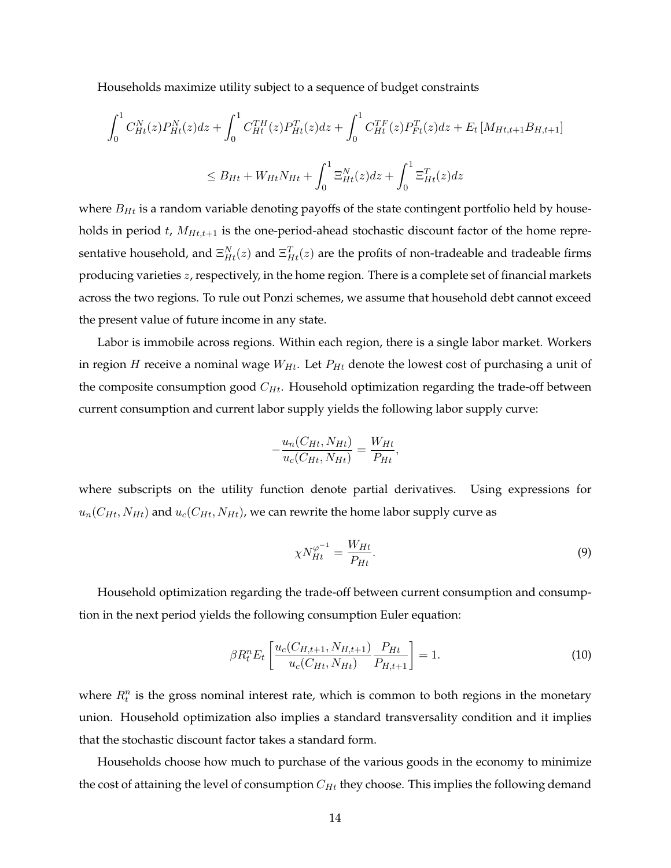Households maximize utility subject to a sequence of budget constraints

$$
\int_{0}^{1} C_{Ht}^{N}(z) P_{Ht}^{N}(z) dz + \int_{0}^{1} C_{Ht}^{TH}(z) P_{Ht}^{T}(z) dz + \int_{0}^{1} C_{Ht}^{TF}(z) P_{Ft}^{T}(z) dz + E_{t} \left[ M_{Ht,t+1} B_{H,t+1} \right]
$$
  

$$
\leq B_{Ht} + W_{Ht} N_{Ht} + \int_{0}^{1} \Xi_{Ht}^{N}(z) dz + \int_{0}^{1} \Xi_{Ht}^{T}(z) dz
$$

where  $B_{Ht}$  is a random variable denoting payoffs of the state contingent portfolio held by households in period t,  $M_{Ht,t+1}$  is the one-period-ahead stochastic discount factor of the home representative household, and  $\Xi_{Ht}^N(z)$  and  $\Xi_{Ht}^T(z)$  are the profits of non-tradeable and tradeable firms producing varieties z, respectively, in the home region. There is a complete set of financial markets across the two regions. To rule out Ponzi schemes, we assume that household debt cannot exceed the present value of future income in any state.

Labor is immobile across regions. Within each region, there is a single labor market. Workers in region H receive a nominal wage  $W_{Ht}$ . Let  $P_{Ht}$  denote the lowest cost of purchasing a unit of the composite consumption good  $C_{Ht}$ . Household optimization regarding the trade-off between current consumption and current labor supply yields the following labor supply curve:

$$
-\frac{u_n(C_{Ht}, N_{Ht})}{u_c(C_{Ht}, N_{Ht})} = \frac{W_{Ht}}{P_{Ht}},
$$

where subscripts on the utility function denote partial derivatives. Using expressions for  $u_n(C_{Ht}, N_{Ht})$  and  $u_c(C_{Ht}, N_{Ht})$ , we can rewrite the home labor supply curve as

<span id="page-14-0"></span>
$$
\chi N_{Ht}^{\varphi^{-1}} = \frac{W_{Ht}}{P_{Ht}}.\tag{9}
$$

Household optimization regarding the trade-off between current consumption and consumption in the next period yields the following consumption Euler equation:

$$
\beta R_t^n E_t \left[ \frac{u_c(C_{H,t+1}, N_{H,t+1})}{u_c(C_{Ht}, N_{Ht})} \frac{P_{Ht}}{P_{H,t+1}} \right] = 1. \tag{10}
$$

where  $R_t^n$  is the gross nominal interest rate, which is common to both regions in the monetary union. Household optimization also implies a standard transversality condition and it implies that the stochastic discount factor takes a standard form.

Households choose how much to purchase of the various goods in the economy to minimize the cost of attaining the level of consumption  $C_{Ht}$  they choose. This implies the following demand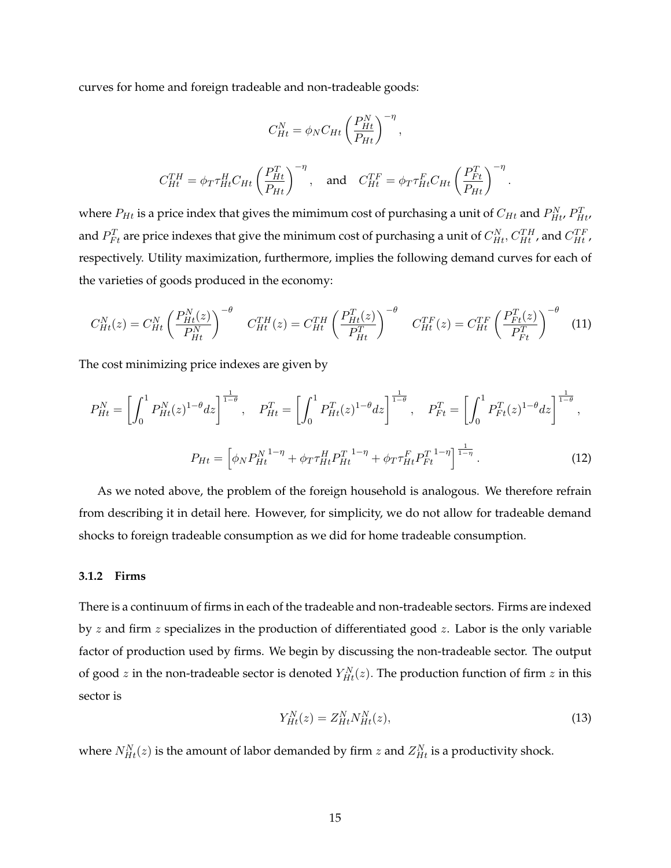curves for home and foreign tradeable and non-tradeable goods:

$$
C_{Ht}^{N} = \phi_N C_{Ht} \left(\frac{P_{Ht}^{N}}{P_{Ht}}\right)^{-\eta},
$$
  

$$
C_{Ht}^{TH} = \phi_T \tau_{Ht}^{H} C_{Ht} \left(\frac{P_{Ht}^{T}}{P_{Ht}}\right)^{-\eta}, \text{ and } C_{Ht}^{TF} = \phi_T \tau_{Ht}^{F} C_{Ht} \left(\frac{P_{Ft}^{T}}{P_{Ht}}\right)^{-\eta}.
$$

where  $P_{Ht}$  is a price index that gives the mimimum cost of purchasing a unit of  $C_{Ht}$  and  $P_{Ht}^N$ ,  $P_{Ht}^T$ and  $P^T_{Ft}$  are price indexes that give the minimum cost of purchasing a unit of  $C_{Ht}^N, C_{Ht}^{TH}$  , and  $C_{Ht}^{TF}$  , respectively. Utility maximization, furthermore, implies the following demand curves for each of the varieties of goods produced in the economy:

$$
C_{Ht}^{N}(z) = C_{Ht}^{N} \left(\frac{P_{Ht}^{N}(z)}{P_{Ht}^{N}}\right)^{-\theta} \quad C_{Ht}^{TH}(z) = C_{Ht}^{TH} \left(\frac{P_{Ht}^{T}(z)}{P_{Ht}^{T}}\right)^{-\theta} \quad C_{Ht}^{TF}(z) = C_{Ht}^{TF} \left(\frac{P_{Ft}^{T}(z)}{P_{Ft}^{T}}\right)^{-\theta} \quad (11)
$$

The cost minimizing price indexes are given by

<span id="page-15-0"></span>
$$
P_{Ht}^{N} = \left[ \int_{0}^{1} P_{Ht}^{N}(z)^{1-\theta} dz \right]^{\frac{1}{1-\theta}}, \quad P_{Ht}^{T} = \left[ \int_{0}^{1} P_{Ht}^{T}(z)^{1-\theta} dz \right]^{\frac{1}{1-\theta}}, \quad P_{Ft}^{T} = \left[ \int_{0}^{1} P_{Ft}^{T}(z)^{1-\theta} dz \right]^{\frac{1}{1-\theta}},
$$

$$
P_{Ht} = \left[ \phi_{N} P_{Ht}^{N} \right]^{1-\eta} + \phi_{T} \tau_{Ht}^{H} P_{Ht}^{T} \right]^{1-\eta} + \phi_{T} \tau_{Ht}^{F} P_{Ft}^{T} \left[ \int_{0}^{1} P_{Ft}^{T}(z)^{1-\theta} dz \right]^{1-\eta}.
$$
(12)

As we noted above, the problem of the foreign household is analogous. We therefore refrain from describing it in detail here. However, for simplicity, we do not allow for tradeable demand shocks to foreign tradeable consumption as we did for home tradeable consumption.

#### **3.1.2 Firms**

There is a continuum of firms in each of the tradeable and non-tradeable sectors. Firms are indexed by  $z$  and firm  $z$  specializes in the production of differentiated good  $z$ . Labor is the only variable factor of production used by firms. We begin by discussing the non-tradeable sector. The output of good  $z$  in the non-tradeable sector is denoted  $Y_{Ht}^N(z)$ . The production function of firm  $z$  in this sector is

$$
Y_{Ht}^N(z) = Z_{Ht}^N N_{Ht}^N(z),\tag{13}
$$

where  $N_{Ht}^N(z)$  is the amount of labor demanded by firm  $z$  and  $Z_{Ht}^N$  is a productivity shock.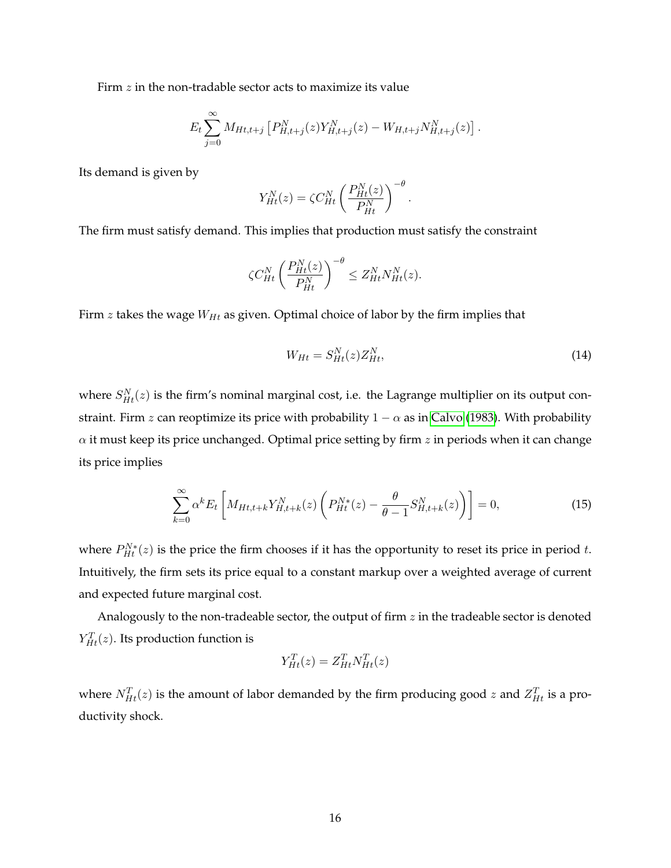Firm  $z$  in the non-tradable sector acts to maximize its value

$$
E_t \sum_{j=0}^{\infty} M_{Ht,t+j} \left[ P_{H,t+j}^N(z) Y_{H,t+j}^N(z) - W_{H,t+j} N_{H,t+j}^N(z) \right].
$$

Its demand is given by

$$
Y_{Ht}^N(z) = \zeta C_{Ht}^N \left(\frac{P_{Ht}^N(z)}{P_{Ht}^N}\right)^{-\theta}.
$$

The firm must satisfy demand. This implies that production must satisfy the constraint

$$
\zeta C_{Ht}^N \left( \frac{P_{Ht}^N(z)}{P_{Ht}^N} \right)^{-\theta} \le Z_{Ht}^N N_{Ht}^N(z).
$$

Firm  $z$  takes the wage  $W_{Ht}$  as given. Optimal choice of labor by the firm implies that

<span id="page-16-1"></span>
$$
W_{Ht} = S_{Ht}^N(z)Z_{Ht}^N,\tag{14}
$$

where  $S_{Ht}^{N}(z)$  is the firm's nominal marginal cost, i.e. the Lagrange multiplier on its output constraint. Firm z can reoptimize its price with probability  $1 - \alpha$  as in [Calvo](#page-67-10) [\(1983\)](#page-67-10). With probability  $\alpha$  it must keep its price unchanged. Optimal price setting by firm z in periods when it can change its price implies

<span id="page-16-0"></span>
$$
\sum_{k=0}^{\infty} \alpha^k E_t \left[ M_{Ht, t+k} Y_{H, t+k}^N(z) \left( P_{Ht}^{N*}(z) - \frac{\theta}{\theta - 1} S_{H, t+k}^N(z) \right) \right] = 0, \tag{15}
$$

where  $P_{Ht}^{N*}(z)$  is the price the firm chooses if it has the opportunity to reset its price in period t. Intuitively, the firm sets its price equal to a constant markup over a weighted average of current and expected future marginal cost.

Analogously to the non-tradeable sector, the output of firm  $z$  in the tradeable sector is denoted  $Y_{Ht}^{T}(z)$ . Its production function is

$$
Y_{Ht}^T(z) = Z_{Ht}^T N_{Ht}^T(z)
$$

where  $N_{Ht}^T(z)$  is the amount of labor demanded by the firm producing good  $z$  and  $Z_{Ht}^T$  is a productivity shock.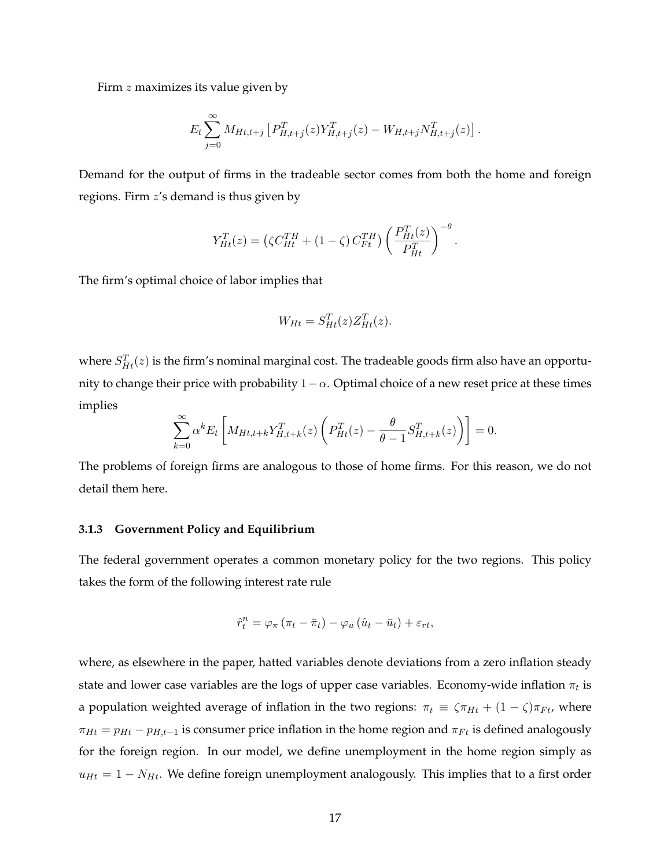Firm  $z$  maximizes its value given by

$$
E_t \sum_{j=0}^{\infty} M_{Ht,t+j} \left[ P_{H,t+j}^T(z) Y_{H,t+j}^T(z) - W_{H,t+j} N_{H,t+j}^T(z) \right].
$$

Demand for the output of firms in the tradeable sector comes from both the home and foreign regions. Firm z's demand is thus given by

$$
Y_{Ht}^{T}(z) = \left(\zeta C_{Ht}^{TH} + (1 - \zeta) C_{Ft}^{TH}\right) \left(\frac{P_{Ht}^{T}(z)}{P_{Ht}^{T}}\right)^{-\theta}
$$

.

The firm's optimal choice of labor implies that

$$
W_{Ht} = S_{Ht}^T(z) Z_{Ht}^T(z).
$$

where  $S_{Ht}^T(z)$  is the firm's nominal marginal cost. The tradeable goods firm also have an opportunity to change their price with probability  $1-\alpha$ . Optimal choice of a new reset price at these times implies

$$
\sum_{k=0}^{\infty} \alpha^k E_t \left[ M_{Ht,t+k} Y_{H,t+k}^T(z) \left( P_{Ht}^T(z) - \frac{\theta}{\theta - 1} S_{H,t+k}^T(z) \right) \right] = 0.
$$

The problems of foreign firms are analogous to those of home firms. For this reason, we do not detail them here.

#### **3.1.3 Government Policy and Equilibrium**

The federal government operates a common monetary policy for the two regions. This policy takes the form of the following interest rate rule

$$
\hat{r}_t^n = \varphi_\pi \left( \pi_t - \bar{\pi}_t \right) - \varphi_u \left( \hat{u}_t - \bar{u}_t \right) + \varepsilon_{rt},
$$

where, as elsewhere in the paper, hatted variables denote deviations from a zero inflation steady state and lower case variables are the logs of upper case variables. Economy-wide inflation  $\pi_t$  is a population weighted average of inflation in the two regions:  $\pi_t \equiv \zeta \pi_{Ht} + (1 - \zeta) \pi_{Ft}$ , where  $\pi_{Ht} = p_{Ht} - p_{H,t-1}$  is consumer price inflation in the home region and  $\pi_{Ft}$  is defined analogously for the foreign region. In our model, we define unemployment in the home region simply as  $u_{Ht} = 1 - N_{Ht}$ . We define foreign unemployment analogously. This implies that to a first order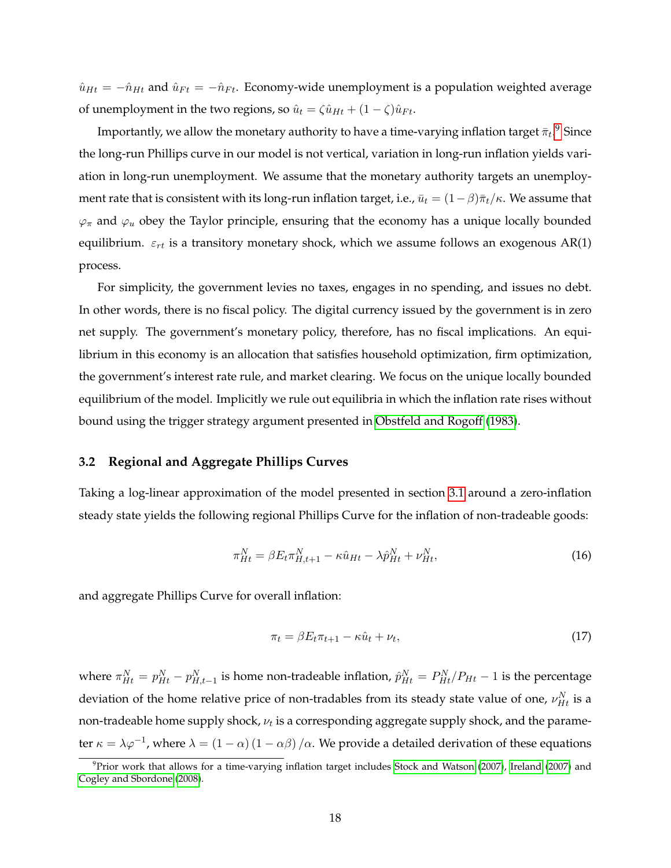$\hat{u}_{Ht} = -\hat{n}_{Ht}$  and  $\hat{u}_{Ft} = -\hat{n}_{Ft}$ . Economy-wide unemployment is a population weighted average of unemployment in the two regions, so  $\hat{u}_t = \zeta \hat{u}_{Ht} + (1 - \zeta)\hat{u}_{Ft}$ .

Importantly, we allow the monetary authority to have a time-varying inflation target  ${\bar \pi_t} .^9$  ${\bar \pi_t} .^9$  Since the long-run Phillips curve in our model is not vertical, variation in long-run inflation yields variation in long-run unemployment. We assume that the monetary authority targets an unemployment rate that is consistent with its long-run inflation target, i.e.,  $\bar{u}_t = (1 - \beta)\bar{\pi}_t/\kappa$ . We assume that  $\varphi_{\pi}$  and  $\varphi_u$  obey the Taylor principle, ensuring that the economy has a unique locally bounded equilibrium.  $\varepsilon_{rt}$  is a transitory monetary shock, which we assume follows an exogenous AR(1) process.

For simplicity, the government levies no taxes, engages in no spending, and issues no debt. In other words, there is no fiscal policy. The digital currency issued by the government is in zero net supply. The government's monetary policy, therefore, has no fiscal implications. An equilibrium in this economy is an allocation that satisfies household optimization, firm optimization, the government's interest rate rule, and market clearing. We focus on the unique locally bounded equilibrium of the model. Implicitly we rule out equilibria in which the inflation rate rises without bound using the trigger strategy argument presented in [Obstfeld and Rogoff](#page-69-9) [\(1983\)](#page-69-9).

#### <span id="page-18-3"></span>**3.2 Regional and Aggregate Phillips Curves**

Taking a log-linear approximation of the model presented in section [3.1](#page-12-1) around a zero-inflation steady state yields the following regional Phillips Curve for the inflation of non-tradeable goods:

<span id="page-18-1"></span>
$$
\pi_{Ht}^{N} = \beta E_{t} \pi_{H,t+1}^{N} - \kappa \hat{u}_{Ht} - \lambda \hat{p}_{Ht}^{N} + \nu_{Ht}^{N}, \tag{16}
$$

and aggregate Phillips Curve for overall inflation:

<span id="page-18-2"></span>
$$
\pi_t = \beta E_t \pi_{t+1} - \kappa \hat{u}_t + \nu_t,\tag{17}
$$

where  $\pi_{Ht}^N = p_{Ht}^N - p_{H,t-1}^N$  is home non-tradeable inflation,  $\hat{p}_{Ht}^N = P_{Ht}^N/P_{Ht} - 1$  is the percentage deviation of the home relative price of non-tradables from its steady state value of one,  $\nu_{Ht}^{N}$  is a non-tradeable home supply shock,  $\nu_t$  is a corresponding aggregate supply shock, and the parameter  $\kappa = \lambda \varphi^{-1}$ , where  $\lambda = (1 - \alpha)(1 - \alpha \beta)/\alpha$ . We provide a detailed derivation of these equations

<span id="page-18-0"></span><sup>&</sup>lt;sup>9</sup>Prior work that allows for a time-varying inflation target includes [Stock and Watson](#page-70-7) [\(2007\)](#page-68-14), [Ireland](#page-68-14) (2007) and [Cogley and Sbordone](#page-67-11) [\(2008\)](#page-67-11).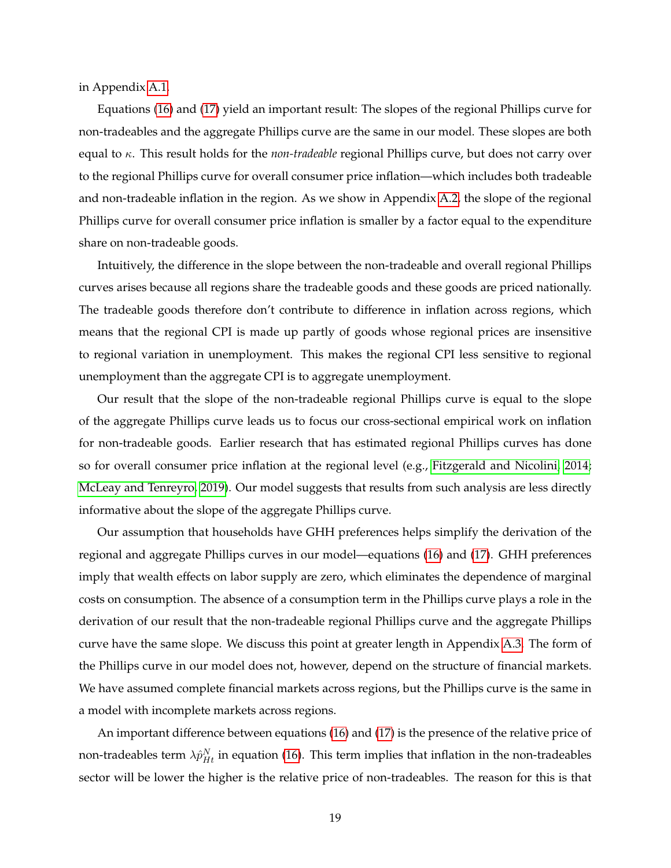in Appendix [A.1.](#page-42-0)

Equations [\(16\)](#page-18-1) and [\(17\)](#page-18-2) yield an important result: The slopes of the regional Phillips curve for non-tradeables and the aggregate Phillips curve are the same in our model. These slopes are both equal to κ. This result holds for the *non-tradeable* regional Phillips curve, but does not carry over to the regional Phillips curve for overall consumer price inflation—which includes both tradeable and non-tradeable inflation in the region. As we show in Appendix [A.2,](#page-53-0) the slope of the regional Phillips curve for overall consumer price inflation is smaller by a factor equal to the expenditure share on non-tradeable goods.

Intuitively, the difference in the slope between the non-tradeable and overall regional Phillips curves arises because all regions share the tradeable goods and these goods are priced nationally. The tradeable goods therefore don't contribute to difference in inflation across regions, which means that the regional CPI is made up partly of goods whose regional prices are insensitive to regional variation in unemployment. This makes the regional CPI less sensitive to regional unemployment than the aggregate CPI is to aggregate unemployment.

Our result that the slope of the non-tradeable regional Phillips curve is equal to the slope of the aggregate Phillips curve leads us to focus our cross-sectional empirical work on inflation for non-tradeable goods. Earlier research that has estimated regional Phillips curves has done so for overall consumer price inflation at the regional level (e.g., [Fitzgerald and Nicolini, 2014;](#page-68-2) [McLeay and Tenreyro, 2019\)](#page-69-3). Our model suggests that results from such analysis are less directly informative about the slope of the aggregate Phillips curve.

Our assumption that households have GHH preferences helps simplify the derivation of the regional and aggregate Phillips curves in our model—equations [\(16\)](#page-18-1) and [\(17\)](#page-18-2). GHH preferences imply that wealth effects on labor supply are zero, which eliminates the dependence of marginal costs on consumption. The absence of a consumption term in the Phillips curve plays a role in the derivation of our result that the non-tradeable regional Phillips curve and the aggregate Phillips curve have the same slope. We discuss this point at greater length in Appendix [A.3.](#page-54-0) The form of the Phillips curve in our model does not, however, depend on the structure of financial markets. We have assumed complete financial markets across regions, but the Phillips curve is the same in a model with incomplete markets across regions.

An important difference between equations [\(16\)](#page-18-1) and [\(17\)](#page-18-2) is the presence of the relative price of non-tradeables term  $\lambda \hat{p}^N_{Ht}$  in equation [\(16\)](#page-18-1). This term implies that inflation in the non-tradeables sector will be lower the higher is the relative price of non-tradeables. The reason for this is that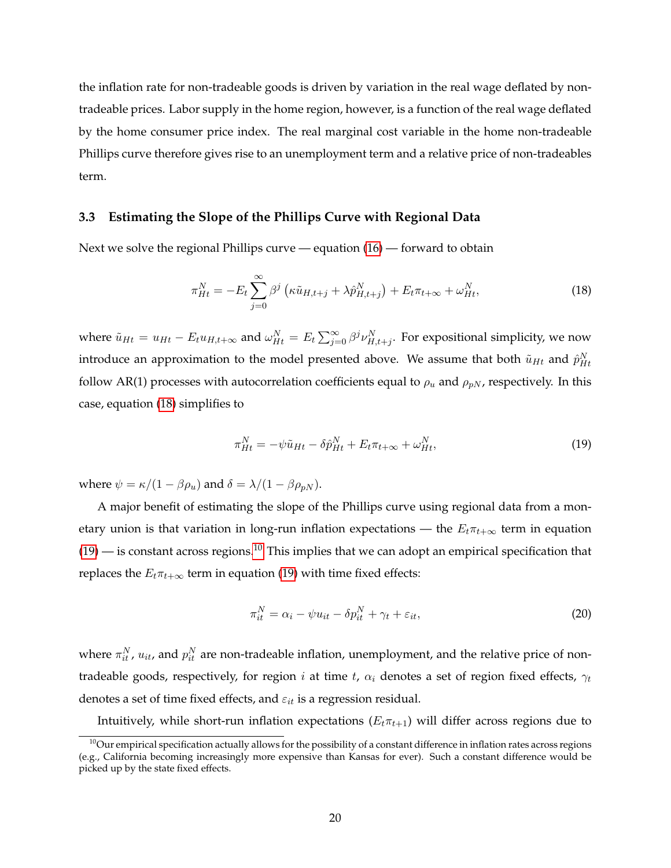the inflation rate for non-tradeable goods is driven by variation in the real wage deflated by nontradeable prices. Labor supply in the home region, however, is a function of the real wage deflated by the home consumer price index. The real marginal cost variable in the home non-tradeable Phillips curve therefore gives rise to an unemployment term and a relative price of non-tradeables term.

#### **3.3 Estimating the Slope of the Phillips Curve with Regional Data**

Next we solve the regional Phillips curve — equation  $(16)$  — forward to obtain

<span id="page-20-0"></span>
$$
\pi_{Ht}^N = -E_t \sum_{j=0}^{\infty} \beta^j \left( \kappa \tilde{u}_{H,t+j} + \lambda \hat{p}_{H,t+j}^N \right) + E_t \pi_{t+\infty} + \omega_{Ht}^N, \tag{18}
$$

where  $\tilde{u}_{Ht} = u_{Ht} - E_t u_{H,t+\infty}$  and  $\omega_{Ht}^N = E_t \sum_{j=0}^{\infty} \beta^j \nu_{H,t+j}^N$ . For expositional simplicity, we now introduce an approximation to the model presented above. We assume that both  $\tilde{u}_{Ht}$  and  $\hat{p}_{Ht}^{N}$ follow AR(1) processes with autocorrelation coefficients equal to  $\rho_u$  and  $\rho_{pN}$ , respectively. In this case, equation [\(18\)](#page-20-0) simplifies to

<span id="page-20-1"></span>
$$
\pi_{Ht}^N = -\psi \tilde{u}_{Ht} - \delta \hat{p}_{Ht}^N + E_t \pi_{t+\infty} + \omega_{Ht}^N, \tag{19}
$$

where  $\psi = \kappa/(1 - \beta \rho_u)$  and  $\delta = \lambda/(1 - \beta \rho_{pN})$ .

A major benefit of estimating the slope of the Phillips curve using regional data from a monetary union is that variation in long-run inflation expectations — the  $E_t \pi_{t+\infty}$  term in equation  $(19)$  — is constant across regions.<sup>[10](#page-20-2)</sup> This implies that we can adopt an empirical specification that replaces the  $E_t\pi_{t+\infty}$  term in equation [\(19\)](#page-20-1) with time fixed effects:

<span id="page-20-3"></span>
$$
\pi_{it}^N = \alpha_i - \psi u_{it} - \delta p_{it}^N + \gamma_t + \varepsilon_{it},\tag{20}
$$

where  $\pi_{it}^N$ ,  $u_{it}$ , and  $p_{it}^N$  are non-tradeable inflation, unemployment, and the relative price of nontradeable goods, respectively, for region i at time t,  $\alpha_i$  denotes a set of region fixed effects,  $\gamma_t$ denotes a set of time fixed effects, and  $\varepsilon_{it}$  is a regression residual.

Intuitively, while short-run inflation expectations  $(E_t \pi_{t+1})$  will differ across regions due to

<span id="page-20-2"></span> $10$ Our empirical specification actually allows for the possibility of a constant difference in inflation rates across regions (e.g., California becoming increasingly more expensive than Kansas for ever). Such a constant difference would be picked up by the state fixed effects.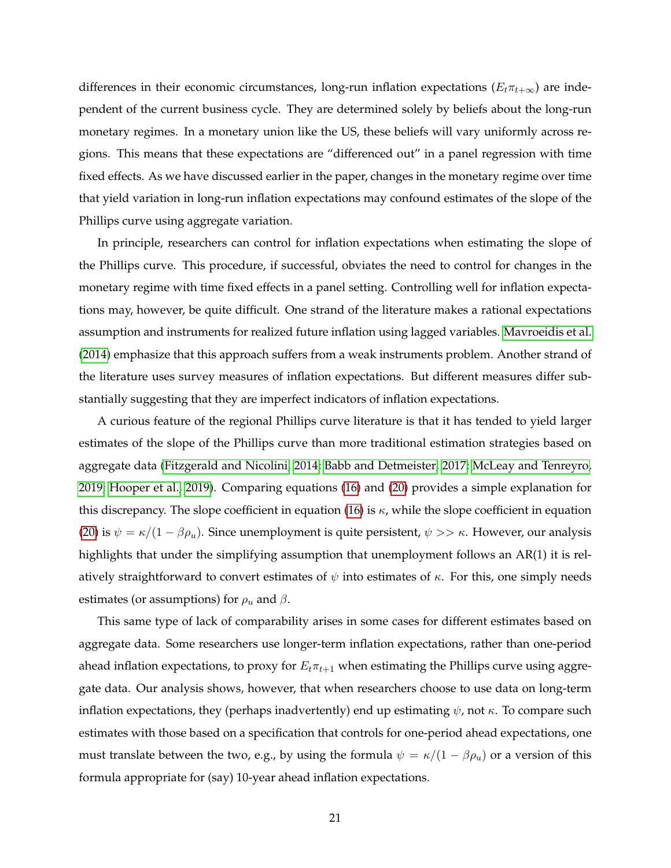differences in their economic circumstances, long-run inflation expectations ( $E_t\pi_{t+\infty}$ ) are independent of the current business cycle. They are determined solely by beliefs about the long-run monetary regimes. In a monetary union like the US, these beliefs will vary uniformly across regions. This means that these expectations are "differenced out" in a panel regression with time fixed effects. As we have discussed earlier in the paper, changes in the monetary regime over time that yield variation in long-run inflation expectations may confound estimates of the slope of the Phillips curve using aggregate variation.

In principle, researchers can control for inflation expectations when estimating the slope of the Phillips curve. This procedure, if successful, obviates the need to control for changes in the monetary regime with time fixed effects in a panel setting. Controlling well for inflation expectations may, however, be quite difficult. One strand of the literature makes a rational expectations assumption and instruments for realized future inflation using lagged variables. [Mavroeidis et al.](#page-69-2) [\(2014\)](#page-69-2) emphasize that this approach suffers from a weak instruments problem. Another strand of the literature uses survey measures of inflation expectations. But different measures differ substantially suggesting that they are imperfect indicators of inflation expectations.

A curious feature of the regional Phillips curve literature is that it has tended to yield larger estimates of the slope of the Phillips curve than more traditional estimation strategies based on aggregate data [\(Fitzgerald and Nicolini, 2014;](#page-68-2) [Babb and Detmeister, 2017;](#page-67-4) [McLeay and Tenreyro,](#page-69-3) [2019;](#page-69-3) [Hooper et al., 2019\)](#page-68-3). Comparing equations [\(16\)](#page-18-1) and [\(20\)](#page-20-3) provides a simple explanation for this discrepancy. The slope coefficient in equation [\(16\)](#page-18-1) is  $\kappa$ , while the slope coefficient in equation [\(20\)](#page-20-3) is  $\psi = \kappa/(1 - \beta \rho_u)$ . Since unemployment is quite persistent,  $\psi >> \kappa$ . However, our analysis highlights that under the simplifying assumption that unemployment follows an AR(1) it is relatively straightforward to convert estimates of  $\psi$  into estimates of  $\kappa$ . For this, one simply needs estimates (or assumptions) for  $\rho_u$  and  $\beta$ .

This same type of lack of comparability arises in some cases for different estimates based on aggregate data. Some researchers use longer-term inflation expectations, rather than one-period ahead inflation expectations, to proxy for  $E_t\pi_{t+1}$  when estimating the Phillips curve using aggregate data. Our analysis shows, however, that when researchers choose to use data on long-term inflation expectations, they (perhaps inadvertently) end up estimating  $\psi$ , not  $\kappa$ . To compare such estimates with those based on a specification that controls for one-period ahead expectations, one must translate between the two, e.g., by using the formula  $\psi = \kappa/(1 - \beta \rho_u)$  or a version of this formula appropriate for (say) 10-year ahead inflation expectations.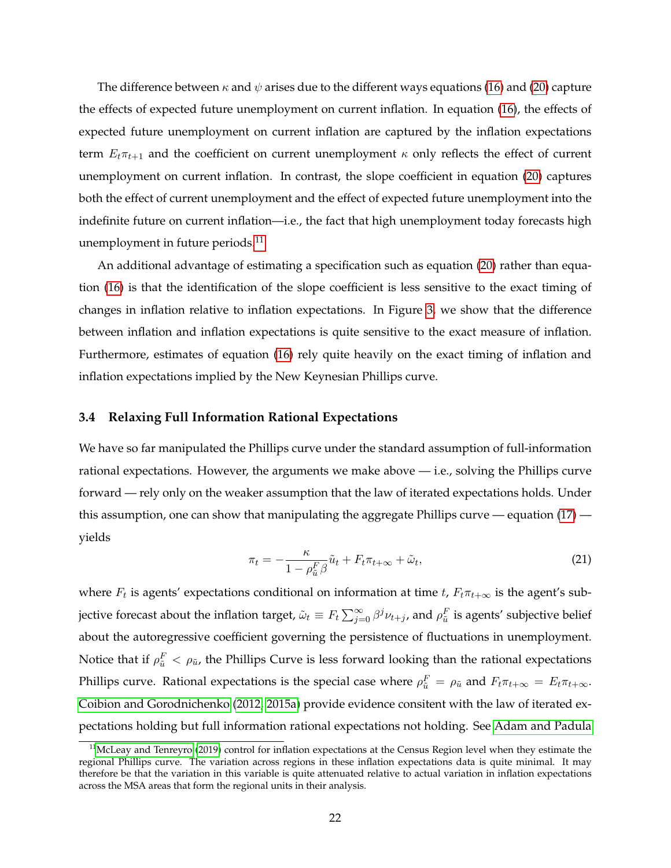The difference between  $\kappa$  and  $\psi$  arises due to the different ways equations [\(16\)](#page-18-1) and [\(20\)](#page-20-3) capture the effects of expected future unemployment on current inflation. In equation [\(16\)](#page-18-1), the effects of expected future unemployment on current inflation are captured by the inflation expectations term  $E_t \pi_{t+1}$  and the coefficient on current unemployment  $\kappa$  only reflects the effect of current unemployment on current inflation. In contrast, the slope coefficient in equation [\(20\)](#page-20-3) captures both the effect of current unemployment and the effect of expected future unemployment into the indefinite future on current inflation—i.e., the fact that high unemployment today forecasts high unemployment in future periods. $^{11}$  $^{11}$  $^{11}$ 

An additional advantage of estimating a specification such as equation [\(20\)](#page-20-3) rather than equation [\(16\)](#page-18-1) is that the identification of the slope coefficient is less sensitive to the exact timing of changes in inflation relative to inflation expectations. In Figure [3,](#page-10-0) we show that the difference between inflation and inflation expectations is quite sensitive to the exact measure of inflation. Furthermore, estimates of equation [\(16\)](#page-18-1) rely quite heavily on the exact timing of inflation and inflation expectations implied by the New Keynesian Phillips curve.

#### **3.4 Relaxing Full Information Rational Expectations**

We have so far manipulated the Phillips curve under the standard assumption of full-information rational expectations. However, the arguments we make above  $-$  i.e., solving the Phillips curve forward — rely only on the weaker assumption that the law of iterated expectations holds. Under this assumption, one can show that manipulating the aggregate Phillips curve — equation [\(17\)](#page-18-2) yields

$$
\pi_t = -\frac{\kappa}{1 - \rho_{\tilde{u}}^F \beta} \tilde{u}_t + F_t \pi_{t + \infty} + \tilde{\omega}_t,\tag{21}
$$

where  $F_t$  is agents' expectations conditional on information at time t,  $F_t\pi_{t+\infty}$  is the agent's subjective forecast about the inflation target,  $\tilde\omega_t\equiv F_t\sum_{j=0}^\infty\beta^j\nu_{t+j}$ , and  $\rho^F_{\tilde u}$  is agents' subjective belief about the autoregressive coefficient governing the persistence of fluctuations in unemployment. Notice that if  $\rho_{\tilde{u}}^F < \rho_{\tilde{u}}$ , the Phillips Curve is less forward looking than the rational expectations Phillips curve. Rational expectations is the special case where  $\rho_{\tilde{u}}^F = \rho_{\tilde{u}}$  and  $F_t\pi_{t+\infty} = E_t\pi_{t+\infty}$ . [Coibion and Gorodnichenko](#page-67-12) [\(2012,](#page-67-12) [2015a\)](#page-67-13) provide evidence consitent with the law of iterated expectations holding but full information rational expectations not holding. See [Adam and Padula](#page-67-14)

<span id="page-22-0"></span> $11$ [McLeay and Tenreyro](#page-69-3) [\(2019\)](#page-69-3) control for inflation expectations at the Census Region level when they estimate the regional Phillips curve. The variation across regions in these inflation expectations data is quite minimal. It may therefore be that the variation in this variable is quite attenuated relative to actual variation in inflation expectations across the MSA areas that form the regional units in their analysis.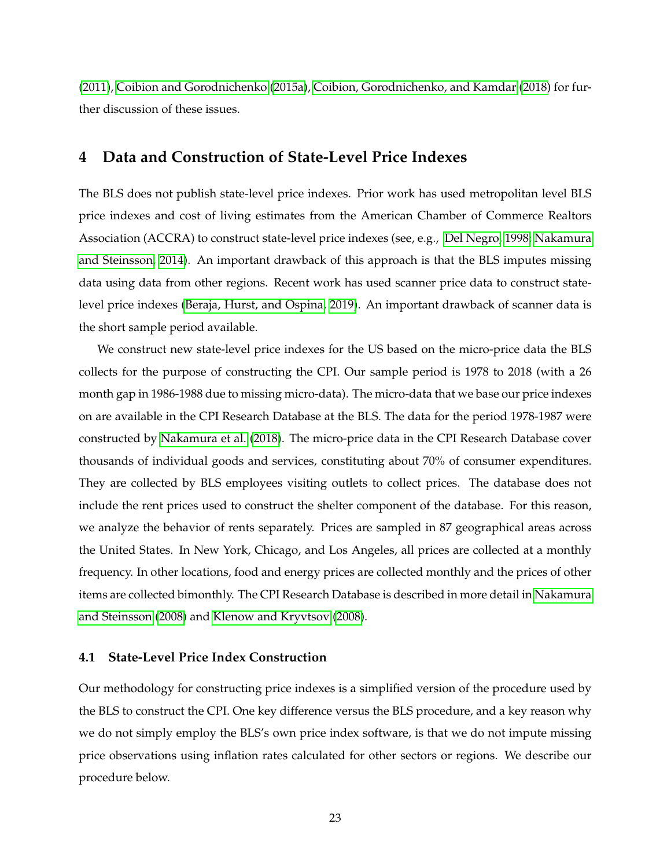[\(2011\)](#page-67-14), [Coibion and Gorodnichenko](#page-67-13) [\(2015a\)](#page-67-13), [Coibion, Gorodnichenko, and Kamdar](#page-68-15) [\(2018\)](#page-68-15) for further discussion of these issues.

## <span id="page-23-0"></span>**4 Data and Construction of State-Level Price Indexes**

The BLS does not publish state-level price indexes. Prior work has used metropolitan level BLS price indexes and cost of living estimates from the American Chamber of Commerce Realtors Association (ACCRA) to construct state-level price indexes (see, e.g., [Del Negro, 1998;](#page-68-16) [Nakamura](#page-69-10) [and Steinsson, 2014\)](#page-69-10). An important drawback of this approach is that the BLS imputes missing data using data from other regions. Recent work has used scanner price data to construct statelevel price indexes [\(Beraja, Hurst, and Ospina, 2019\)](#page-67-5). An important drawback of scanner data is the short sample period available.

We construct new state-level price indexes for the US based on the micro-price data the BLS collects for the purpose of constructing the CPI. Our sample period is 1978 to 2018 (with a 26 month gap in 1986-1988 due to missing micro-data). The micro-data that we base our price indexes on are available in the CPI Research Database at the BLS. The data for the period 1978-1987 were constructed by [Nakamura et al.](#page-69-11) [\(2018\)](#page-69-11). The micro-price data in the CPI Research Database cover thousands of individual goods and services, constituting about 70% of consumer expenditures. They are collected by BLS employees visiting outlets to collect prices. The database does not include the rent prices used to construct the shelter component of the database. For this reason, we analyze the behavior of rents separately. Prices are sampled in 87 geographical areas across the United States. In New York, Chicago, and Los Angeles, all prices are collected at a monthly frequency. In other locations, food and energy prices are collected monthly and the prices of other items are collected bimonthly. The CPI Research Database is described in more detail in [Nakamura](#page-69-12) [and Steinsson](#page-69-12) [\(2008\)](#page-69-12) and [Klenow and Kryvtsov](#page-69-13) [\(2008\)](#page-69-13).

### **4.1 State-Level Price Index Construction**

Our methodology for constructing price indexes is a simplified version of the procedure used by the BLS to construct the CPI. One key difference versus the BLS procedure, and a key reason why we do not simply employ the BLS's own price index software, is that we do not impute missing price observations using inflation rates calculated for other sectors or regions. We describe our procedure below.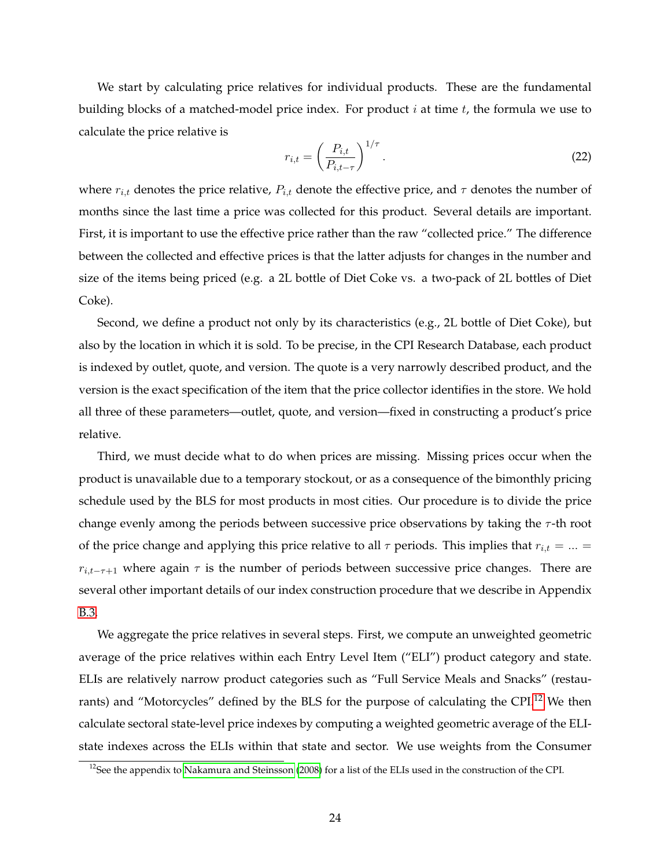We start by calculating price relatives for individual products. These are the fundamental building blocks of a matched-model price index. For product  $i$  at time  $t$ , the formula we use to calculate the price relative is

$$
r_{i,t} = \left(\frac{P_{i,t}}{P_{i,t-\tau}}\right)^{1/\tau}.\tag{22}
$$

where  $r_{i,t}$  denotes the price relative,  $P_{i,t}$  denote the effective price, and  $\tau$  denotes the number of months since the last time a price was collected for this product. Several details are important. First, it is important to use the effective price rather than the raw "collected price." The difference between the collected and effective prices is that the latter adjusts for changes in the number and size of the items being priced (e.g. a 2L bottle of Diet Coke vs. a two-pack of 2L bottles of Diet Coke).

Second, we define a product not only by its characteristics (e.g., 2L bottle of Diet Coke), but also by the location in which it is sold. To be precise, in the CPI Research Database, each product is indexed by outlet, quote, and version. The quote is a very narrowly described product, and the version is the exact specification of the item that the price collector identifies in the store. We hold all three of these parameters—outlet, quote, and version—fixed in constructing a product's price relative.

Third, we must decide what to do when prices are missing. Missing prices occur when the product is unavailable due to a temporary stockout, or as a consequence of the bimonthly pricing schedule used by the BLS for most products in most cities. Our procedure is to divide the price change evenly among the periods between successive price observations by taking the  $\tau$ -th root of the price change and applying this price relative to all  $\tau$  periods. This implies that  $r_{i,t} = ... =$  $r_{i,t-\tau+1}$  where again  $\tau$  is the number of periods between successive price changes. There are several other important details of our index construction procedure that we describe in Appendix [B.3.](#page-62-0)

We aggregate the price relatives in several steps. First, we compute an unweighted geometric average of the price relatives within each Entry Level Item ("ELI") product category and state. ELIs are relatively narrow product categories such as "Full Service Meals and Snacks" (restau-rants) and "Motorcycles" defined by the BLS for the purpose of calculating the CPI.<sup>[12](#page-24-0)</sup> We then calculate sectoral state-level price indexes by computing a weighted geometric average of the ELIstate indexes across the ELIs within that state and sector. We use weights from the Consumer

<span id="page-24-0"></span> $12$ See the appendix to [Nakamura and Steinsson](#page-69-12) [\(2008\)](#page-69-12) for a list of the ELIs used in the construction of the CPI.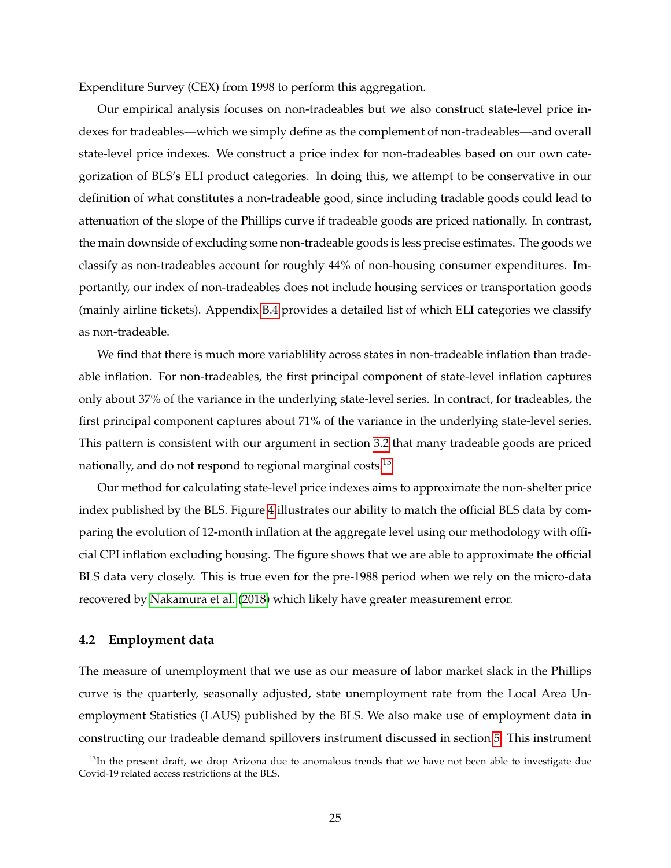Expenditure Survey (CEX) from 1998 to perform this aggregation.

Our empirical analysis focuses on non-tradeables but we also construct state-level price indexes for tradeables—which we simply define as the complement of non-tradeables—and overall state-level price indexes. We construct a price index for non-tradeables based on our own categorization of BLS's ELI product categories. In doing this, we attempt to be conservative in our definition of what constitutes a non-tradeable good, since including tradable goods could lead to attenuation of the slope of the Phillips curve if tradeable goods are priced nationally. In contrast, the main downside of excluding some non-tradeable goods is less precise estimates. The goods we classify as non-tradeables account for roughly 44% of non-housing consumer expenditures. Importantly, our index of non-tradeables does not include housing services or transportation goods (mainly airline tickets). Appendix [B.4](#page-63-0) provides a detailed list of which ELI categories we classify as non-tradeable.

We find that there is much more variablility across states in non-tradeable inflation than tradeable inflation. For non-tradeables, the first principal component of state-level inflation captures only about 37% of the variance in the underlying state-level series. In contract, for tradeables, the first principal component captures about 71% of the variance in the underlying state-level series. This pattern is consistent with our argument in section [3.2](#page-18-3) that many tradeable goods are priced nationally, and do not respond to regional marginal costs.<sup>[13](#page-25-0)</sup>

Our method for calculating state-level price indexes aims to approximate the non-shelter price index published by the BLS. Figure [4](#page-26-0) illustrates our ability to match the official BLS data by comparing the evolution of 12-month inflation at the aggregate level using our methodology with official CPI inflation excluding housing. The figure shows that we are able to approximate the official BLS data very closely. This is true even for the pre-1988 period when we rely on the micro-data recovered by [Nakamura et al.](#page-69-11) [\(2018\)](#page-69-11) which likely have greater measurement error.

## **4.2 Employment data**

The measure of unemployment that we use as our measure of labor market slack in the Phillips curve is the quarterly, seasonally adjusted, state unemployment rate from the Local Area Unemployment Statistics (LAUS) published by the BLS. We also make use of employment data in constructing our tradeable demand spillovers instrument discussed in section [5.](#page-27-0) This instrument

<span id="page-25-0"></span> $13$ In the present draft, we drop Arizona due to anomalous trends that we have not been able to investigate due Covid-19 related access restrictions at the BLS.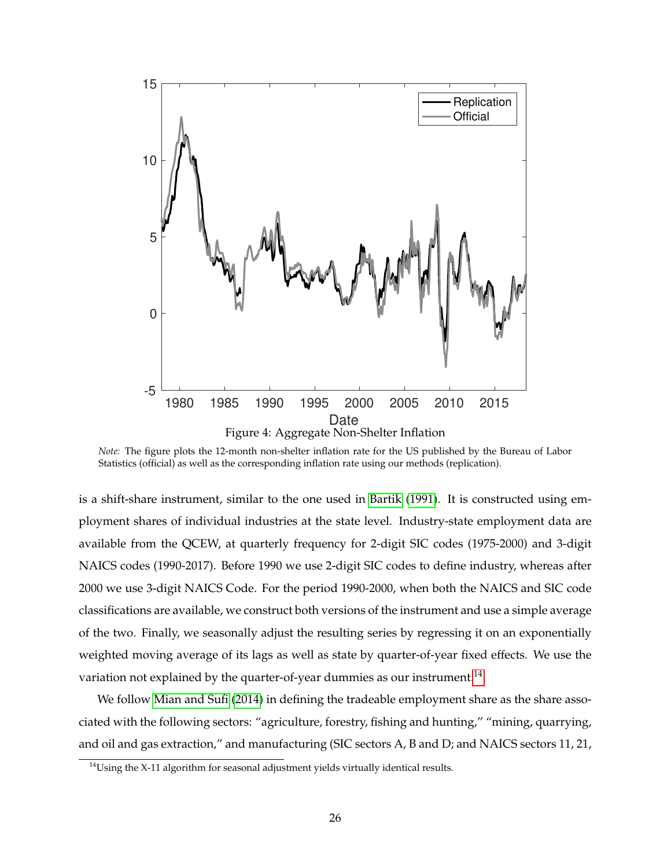<span id="page-26-0"></span>

*Note:* The figure plots the 12-month non-shelter inflation rate for the US published by the Bureau of Labor Statistics (official) as well as the corresponding inflation rate using our methods (replication).

is a shift-share instrument, similar to the one used in [Bartik](#page-67-15) [\(1991\)](#page-67-15). It is constructed using employment shares of individual industries at the state level. Industry-state employment data are available from the QCEW, at quarterly frequency for 2-digit SIC codes (1975-2000) and 3-digit NAICS codes (1990-2017). Before 1990 we use 2-digit SIC codes to define industry, whereas after 2000 we use 3-digit NAICS Code. For the period 1990-2000, when both the NAICS and SIC code classifications are available, we construct both versions of the instrument and use a simple average of the two. Finally, we seasonally adjust the resulting series by regressing it on an exponentially weighted moving average of its lags as well as state by quarter-of-year fixed effects. We use the variation not explained by the quarter-of-year dummies as our instrument.<sup>[14](#page-26-1)</sup>

We follow [Mian and Sufi](#page-69-14) [\(2014\)](#page-69-14) in defining the tradeable employment share as the share associated with the following sectors: "agriculture, forestry, fishing and hunting," "mining, quarrying, and oil and gas extraction," and manufacturing (SIC sectors A, B and D; and NAICS sectors 11, 21,

<span id="page-26-1"></span> $14$ Using the X-11 algorithm for seasonal adjustment yields virtually identical results.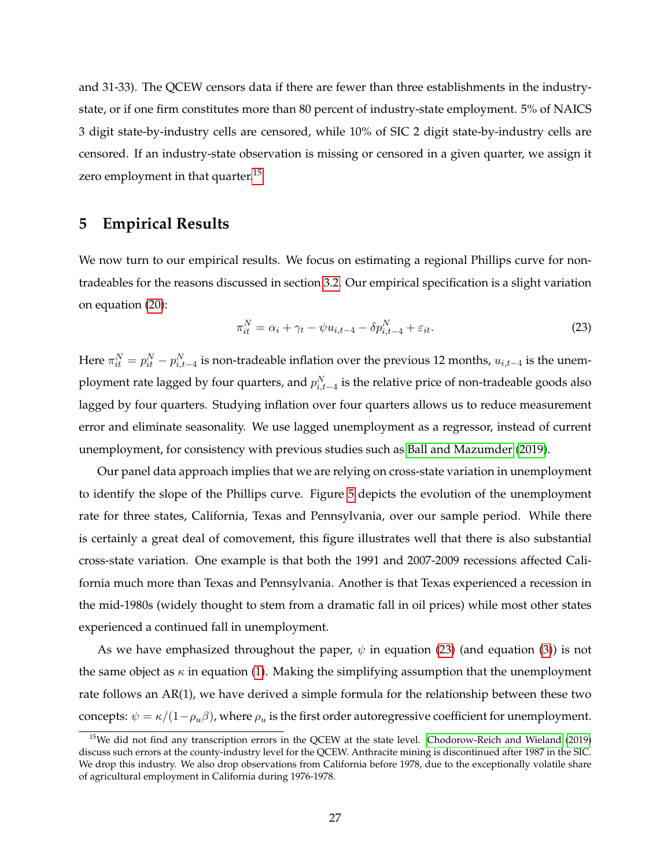and 31-33). The QCEW censors data if there are fewer than three establishments in the industrystate, or if one firm constitutes more than 80 percent of industry-state employment. 5% of NAICS 3 digit state-by-industry cells are censored, while 10% of SIC 2 digit state-by-industry cells are censored. If an industry-state observation is missing or censored in a given quarter, we assign it zero employment in that quarter.<sup>[15](#page-27-1)</sup>

## <span id="page-27-0"></span>**5 Empirical Results**

We now turn to our empirical results. We focus on estimating a regional Phillips curve for nontradeables for the reasons discussed in section [3.2.](#page-18-3) Our empirical specification is a slight variation on equation [\(20\)](#page-20-3):

<span id="page-27-2"></span>
$$
\pi_{it}^N = \alpha_i + \gamma_t - \psi u_{i,t-4} - \delta p_{i,t-4}^N + \varepsilon_{it}.
$$
\n
$$
(23)
$$

Here  $\pi_{it}^N=p_{it}^N-p_{i,t-4}^N$  is non-tradeable inflation over the previous 12 months,  $u_{i,t-4}$  is the unemployment rate lagged by four quarters, and  $p_{i,t-4}^N$  is the relative price of non-tradeable goods also lagged by four quarters. Studying inflation over four quarters allows us to reduce measurement error and eliminate seasonality. We use lagged unemployment as a regressor, instead of current unemployment, for consistency with previous studies such as [Ball and Mazumder](#page-67-6) [\(2019\)](#page-67-6).

Our panel data approach implies that we are relying on cross-state variation in unemployment to identify the slope of the Phillips curve. Figure [5](#page-28-0) depicts the evolution of the unemployment rate for three states, California, Texas and Pennsylvania, over our sample period. While there is certainly a great deal of comovement, this figure illustrates well that there is also substantial cross-state variation. One example is that both the 1991 and 2007-2009 recessions affected California much more than Texas and Pennsylvania. Another is that Texas experienced a recession in the mid-1980s (widely thought to stem from a dramatic fall in oil prices) while most other states experienced a continued fall in unemployment.

As we have emphasized throughout the paper,  $\psi$  in equation [\(23\)](#page-27-2) (and equation [\(3\)](#page-3-1)) is not the same object as  $\kappa$  in equation [\(1\)](#page-1-0). Making the simplifying assumption that the unemployment rate follows an AR(1), we have derived a simple formula for the relationship between these two concepts:  $\psi = \kappa/(1-\rho_u\beta)$ , where  $\rho_u$  is the first order autoregressive coefficient for unemployment.

<span id="page-27-1"></span><sup>15</sup>We did not find any transcription errors in the QCEW at the state level. [Chodorow-Reich and Wieland](#page-67-16) [\(2019\)](#page-67-16) discuss such errors at the county-industry level for the QCEW. Anthracite mining is discontinued after 1987 in the SIC. We drop this industry. We also drop observations from California before 1978, due to the exceptionally volatile share of agricultural employment in California during 1976-1978.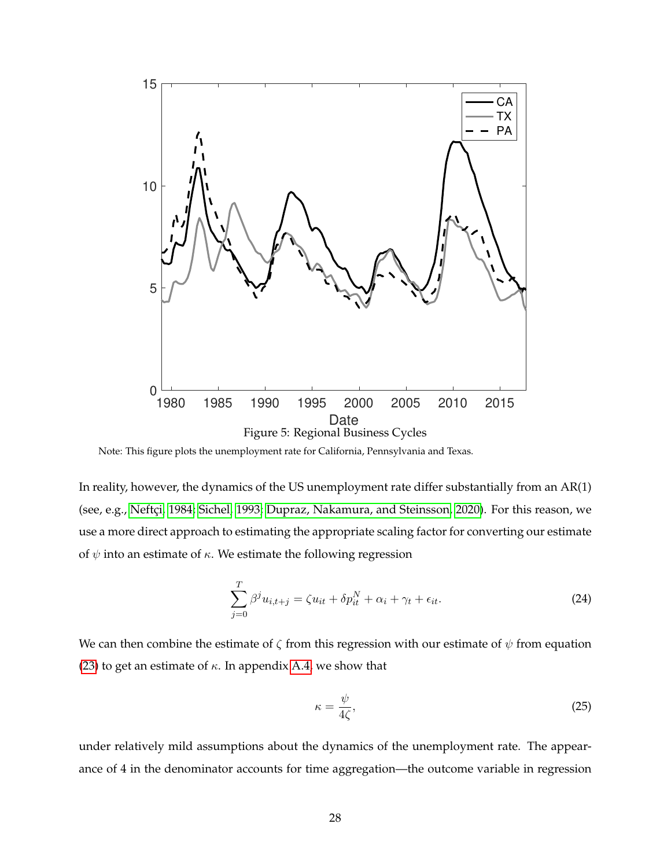<span id="page-28-0"></span>

Note: This figure plots the unemployment rate for California, Pennsylvania and Texas.

In reality, however, the dynamics of the US unemployment rate differ substantially from an AR(1) (see, e.g., Neftçi, 1984; [Sichel, 1993;](#page-70-8) [Dupraz, Nakamura, and Steinsson, 2020\)](#page-68-17). For this reason, we use a more direct approach to estimating the appropriate scaling factor for converting our estimate of  $\psi$  into an estimate of  $\kappa$ . We estimate the following regression

<span id="page-28-1"></span>
$$
\sum_{j=0}^{T} \beta^j u_{i,t+j} = \zeta u_{it} + \delta p_{it}^N + \alpha_i + \gamma_t + \epsilon_{it}.
$$
 (24)

We can then combine the estimate of  $\zeta$  from this regression with our estimate of  $\psi$  from equation [\(23\)](#page-27-2) to get an estimate of  $\kappa$ . In appendix [A.4,](#page-55-0) we show that

<span id="page-28-2"></span>
$$
\kappa = \frac{\psi}{4\zeta},\tag{25}
$$

under relatively mild assumptions about the dynamics of the unemployment rate. The appearance of 4 in the denominator accounts for time aggregation—the outcome variable in regression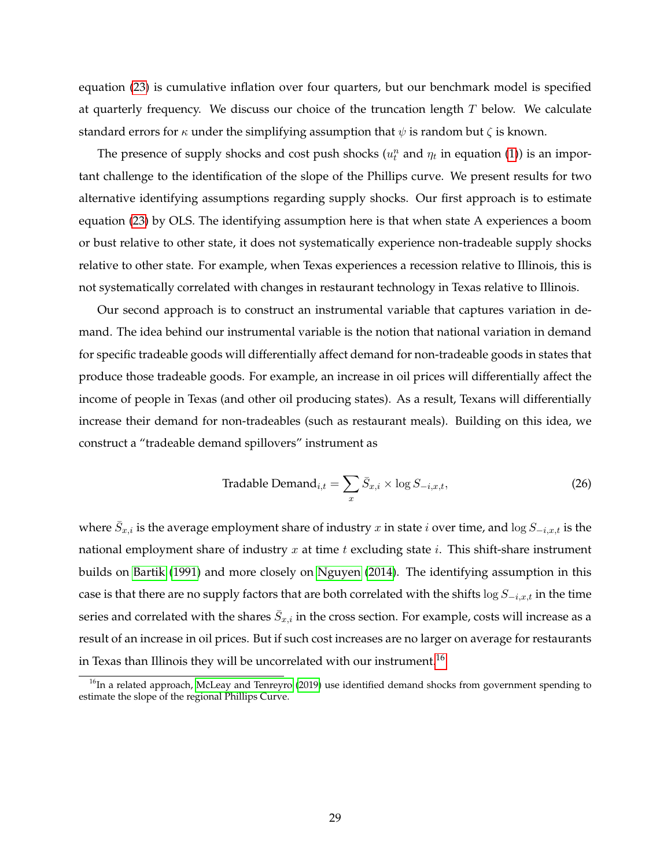equation [\(23\)](#page-27-2) is cumulative inflation over four quarters, but our benchmark model is specified at quarterly frequency. We discuss our choice of the truncation length  $T$  below. We calculate standard errors for  $\kappa$  under the simplifying assumption that  $\psi$  is random but  $\zeta$  is known.

The presence of supply shocks and cost push shocks  $(u_t^n$  and  $\eta_t$  in equation [\(1\)](#page-1-0)) is an important challenge to the identification of the slope of the Phillips curve. We present results for two alternative identifying assumptions regarding supply shocks. Our first approach is to estimate equation [\(23\)](#page-27-2) by OLS. The identifying assumption here is that when state A experiences a boom or bust relative to other state, it does not systematically experience non-tradeable supply shocks relative to other state. For example, when Texas experiences a recession relative to Illinois, this is not systematically correlated with changes in restaurant technology in Texas relative to Illinois.

Our second approach is to construct an instrumental variable that captures variation in demand. The idea behind our instrumental variable is the notion that national variation in demand for specific tradeable goods will differentially affect demand for non-tradeable goods in states that produce those tradeable goods. For example, an increase in oil prices will differentially affect the income of people in Texas (and other oil producing states). As a result, Texans will differentially increase their demand for non-tradeables (such as restaurant meals). Building on this idea, we construct a "tradeable demand spillovers" instrument as

<span id="page-29-1"></span>
$$
\text{Tradeable Demand}_{i,t} = \sum_{x} \bar{S}_{x,i} \times \log S_{-i,x,t},\tag{26}
$$

where  $\bar{S}_{x,i}$  is the average employment share of industry  $x$  in state  $i$  over time, and  $\log S_{-i,x,t}$  is the national employment share of industry  $x$  at time  $t$  excluding state  $i$ . This shift-share instrument builds on [Bartik](#page-67-15) [\(1991\)](#page-67-15) and more closely on [Nguyen](#page-69-5) [\(2014\)](#page-69-5). The identifying assumption in this case is that there are no supply factors that are both correlated with the shifts  $\log S_{-i,x,t}$  in the time series and correlated with the shares  $\bar{S}_{x,i}$  in the cross section. For example, costs will increase as a result of an increase in oil prices. But if such cost increases are no larger on average for restaurants in Texas than Illinois they will be uncorrelated with our instrument.<sup>[16](#page-29-0)</sup>

<span id="page-29-0"></span> $16$ In a related approach, [McLeay and Tenreyro](#page-69-3) [\(2019\)](#page-69-3) use identified demand shocks from government spending to estimate the slope of the regional Phillips Curve.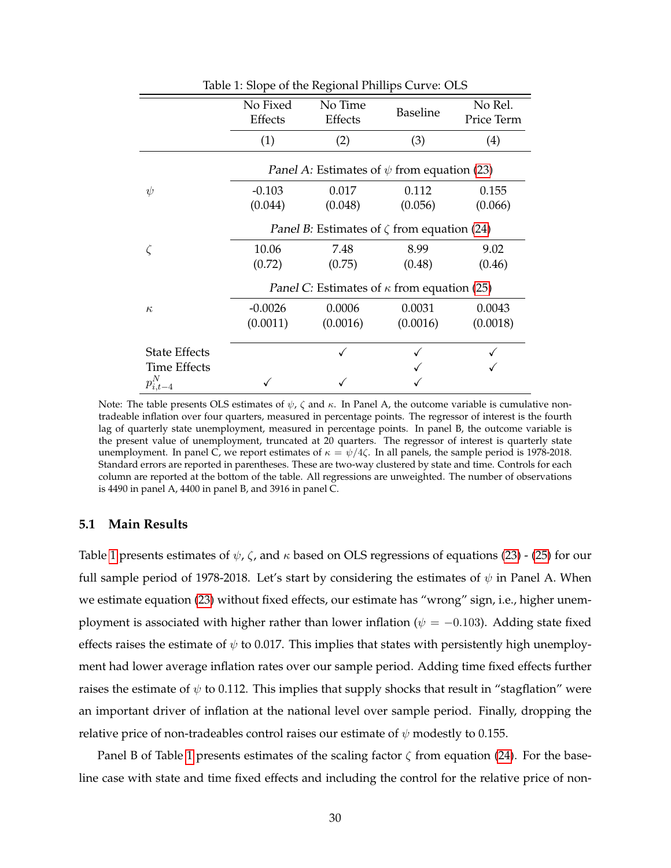<span id="page-30-0"></span>

|                      |                     | <b>THERE IS SHOPLE OF THE INCRPT IS THE PROPERTY.</b>   |                 |                       |
|----------------------|---------------------|---------------------------------------------------------|-----------------|-----------------------|
|                      | No Fixed<br>Effects | No Time<br>Effects                                      | <b>Baseline</b> | No Rel.<br>Price Term |
|                      | (1)                 | (2)                                                     | (3)             | (4)                   |
|                      |                     | Panel A: Estimates of $\psi$ from equation (23)         |                 |                       |
| $\psi$               | $-0.103$            | 0.017                                                   | 0.112           | 0.155                 |
|                      | (0.044)             | (0.048)                                                 | (0.056)         | (0.066)               |
|                      |                     | <i>Panel B:</i> Estimates of $\zeta$ from equation (24) |                 |                       |
|                      | 10.06               | 7.48                                                    | 8.99            | 9.02                  |
|                      | (0.72)              | (0.75)                                                  | (0.48)          | (0.46)                |
|                      |                     | Panel C: Estimates of $\kappa$ from equation (25)       |                 |                       |
| $\kappa$             | $-0.0026$           | 0.0006                                                  | 0.0031          | 0.0043                |
|                      | (0.0011)            | (0.0016)                                                | (0.0016)        | (0.0018)              |
| <b>State Effects</b> |                     |                                                         |                 |                       |
| Time Effects         |                     |                                                         |                 |                       |
| $p_{i,t-4}^N$        |                     |                                                         |                 |                       |
|                      |                     |                                                         |                 |                       |

Table 1: Slope of the Regional Phillips Curve: OLS

Note: The table presents OLS estimates of  $\psi$ ,  $\zeta$  and  $\kappa$ . In Panel A, the outcome variable is cumulative nontradeable inflation over four quarters, measured in percentage points. The regressor of interest is the fourth lag of quarterly state unemployment, measured in percentage points. In panel B, the outcome variable is the present value of unemployment, truncated at 20 quarters. The regressor of interest is quarterly state unemployment. In panel C, we report estimates of  $\kappa = \psi/4\zeta$ . In all panels, the sample period is 1978-2018. Standard errors are reported in parentheses. These are two-way clustered by state and time. Controls for each column are reported at the bottom of the table. All regressions are unweighted. The number of observations is 4490 in panel A, 4400 in panel B, and 3916 in panel C.

## **5.1 Main Results**

Table [1](#page-30-0) presents estimates of  $\psi$ ,  $\zeta$ , and  $\kappa$  based on OLS regressions of equations [\(23\)](#page-27-2) - [\(25\)](#page-28-2) for our full sample period of 1978-2018. Let's start by considering the estimates of  $\psi$  in Panel A. When we estimate equation [\(23\)](#page-27-2) without fixed effects, our estimate has "wrong" sign, i.e., higher unemployment is associated with higher rather than lower inflation ( $\psi = -0.103$ ). Adding state fixed effects raises the estimate of  $\psi$  to 0.017. This implies that states with persistently high unemployment had lower average inflation rates over our sample period. Adding time fixed effects further raises the estimate of  $\psi$  to 0.112. This implies that supply shocks that result in "stagflation" were an important driver of inflation at the national level over sample period. Finally, dropping the relative price of non-tradeables control raises our estimate of  $\psi$  modestly to 0.155.

Panel B of Table [1](#page-30-0) presents estimates of the scaling factor  $\zeta$  from equation [\(24\)](#page-28-1). For the baseline case with state and time fixed effects and including the control for the relative price of non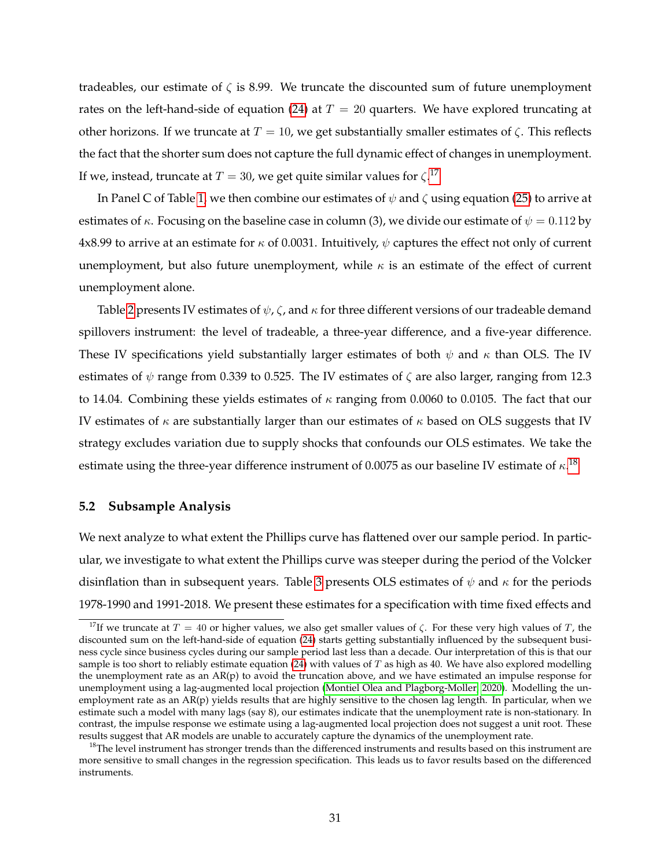tradeables, our estimate of  $\zeta$  is 8.99. We truncate the discounted sum of future unemployment rates on the left-hand-side of equation [\(24\)](#page-28-1) at  $T = 20$  quarters. We have explored truncating at other horizons. If we truncate at  $T = 10$ , we get substantially smaller estimates of  $\zeta$ . This reflects the fact that the shorter sum does not capture the full dynamic effect of changes in unemployment. If we, instead, truncate at  $T=30$ , we get quite similar values for  $\zeta^{.17}$  $\zeta^{.17}$  $\zeta^{.17}$ 

In Panel C of Table [1,](#page-30-0) we then combine our estimates of  $\psi$  and  $\zeta$  using equation [\(25\)](#page-28-2) to arrive at estimates of  $\kappa$ . Focusing on the baseline case in column (3), we divide our estimate of  $\psi = 0.112$  by 4x8.99 to arrive at an estimate for  $\kappa$  of 0.0031. Intuitively,  $\psi$  captures the effect not only of current unemployment, but also future unemployment, while  $\kappa$  is an estimate of the effect of current unemployment alone.

Table [2](#page-32-0) presents IV estimates of  $\psi$ ,  $\zeta$ , and  $\kappa$  for three different versions of our tradeable demand spillovers instrument: the level of tradeable, a three-year difference, and a five-year difference. These IV specifications yield substantially larger estimates of both  $\psi$  and  $\kappa$  than OLS. The IV estimates of  $\psi$  range from 0.339 to 0.525. The IV estimates of  $\zeta$  are also larger, ranging from 12.3 to 14.04. Combining these yields estimates of  $\kappa$  ranging from 0.0060 to 0.0105. The fact that our IV estimates of  $\kappa$  are substantially larger than our estimates of  $\kappa$  based on OLS suggests that IV strategy excludes variation due to supply shocks that confounds our OLS estimates. We take the estimate using the three-year difference instrument of 0.0075 as our baseline IV estimate of  $\kappa^{18}$  $\kappa^{18}$  $\kappa^{18}$ 

#### **5.2 Subsample Analysis**

We next analyze to what extent the Phillips curve has flattened over our sample period. In particular, we investigate to what extent the Phillips curve was steeper during the period of the Volcker disinflation than in subsequent years. Table [3](#page-33-0) presents OLS estimates of  $\psi$  and  $\kappa$  for the periods 1978-1990 and 1991-2018. We present these estimates for a specification with time fixed effects and

<span id="page-31-0"></span><sup>&</sup>lt;sup>17</sup>If we truncate at  $T = 40$  or higher values, we also get smaller values of  $\zeta$ . For these very high values of T, the discounted sum on the left-hand-side of equation [\(24\)](#page-28-1) starts getting substantially influenced by the subsequent business cycle since business cycles during our sample period last less than a decade. Our interpretation of this is that our sample is too short to reliably estimate equation  $(24)$  with values of T as high as 40. We have also explored modelling the unemployment rate as an AR(p) to avoid the truncation above, and we have estimated an impulse response for unemployment using a lag-augmented local projection [\(Montiel Olea and Plagborg-Moller, 2020\)](#page-69-16). Modelling the unemployment rate as an AR(p) yields results that are highly sensitive to the chosen lag length. In particular, when we estimate such a model with many lags (say 8), our estimates indicate that the unemployment rate is non-stationary. In contrast, the impulse response we estimate using a lag-augmented local projection does not suggest a unit root. These results suggest that AR models are unable to accurately capture the dynamics of the unemployment rate.

<span id="page-31-1"></span> $18$ The level instrument has stronger trends than the differenced instruments and results based on this instrument are more sensitive to small changes in the regression specification. This leads us to favor results based on the differenced instruments.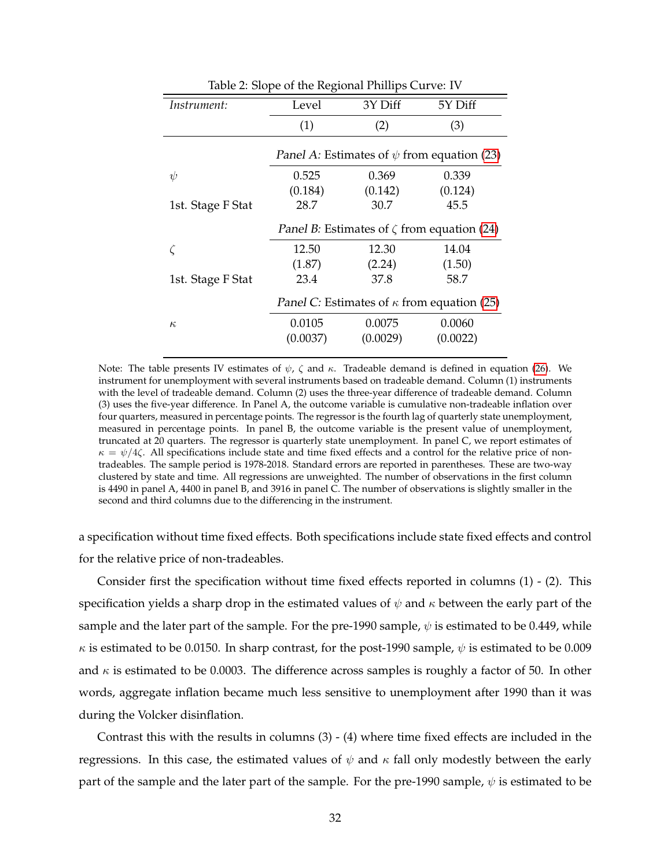<span id="page-32-0"></span>

|                   | Ŧ.<br>Ō                                                 | Ŧ.       |          |
|-------------------|---------------------------------------------------------|----------|----------|
| Instrument:       | Level                                                   | 3Y Diff  | 5Y Diff  |
|                   | (1)                                                     | (2)      | (3)      |
|                   | <i>Panel A:</i> Estimates of $\psi$ from equation (23)  |          |          |
| $\psi$            | 0.525                                                   | 0.369    | 0.339    |
|                   | (0.184)                                                 | (0.142)  | (0.124)  |
| 1st. Stage F Stat | 28.7                                                    | 30.7     | 45.5     |
|                   | <i>Panel B:</i> Estimates of $\zeta$ from equation (24) |          |          |
|                   | 12.50                                                   | 12.30    | 14.04    |
|                   | (1.87)                                                  | (2.24)   | (1.50)   |
| 1st. Stage F Stat | 23.4                                                    | 37.8     | 58.7     |
|                   | Panel C: Estimates of $\kappa$ from equation (25)       |          |          |
| $\kappa$          | 0.0105                                                  | 0.0075   | 0.0060   |
|                   | (0.0037)                                                | (0.0029) | (0.0022) |
|                   |                                                         |          |          |

Table 2: Slope of the Regional Phillips Curve: IV

Note: The table presents IV estimates of  $\psi$ ,  $\zeta$  and  $\kappa$ . Tradeable demand is defined in equation [\(26\)](#page-29-1). We instrument for unemployment with several instruments based on tradeable demand. Column (1) instruments with the level of tradeable demand. Column (2) uses the three-year difference of tradeable demand. Column (3) uses the five-year difference. In Panel A, the outcome variable is cumulative non-tradeable inflation over four quarters, measured in percentage points. The regressor is the fourth lag of quarterly state unemployment, measured in percentage points. In panel B, the outcome variable is the present value of unemployment, truncated at 20 quarters. The regressor is quarterly state unemployment. In panel C, we report estimates of  $\kappa = \psi/4\zeta$ . All specifications include state and time fixed effects and a control for the relative price of nontradeables. The sample period is 1978-2018. Standard errors are reported in parentheses. These are two-way clustered by state and time. All regressions are unweighted. The number of observations in the first column is 4490 in panel A, 4400 in panel B, and 3916 in panel C. The number of observations is slightly smaller in the second and third columns due to the differencing in the instrument.

a specification without time fixed effects. Both specifications include state fixed effects and control for the relative price of non-tradeables.

Consider first the specification without time fixed effects reported in columns (1) - (2). This specification yields a sharp drop in the estimated values of  $\psi$  and  $\kappa$  between the early part of the sample and the later part of the sample. For the pre-1990 sample,  $\psi$  is estimated to be 0.449, while  $\kappa$  is estimated to be 0.0150. In sharp contrast, for the post-1990 sample,  $\psi$  is estimated to be 0.009 and  $\kappa$  is estimated to be 0.0003. The difference across samples is roughly a factor of 50. In other words, aggregate inflation became much less sensitive to unemployment after 1990 than it was during the Volcker disinflation.

Contrast this with the results in columns (3) - (4) where time fixed effects are included in the regressions. In this case, the estimated values of  $\psi$  and  $\kappa$  fall only modestly between the early part of the sample and the later part of the sample. For the pre-1990 sample,  $\psi$  is estimated to be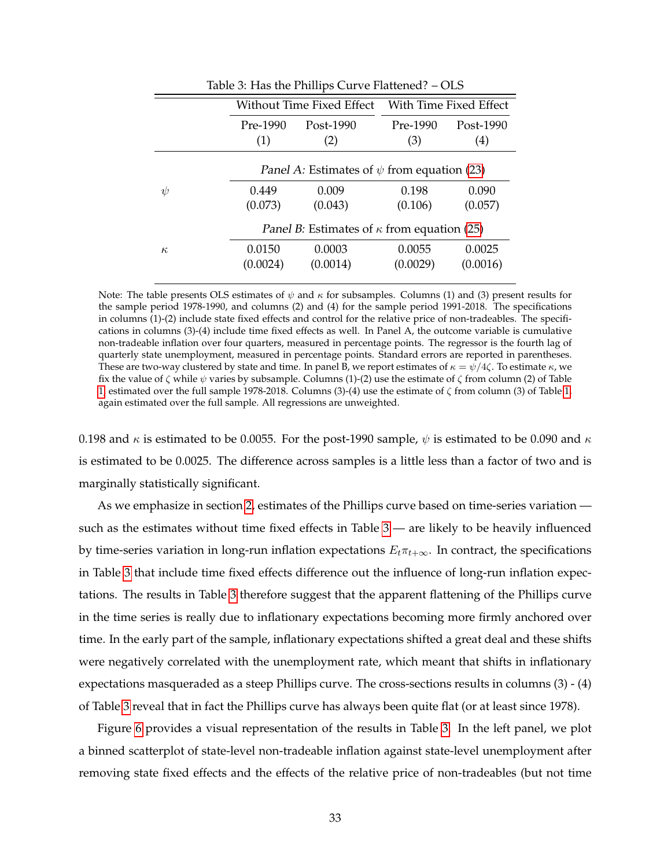<span id="page-33-0"></span>

|          | Without Time Fixed Effect                                                                     |                                                 | With Time Fixed Effect |                                |  |
|----------|-----------------------------------------------------------------------------------------------|-------------------------------------------------|------------------------|--------------------------------|--|
|          | Pre-1990<br>(1)                                                                               | Post-1990<br>(2)                                |                        | Post-1990<br>$\left( 4\right)$ |  |
|          |                                                                                               | Panel A: Estimates of $\psi$ from equation (23) |                        |                                |  |
| $\psi$   | 0.449                                                                                         | 0.009                                           | 0.198                  | 0.090                          |  |
|          | (0.073)<br>(0.043)<br>(0.057)<br>(0.106)<br>Panel B: Estimates of $\kappa$ from equation (25) |                                                 |                        |                                |  |
|          |                                                                                               |                                                 |                        |                                |  |
| $\kappa$ | 0.0150                                                                                        | 0.0003                                          | 0.0055                 | 0.0025                         |  |
|          | (0.0024)                                                                                      | (0.0014)                                        | (0.0029)               | (0.0016)                       |  |
|          |                                                                                               |                                                 |                        |                                |  |

Table 3: Has the Phillips Curve Flattened? – OLS

Note: The table presents OLS estimates of  $\psi$  and  $\kappa$  for subsamples. Columns (1) and (3) present results for the sample period 1978-1990, and columns (2) and (4) for the sample period 1991-2018. The specifications in columns (1)-(2) include state fixed effects and control for the relative price of non-tradeables. The specifications in columns (3)-(4) include time fixed effects as well. In Panel A, the outcome variable is cumulative non-tradeable inflation over four quarters, measured in percentage points. The regressor is the fourth lag of quarterly state unemployment, measured in percentage points. Standard errors are reported in parentheses. These are two-way clustered by state and time. In panel B, we report estimates of  $\kappa = \psi/4\zeta$ . To estimate  $\kappa$ , we fix the value of  $\zeta$  while  $\psi$  varies by subsample. Columns (1)-(2) use the estimate of  $\zeta$  from column (2) of Table [1,](#page-30-0) estimated over the full sample 1978-2018. Columns (3)-(4) use the estimate of ζ from column (3) of Table [1,](#page-30-0) again estimated over the full sample. All regressions are unweighted.

0.198 and  $\kappa$  is estimated to be 0.0055. For the post-1990 sample,  $\psi$  is estimated to be 0.090 and  $\kappa$ is estimated to be 0.0025. The difference across samples is a little less than a factor of two and is marginally statistically significant.

As we emphasize in section [2,](#page-8-0) estimates of the Phillips curve based on time-series variation such as the estimates without time fixed effects in Table  $3$  — are likely to be heavily influenced by time-series variation in long-run inflation expectations  $E_t\pi_{t+\infty}$ . In contract, the specifications in Table [3](#page-33-0) that include time fixed effects difference out the influence of long-run inflation expectations. The results in Table [3](#page-33-0) therefore suggest that the apparent flattening of the Phillips curve in the time series is really due to inflationary expectations becoming more firmly anchored over time. In the early part of the sample, inflationary expectations shifted a great deal and these shifts were negatively correlated with the unemployment rate, which meant that shifts in inflationary expectations masqueraded as a steep Phillips curve. The cross-sections results in columns (3) - (4) of Table [3](#page-33-0) reveal that in fact the Phillips curve has always been quite flat (or at least since 1978).

Figure [6](#page-34-0) provides a visual representation of the results in Table [3.](#page-33-0) In the left panel, we plot a binned scatterplot of state-level non-tradeable inflation against state-level unemployment after removing state fixed effects and the effects of the relative price of non-tradeables (but not time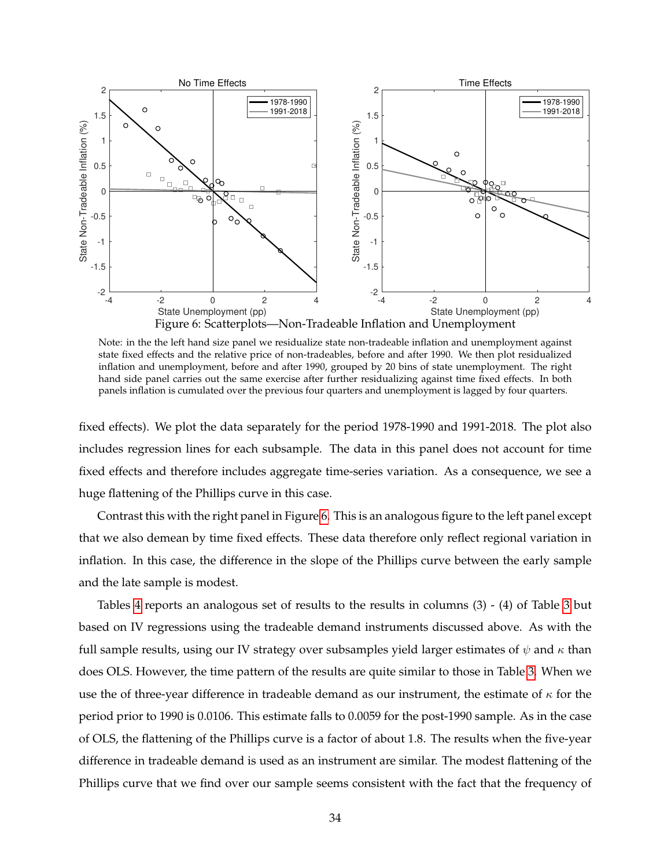<span id="page-34-0"></span>

Note: in the the left hand size panel we residualize state non-tradeable inflation and unemployment against state fixed effects and the relative price of non-tradeables, before and after 1990. We then plot residualized inflation and unemployment, before and after 1990, grouped by 20 bins of state unemployment. The right hand side panel carries out the same exercise after further residualizing against time fixed effects. In both panels inflation is cumulated over the previous four quarters and unemployment is lagged by four quarters.

fixed effects). We plot the data separately for the period 1978-1990 and 1991-2018. The plot also includes regression lines for each subsample. The data in this panel does not account for time fixed effects and therefore includes aggregate time-series variation. As a consequence, we see a huge flattening of the Phillips curve in this case.

Contrast this with the right panel in Figure [6.](#page-34-0) This is an analogous figure to the left panel except that we also demean by time fixed effects. These data therefore only reflect regional variation in inflation. In this case, the difference in the slope of the Phillips curve between the early sample and the late sample is modest.

Tables [4](#page-35-0) reports an analogous set of results to the results in columns (3) - (4) of Table [3](#page-33-0) but based on IV regressions using the tradeable demand instruments discussed above. As with the full sample results, using our IV strategy over subsamples yield larger estimates of  $\psi$  and  $\kappa$  than does OLS. However, the time pattern of the results are quite similar to those in Table [3.](#page-33-0) When we use the of three-year difference in tradeable demand as our instrument, the estimate of  $\kappa$  for the period prior to 1990 is 0.0106. This estimate falls to 0.0059 for the post-1990 sample. As in the case of OLS, the flattening of the Phillips curve is a factor of about 1.8. The results when the five-year difference in tradeable demand is used as an instrument are similar. The modest flattening of the Phillips curve that we find over our sample seems consistent with the fact that the frequency of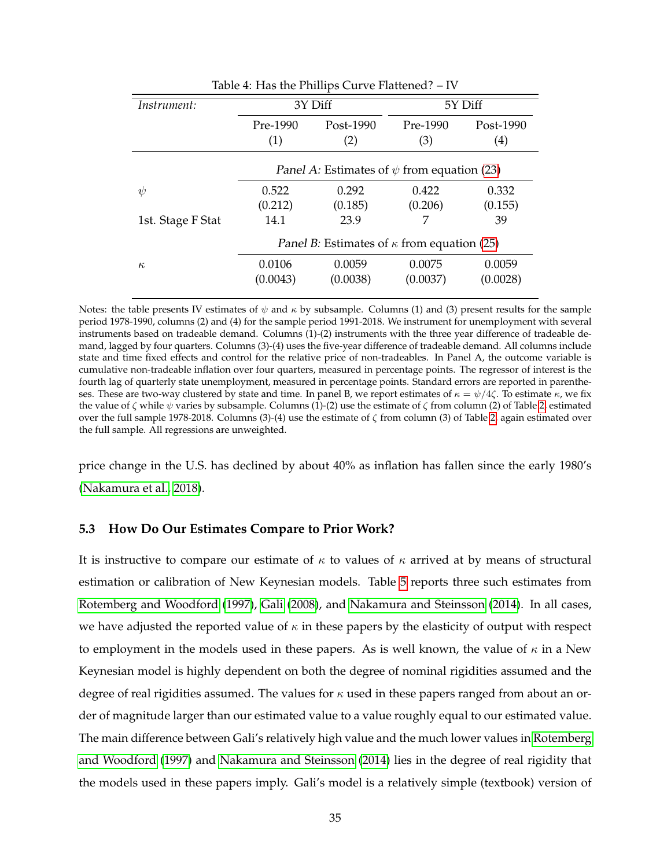<span id="page-35-0"></span>

| Table 4: Has the Phillips Curve Flattened? – IV |                                                        |           |          |           |
|-------------------------------------------------|--------------------------------------------------------|-----------|----------|-----------|
| Instrument:                                     | 3Y Diff<br>5Y Diff                                     |           |          |           |
|                                                 | Pre-1990                                               | Post-1990 | Pre-1990 | Post-1990 |
|                                                 | (1)                                                    | (2)       | (3)      | (4)       |
|                                                 | <i>Panel A:</i> Estimates of $\psi$ from equation (23) |           |          |           |
| $\psi$                                          | 0.522                                                  | 0.292     | 0.422    | 0.332     |
|                                                 | (0.212)                                                | (0.185)   | (0.206)  | (0.155)   |
| 1st. Stage F Stat                               | 14.1                                                   | 23.9      |          | 39        |
|                                                 | Panel B: Estimates of $\kappa$ from equation (25)      |           |          |           |
| $\kappa$                                        | 0.0106                                                 | 0.0059    | 0.0075   | 0.0059    |
|                                                 | (0.0043)                                               | (0.0038)  | (0.0037) | (0.0028)  |
|                                                 |                                                        |           |          |           |

Notes: the table presents IV estimates of  $\psi$  and  $\kappa$  by subsample. Columns (1) and (3) present results for the sample period 1978-1990, columns (2) and (4) for the sample period 1991-2018. We instrument for unemployment with several instruments based on tradeable demand. Columns (1)-(2) instruments with the three year difference of tradeable demand, lagged by four quarters. Columns (3)-(4) uses the five-year difference of tradeable demand. All columns include state and time fixed effects and control for the relative price of non-tradeables. In Panel A, the outcome variable is cumulative non-tradeable inflation over four quarters, measured in percentage points. The regressor of interest is the fourth lag of quarterly state unemployment, measured in percentage points. Standard errors are reported in parentheses. These are two-way clustered by state and time. In panel B, we report estimates of  $\kappa = \psi/4\zeta$ . To estimate  $\kappa$ , we fix the value of  $\zeta$  while  $\psi$  varies by subsample. Columns (1)-(2) use the estimate of  $\zeta$  from column (2) of Table [2,](#page-32-0) estimated over the full sample 1978-2018. Columns (3)-(4) use the estimate of ζ from column (3) of Table [2,](#page-32-0) again estimated over the full sample. All regressions are unweighted.

price change in the U.S. has declined by about 40% as inflation has fallen since the early 1980's [\(Nakamura et al., 2018\)](#page-69-11).

#### **5.3 How Do Our Estimates Compare to Prior Work?**

It is instructive to compare our estimate of  $\kappa$  to values of  $\kappa$  arrived at by means of structural estimation or calibration of New Keynesian models. Table [5](#page-36-0) reports three such estimates from [Rotemberg and Woodford](#page-69-17) [\(1997\)](#page-69-17), [Gali](#page-68-18) [\(2008\)](#page-68-18), and [Nakamura and Steinsson](#page-69-10) [\(2014\)](#page-69-10). In all cases, we have adjusted the reported value of  $\kappa$  in these papers by the elasticity of output with respect to employment in the models used in these papers. As is well known, the value of  $\kappa$  in a New Keynesian model is highly dependent on both the degree of nominal rigidities assumed and the degree of real rigidities assumed. The values for  $\kappa$  used in these papers ranged from about an order of magnitude larger than our estimated value to a value roughly equal to our estimated value. The main difference between Gali's relatively high value and the much lower values in [Rotemberg](#page-69-17) [and Woodford](#page-69-17) [\(1997\)](#page-69-17) and [Nakamura and Steinsson](#page-69-10) [\(2014\)](#page-69-10) lies in the degree of real rigidity that the models used in these papers imply. Gali's model is a relatively simple (textbook) version of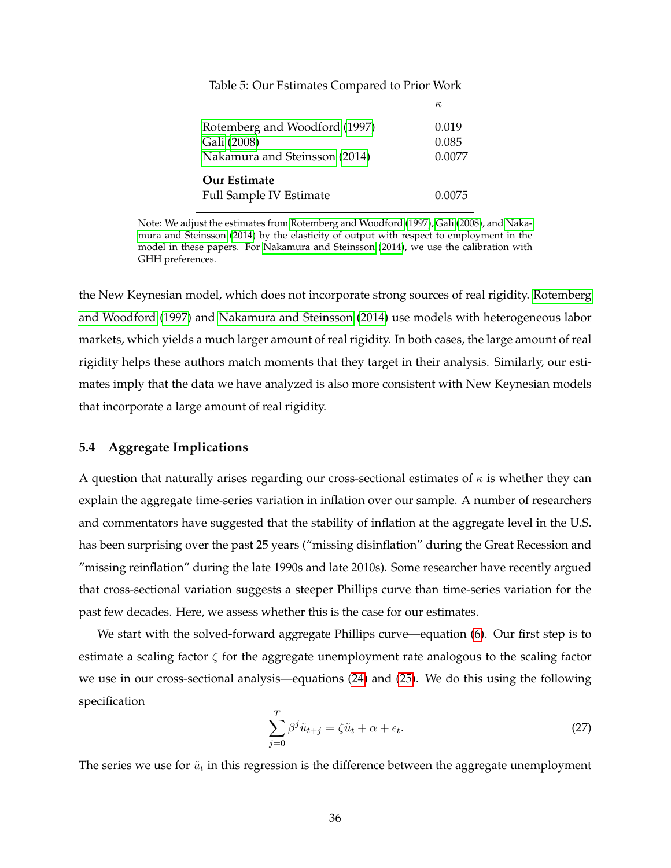<span id="page-36-0"></span>

|                                                                               | $\kappa$                 |
|-------------------------------------------------------------------------------|--------------------------|
| Rotemberg and Woodford (1997)<br>Gali (2008)<br>Nakamura and Steinsson (2014) | 0.019<br>0.085<br>0.0077 |
| <b>Our Estimate</b>                                                           |                          |
| <b>Full Sample IV Estimate</b>                                                | 0.0075                   |

Table 5: Our Estimates Compared to Prior Work

Note: We adjust the estimates from [Rotemberg and Woodford](#page-69-17) [\(1997\)](#page-69-17), [Gali](#page-68-18) [\(2008\)](#page-68-18), and [Naka](#page-69-10)[mura and Steinsson](#page-69-10) [\(2014\)](#page-69-10) by the elasticity of output with respect to employment in the model in these papers. For [Nakamura and Steinsson](#page-69-10) [\(2014\)](#page-69-10), we use the calibration with GHH preferences.

the New Keynesian model, which does not incorporate strong sources of real rigidity. [Rotemberg](#page-69-17) [and Woodford](#page-69-17) [\(1997\)](#page-69-17) and [Nakamura and Steinsson](#page-69-10) [\(2014\)](#page-69-10) use models with heterogeneous labor markets, which yields a much larger amount of real rigidity. In both cases, the large amount of real rigidity helps these authors match moments that they target in their analysis. Similarly, our estimates imply that the data we have analyzed is also more consistent with New Keynesian models that incorporate a large amount of real rigidity.

#### **5.4 Aggregate Implications**

A question that naturally arises regarding our cross-sectional estimates of  $\kappa$  is whether they can explain the aggregate time-series variation in inflation over our sample. A number of researchers and commentators have suggested that the stability of inflation at the aggregate level in the U.S. has been surprising over the past 25 years ("missing disinflation" during the Great Recession and "missing reinflation" during the late 1990s and late 2010s). Some researcher have recently argued that cross-sectional variation suggests a steeper Phillips curve than time-series variation for the past few decades. Here, we assess whether this is the case for our estimates.

We start with the solved-forward aggregate Phillips curve—equation [\(6\)](#page-8-4). Our first step is to estimate a scaling factor  $\zeta$  for the aggregate unemployment rate analogous to the scaling factor we use in our cross-sectional analysis—equations [\(24\)](#page-28-1) and [\(25\)](#page-28-2). We do this using the following specification

<span id="page-36-1"></span>
$$
\sum_{j=0}^{T} \beta^j \tilde{u}_{t+j} = \zeta \tilde{u}_t + \alpha + \epsilon_t.
$$
\n(27)

The series we use for  $\tilde{u}_t$  in this regression is the difference between the aggregate unemployment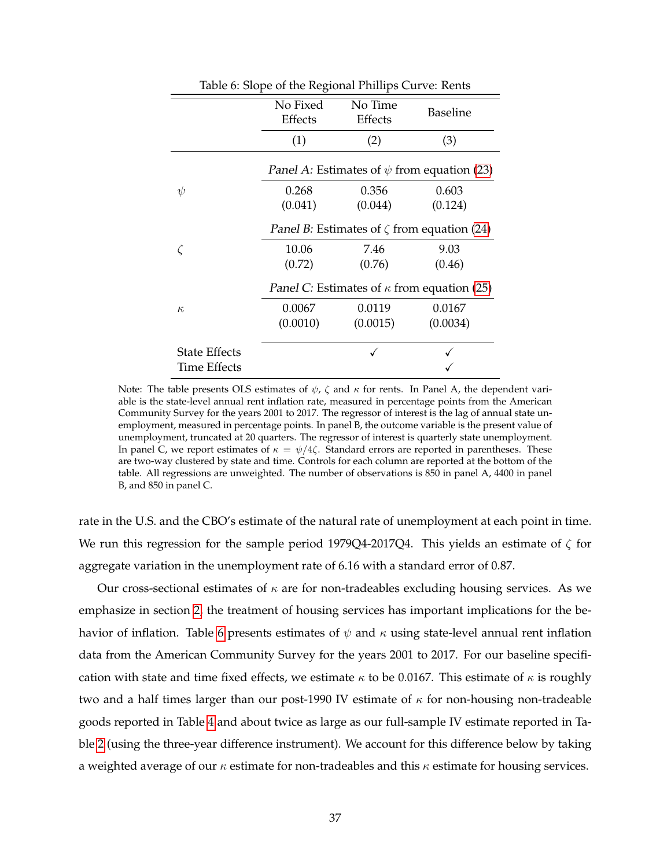<span id="page-37-0"></span>

|                      | Ŧ.<br>Ō             | ш                  |                                                         |
|----------------------|---------------------|--------------------|---------------------------------------------------------|
|                      | No Fixed<br>Effects | No Time<br>Effects | Baseline                                                |
|                      | (1)                 | (2)                | (3)                                                     |
|                      |                     |                    | <i>Panel A:</i> Estimates of $\psi$ from equation (23)  |
| $\psi$               | 0.268               | 0.356              | 0.603                                                   |
|                      | (0.041)             | (0.044)            | (0.124)                                                 |
|                      |                     |                    | <i>Panel B:</i> Estimates of $\zeta$ from equation (24) |
|                      | 10.06               | 7.46               | 9.03                                                    |
|                      | (0.72)              | (0.76)             | (0.46)                                                  |
|                      |                     |                    | Panel C: Estimates of $\kappa$ from equation (25)       |
| $\kappa$             | 0.0067              | 0.0119             | 0.0167                                                  |
|                      | (0.0010)            | (0.0015)           | (0.0034)                                                |
| <b>State Effects</b> |                     |                    |                                                         |
| Time Effects         |                     |                    |                                                         |

Table 6: Slope of the Regional Phillips Curve: Rents

Note: The table presents OLS estimates of  $\psi$ ,  $\zeta$  and  $\kappa$  for rents. In Panel A, the dependent variable is the state-level annual rent inflation rate, measured in percentage points from the American Community Survey for the years 2001 to 2017. The regressor of interest is the lag of annual state unemployment, measured in percentage points. In panel B, the outcome variable is the present value of unemployment, truncated at 20 quarters. The regressor of interest is quarterly state unemployment. In panel C, we report estimates of  $\kappa = \psi/4\zeta$ . Standard errors are reported in parentheses. These are two-way clustered by state and time. Controls for each column are reported at the bottom of the table. All regressions are unweighted. The number of observations is 850 in panel A, 4400 in panel B, and 850 in panel C.

rate in the U.S. and the CBO's estimate of the natural rate of unemployment at each point in time. We run this regression for the sample period 1979Q4-2017Q4. This yields an estimate of  $\zeta$  for aggregate variation in the unemployment rate of 6.16 with a standard error of 0.87.

Our cross-sectional estimates of  $\kappa$  are for non-tradeables excluding housing services. As we emphasize in section [2,](#page-8-0) the treatment of housing services has important implications for the be-havior of inflation. Table [6](#page-37-0) presents estimates of  $\psi$  and  $\kappa$  using state-level annual rent inflation data from the American Community Survey for the years 2001 to 2017. For our baseline specification with state and time fixed effects, we estimate  $\kappa$  to be 0.0167. This estimate of  $\kappa$  is roughly two and a half times larger than our post-1990 IV estimate of  $\kappa$  for non-housing non-tradeable goods reported in Table [4](#page-35-0) and about twice as large as our full-sample IV estimate reported in Table [2](#page-32-0) (using the three-year difference instrument). We account for this difference below by taking a weighted average of our  $\kappa$  estimate for non-tradeables and this  $\kappa$  estimate for housing services.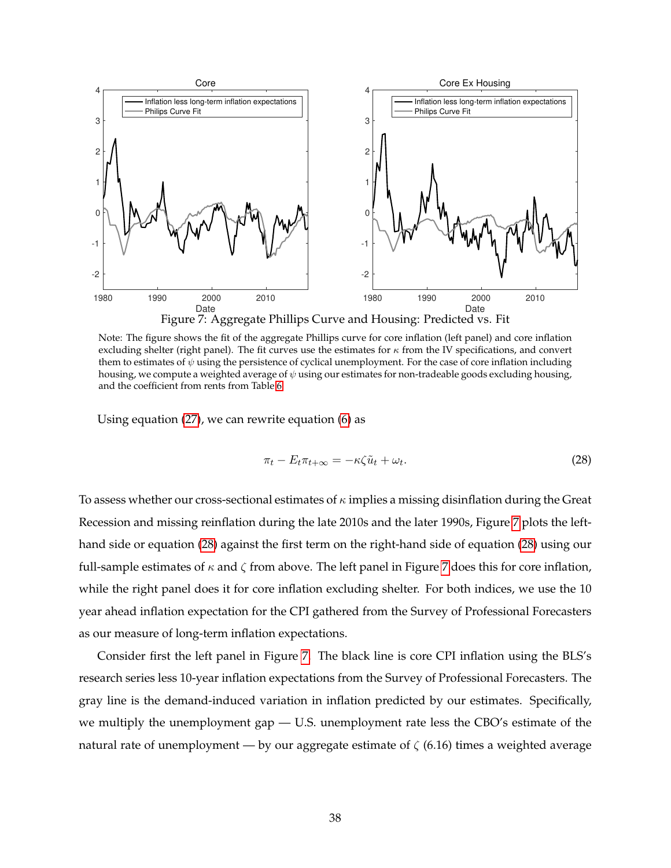<span id="page-38-0"></span>

Note: The figure shows the fit of the aggregate Phillips curve for core inflation (left panel) and core inflation excluding shelter (right panel). The fit curves use the estimates for  $\kappa$  from the IV specifications, and convert them to estimates of  $\psi$  using the persistence of cyclical unemployment. For the case of core inflation including housing, we compute a weighted average of  $\psi$  using our estimates for non-tradeable goods excluding housing, and the coefficient from rents from Table [6.](#page-37-0)

Using equation [\(27\)](#page-36-1), we can rewrite equation [\(6\)](#page-8-4) as

<span id="page-38-1"></span>
$$
\pi_t - E_t \pi_{t+\infty} = -\kappa \zeta \tilde{u}_t + \omega_t. \tag{28}
$$

To assess whether our cross-sectional estimates of  $\kappa$  implies a missing disinflation during the Great Recession and missing reinflation during the late 2010s and the later 1990s, Figure [7](#page-38-0) plots the lefthand side or equation [\(28\)](#page-38-1) against the first term on the right-hand side of equation [\(28\)](#page-38-1) using our full-sample estimates of  $\kappa$  and  $\zeta$  from above. The left panel in Figure [7](#page-38-0) does this for core inflation, while the right panel does it for core inflation excluding shelter. For both indices, we use the 10 year ahead inflation expectation for the CPI gathered from the Survey of Professional Forecasters as our measure of long-term inflation expectations.

Consider first the left panel in Figure [7.](#page-38-0) The black line is core CPI inflation using the BLS's research series less 10-year inflation expectations from the Survey of Professional Forecasters. The gray line is the demand-induced variation in inflation predicted by our estimates. Specifically, we multiply the unemployment gap — U.S. unemployment rate less the CBO's estimate of the natural rate of unemployment — by our aggregate estimate of  $\zeta$  (6.16) times a weighted average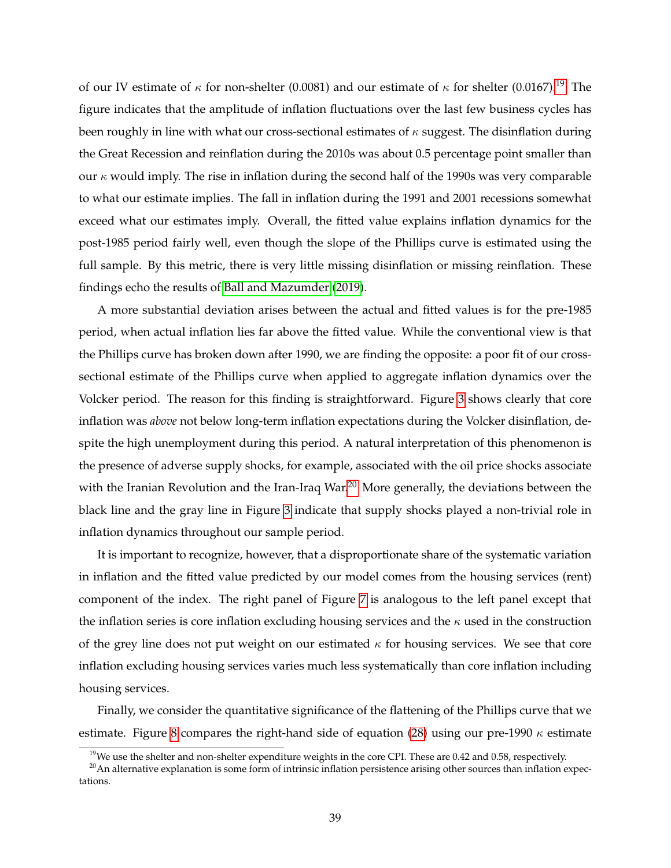of our IV estimate of  $\kappa$  for non-shelter (0.0081) and our estimate of  $\kappa$  for shelter (0.0167).<sup>[19](#page-39-0)</sup> The figure indicates that the amplitude of inflation fluctuations over the last few business cycles has been roughly in line with what our cross-sectional estimates of  $\kappa$  suggest. The disinflation during the Great Recession and reinflation during the 2010s was about 0.5 percentage point smaller than our  $\kappa$  would imply. The rise in inflation during the second half of the 1990s was very comparable to what our estimate implies. The fall in inflation during the 1991 and 2001 recessions somewhat exceed what our estimates imply. Overall, the fitted value explains inflation dynamics for the post-1985 period fairly well, even though the slope of the Phillips curve is estimated using the full sample. By this metric, there is very little missing disinflation or missing reinflation. These findings echo the results of [Ball and Mazumder](#page-67-6) [\(2019\)](#page-67-6).

A more substantial deviation arises between the actual and fitted values is for the pre-1985 period, when actual inflation lies far above the fitted value. While the conventional view is that the Phillips curve has broken down after 1990, we are finding the opposite: a poor fit of our crosssectional estimate of the Phillips curve when applied to aggregate inflation dynamics over the Volcker period. The reason for this finding is straightforward. Figure [3](#page-10-0) shows clearly that core inflation was *above* not below long-term inflation expectations during the Volcker disinflation, despite the high unemployment during this period. A natural interpretation of this phenomenon is the presence of adverse supply shocks, for example, associated with the oil price shocks associate with the Iranian Revolution and the Iran-Iraq War.<sup>[20](#page-39-1)</sup> More generally, the deviations between the black line and the gray line in Figure [3](#page-10-0) indicate that supply shocks played a non-trivial role in inflation dynamics throughout our sample period.

It is important to recognize, however, that a disproportionate share of the systematic variation in inflation and the fitted value predicted by our model comes from the housing services (rent) component of the index. The right panel of Figure [7](#page-38-0) is analogous to the left panel except that the inflation series is core inflation excluding housing services and the  $\kappa$  used in the construction of the grey line does not put weight on our estimated  $\kappa$  for housing services. We see that core inflation excluding housing services varies much less systematically than core inflation including housing services.

Finally, we consider the quantitative significance of the flattening of the Phillips curve that we estimate. Figure [8](#page-40-0) compares the right-hand side of equation [\(28\)](#page-38-1) using our pre-1990  $\kappa$  estimate

<span id="page-39-1"></span><span id="page-39-0"></span><sup>&</sup>lt;sup>19</sup>We use the shelter and non-shelter expenditure weights in the core CPI. These are 0.42 and 0.58, respectively.

 $20$ An alternative explanation is some form of intrinsic inflation persistence arising other sources than inflation expectations.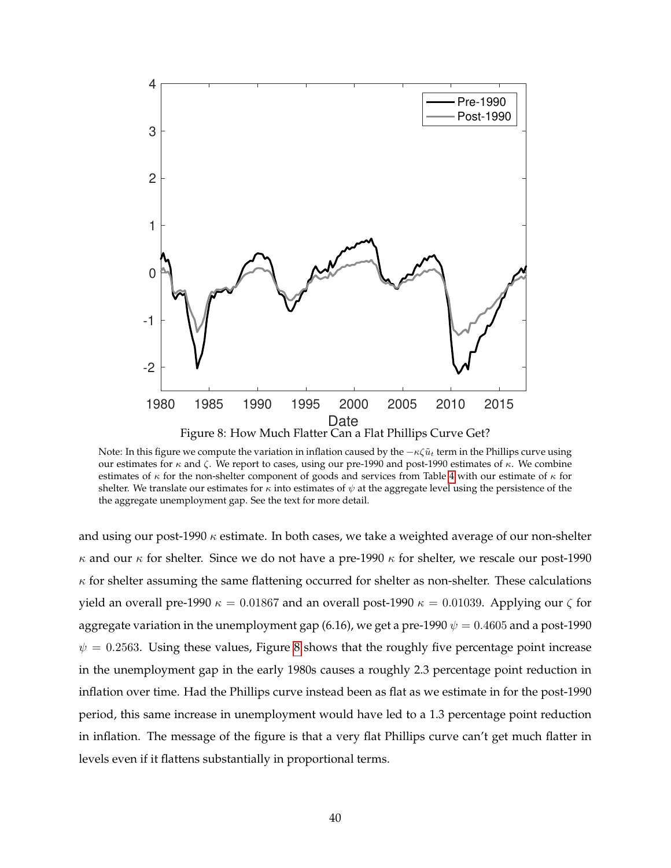<span id="page-40-0"></span>

Note: In this figure we compute the variation in inflation caused by the  $-\kappa\zeta\tilde{u}_t$  term in the Phillips curve using our estimates for  $κ$  and  $ζ$ . We report to cases, using our pre-1990 and post-1990 estimates of  $κ$ . We combine estimates of  $\kappa$  for the non-shelter component of goods and services from Table [4](#page-35-0) with our estimate of  $\kappa$  for shelter. We translate our estimates for  $\kappa$  into estimates of  $\psi$  at the aggregate level using the persistence of the the aggregate unemployment gap. See the text for more detail.

and using our post-1990  $\kappa$  estimate. In both cases, we take a weighted average of our non-shelter  $κ$  and our  $κ$  for shelter. Since we do not have a pre-1990  $κ$  for shelter, we rescale our post-1990  $\kappa$  for shelter assuming the same flattening occurred for shelter as non-shelter. These calculations yield an overall pre-1990  $\kappa = 0.01867$  and an overall post-1990  $\kappa = 0.01039$ . Applying our  $\zeta$  for aggregate variation in the unemployment gap (6.16), we get a pre-1990  $\psi = 0.4605$  and a post-1990  $\psi = 0.2563$ . Using these values, Figure [8](#page-40-0) shows that the roughly five percentage point increase in the unemployment gap in the early 1980s causes a roughly 2.3 percentage point reduction in inflation over time. Had the Phillips curve instead been as flat as we estimate in for the post-1990 period, this same increase in unemployment would have led to a 1.3 percentage point reduction in inflation. The message of the figure is that a very flat Phillips curve can't get much flatter in levels even if it flattens substantially in proportional terms.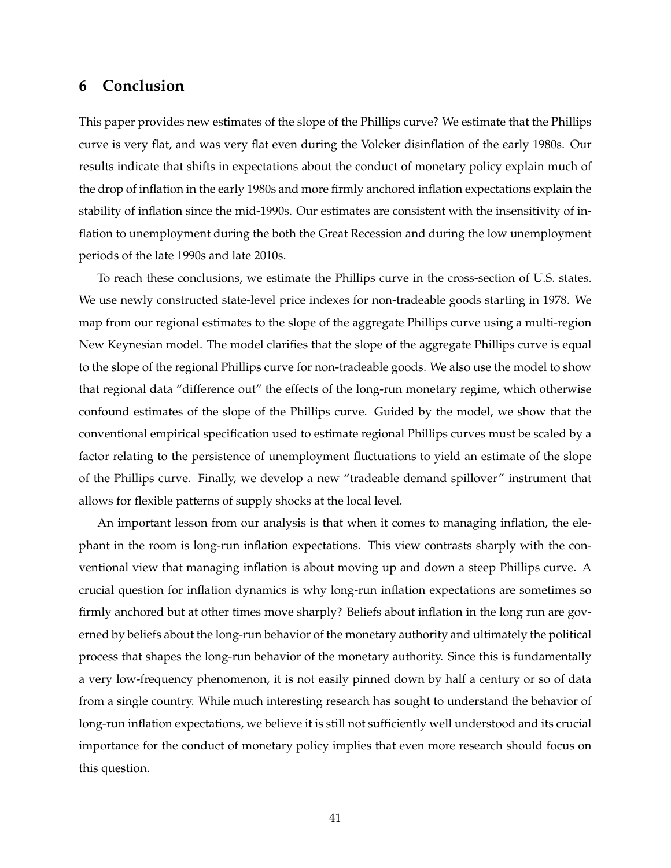## <span id="page-41-0"></span>**6 Conclusion**

This paper provides new estimates of the slope of the Phillips curve? We estimate that the Phillips curve is very flat, and was very flat even during the Volcker disinflation of the early 1980s. Our results indicate that shifts in expectations about the conduct of monetary policy explain much of the drop of inflation in the early 1980s and more firmly anchored inflation expectations explain the stability of inflation since the mid-1990s. Our estimates are consistent with the insensitivity of inflation to unemployment during the both the Great Recession and during the low unemployment periods of the late 1990s and late 2010s.

To reach these conclusions, we estimate the Phillips curve in the cross-section of U.S. states. We use newly constructed state-level price indexes for non-tradeable goods starting in 1978. We map from our regional estimates to the slope of the aggregate Phillips curve using a multi-region New Keynesian model. The model clarifies that the slope of the aggregate Phillips curve is equal to the slope of the regional Phillips curve for non-tradeable goods. We also use the model to show that regional data "difference out" the effects of the long-run monetary regime, which otherwise confound estimates of the slope of the Phillips curve. Guided by the model, we show that the conventional empirical specification used to estimate regional Phillips curves must be scaled by a factor relating to the persistence of unemployment fluctuations to yield an estimate of the slope of the Phillips curve. Finally, we develop a new "tradeable demand spillover" instrument that allows for flexible patterns of supply shocks at the local level.

An important lesson from our analysis is that when it comes to managing inflation, the elephant in the room is long-run inflation expectations. This view contrasts sharply with the conventional view that managing inflation is about moving up and down a steep Phillips curve. A crucial question for inflation dynamics is why long-run inflation expectations are sometimes so firmly anchored but at other times move sharply? Beliefs about inflation in the long run are governed by beliefs about the long-run behavior of the monetary authority and ultimately the political process that shapes the long-run behavior of the monetary authority. Since this is fundamentally a very low-frequency phenomenon, it is not easily pinned down by half a century or so of data from a single country. While much interesting research has sought to understand the behavior of long-run inflation expectations, we believe it is still not sufficiently well understood and its crucial importance for the conduct of monetary policy implies that even more research should focus on this question.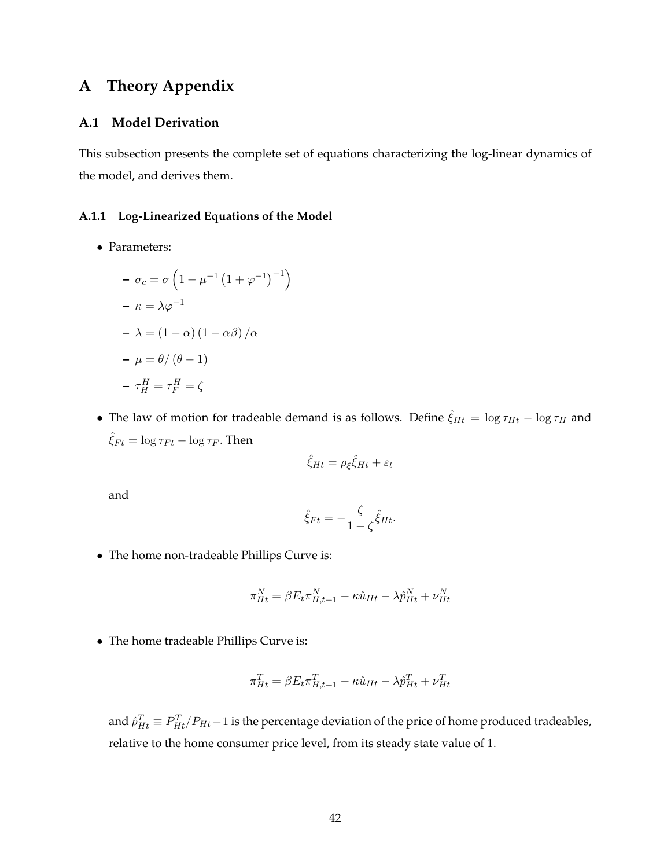# **A Theory Appendix**

## <span id="page-42-0"></span>**A.1 Model Derivation**

This subsection presents the complete set of equations characterizing the log-linear dynamics of the model, and derives them.

#### **A.1.1 Log-Linearized Equations of the Model**

• Parameters:

$$
- \sigma_c = \sigma \left( 1 - \mu^{-1} \left( 1 + \varphi^{-1} \right)^{-1} \right)
$$

$$
- \kappa = \lambda \varphi^{-1}
$$

$$
- \lambda = \left( 1 - \alpha \right) \left( 1 - \alpha \beta \right) / \alpha
$$

$$
- \mu = \theta / \left( \theta - 1 \right)
$$

$$
- \tau_H^H = \tau_F^H = \zeta
$$

• The law of motion for tradeable demand is as follows. Define  $\hat{\xi}_{Ht} = \log \tau_{Ht} - \log \tau_H$  and  $\hat{\xi}_{Ft} = \log \tau_{Ft} - \log \tau_F$ . Then

$$
\hat{\xi}_{Ht} = \rho_{\xi} \hat{\xi}_{Ht} + \varepsilon_t
$$

and

$$
\hat{\xi}_{Ft} = -\frac{\zeta}{1-\zeta} \hat{\xi}_{Ht}.
$$

• The home non-tradeable Phillips Curve is:

$$
\pi_{Ht}^N = \beta E_t \pi_{H,t+1}^N - \kappa \hat{u}_{Ht} - \lambda \hat{p}_{Ht}^N + \nu_{Ht}^N
$$

• The home tradeable Phillips Curve is:

$$
\pi_{Ht}^T = \beta E_t \pi_{H,t+1}^T - \kappa \hat{u}_{Ht} - \lambda \hat{p}_{Ht}^T + \nu_{Ht}^T
$$

and  $\hat{p}^T_{Ht} \equiv P^T_{Ht}/P_{Ht}-1$  is the percentage deviation of the price of home produced tradeables, relative to the home consumer price level, from its steady state value of 1.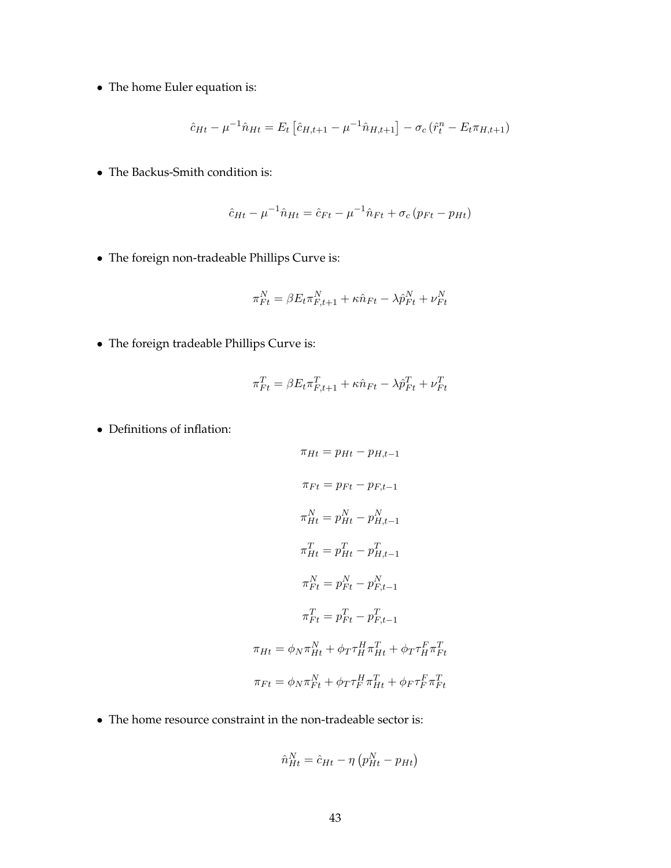• The home Euler equation is:

$$
\hat{c}_{Ht} - \mu^{-1} \hat{n}_{Ht} = E_t \left[ \hat{c}_{H,t+1} - \mu^{-1} \hat{n}_{H,t+1} \right] - \sigma_c \left( \hat{r}_t^n - E_t \pi_{H,t+1} \right)
$$

• The Backus-Smith condition is:

$$
\hat{c}_{Ht} - \mu^{-1} \hat{n}_{Ht} = \hat{c}_{Ft} - \mu^{-1} \hat{n}_{Ft} + \sigma_c (p_{Ft} - p_{Ht})
$$

• The foreign non-tradeable Phillips Curve is:

$$
\pi_{Ft}^N = \beta E_t \pi_{F,t+1}^N + \kappa \hat{n}_{Ft} - \lambda \hat{p}_{Ft}^N + \nu_{Ft}^N
$$

• The foreign tradeable Phillips Curve is:

$$
\pi_{Ft}^T = \beta E_t \pi_{F,t+1}^T + \kappa \hat{n}_{Ft} - \lambda \hat{p}_{Ft}^T + \nu_{Ft}^T
$$

• Definitions of inflation:

$$
\pi_{Ht} = p_{Ht} - p_{H,t-1}
$$
\n
$$
\pi_{Ft} = p_{Ft} - p_{F,t-1}
$$
\n
$$
\pi_{Ht}^{N} = p_{Ht}^{N} - p_{H,t-1}^{N}
$$
\n
$$
\pi_{Ht}^{T} = p_{Ht}^{T} - p_{H,t-1}^{T}
$$
\n
$$
\pi_{Ft}^{N} = p_{Ft}^{N} - p_{F,t-1}^{N}
$$
\n
$$
\pi_{Ft}^{T} = p_{Ft}^{T} - p_{F,t-1}^{T}
$$
\n
$$
\pi_{Ht} = \phi_N \pi_{Ht}^{N} + \phi_T \tau_{H}^{H} \pi_{Ht}^{T} + \phi_T \tau_{H}^{F} \pi_{Ft}^{T}
$$
\n
$$
\pi_{Ft} = \phi_N \pi_{Ft}^{N} + \phi_T \tau_{F}^{H} \pi_{Ht}^{T} + \phi_F \tau_{F}^{F} \pi_{Ft}^{T}
$$

• The home resource constraint in the non-tradeable sector is:

$$
\hat{n}_{Ht}^N = \hat{c}_{Ht} - \eta \left( p_{Ht}^N - p_{Ht} \right)
$$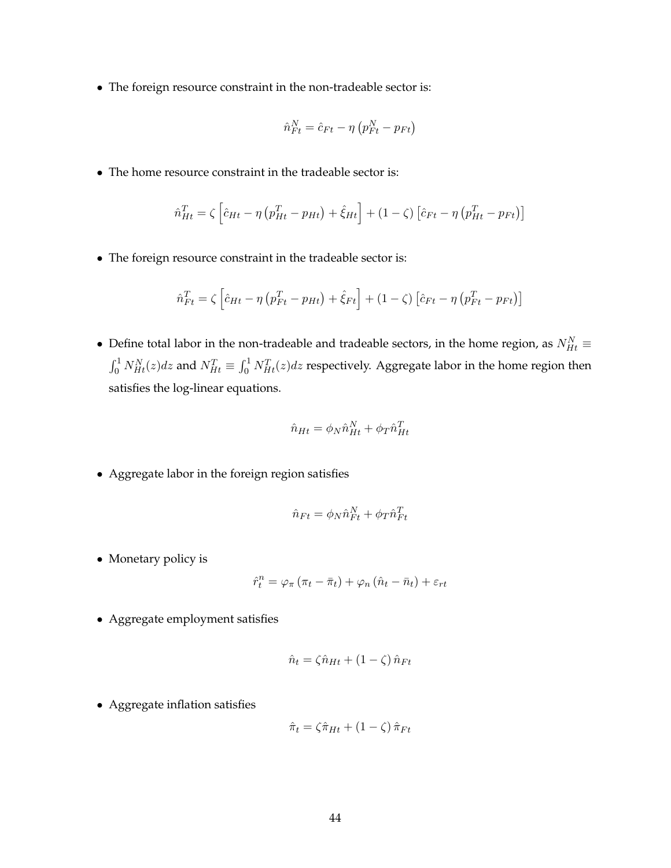• The foreign resource constraint in the non-tradeable sector is:

$$
\hat{n}_{Ft}^N = \hat{c}_{Ft} - \eta \left( p_{Ft}^N - p_{Ft} \right)
$$

• The home resource constraint in the tradeable sector is:

$$
\hat{n}_{Ht}^{T} = \zeta \left[ \hat{c}_{Ht} - \eta \left( p_{Ht}^{T} - p_{Ht} \right) + \hat{\xi}_{Ht} \right] + (1 - \zeta) \left[ \hat{c}_{Ft} - \eta \left( p_{Ht}^{T} - p_{Ft} \right) \right]
$$

• The foreign resource constraint in the tradeable sector is:

$$
\hat{n}_{Ft}^T = \zeta \left[ \hat{c}_{Ht} - \eta \left( p_{Ft}^T - p_{Ht} \right) + \hat{\xi}_{Ft} \right] + (1 - \zeta) \left[ \hat{c}_{Ft} - \eta \left( p_{Ft}^T - p_{Ft} \right) \right]
$$

• Define total labor in the non-tradeable and tradeable sectors, in the home region, as  $N_{Ht}^N \equiv$  $\int_0^1 N_{Ht}^N(z) dz$  and  $N_{Ht}^T \equiv \int_0^1 N_{Ht}^T(z) dz$  respectively. Aggregate labor in the home region then satisfies the log-linear equations.

$$
\hat{n}_{Ht} = \phi_N \hat{n}_{Ht}^N + \phi_T \hat{n}_{Ht}^T
$$

• Aggregate labor in the foreign region satisfies

$$
\hat{n}_{Ft} = \phi_N \hat{n}_{Ft}^N + \phi_T \hat{n}_{Ft}^T
$$

• Monetary policy is

$$
\hat{r}_t^n = \varphi_\pi (\pi_t - \bar{\pi}_t) + \varphi_n (\hat{n}_t - \bar{n}_t) + \varepsilon_{rt}
$$

• Aggregate employment satisfies

$$
\hat{n}_t = \zeta \hat{n}_{Ht} + (1 - \zeta) \hat{n}_{Ft}
$$

• Aggregate inflation satisfies

$$
\hat{\pi}_t = \zeta \hat{\pi}_{Ht} + (1 - \zeta) \hat{\pi}_{Ft}
$$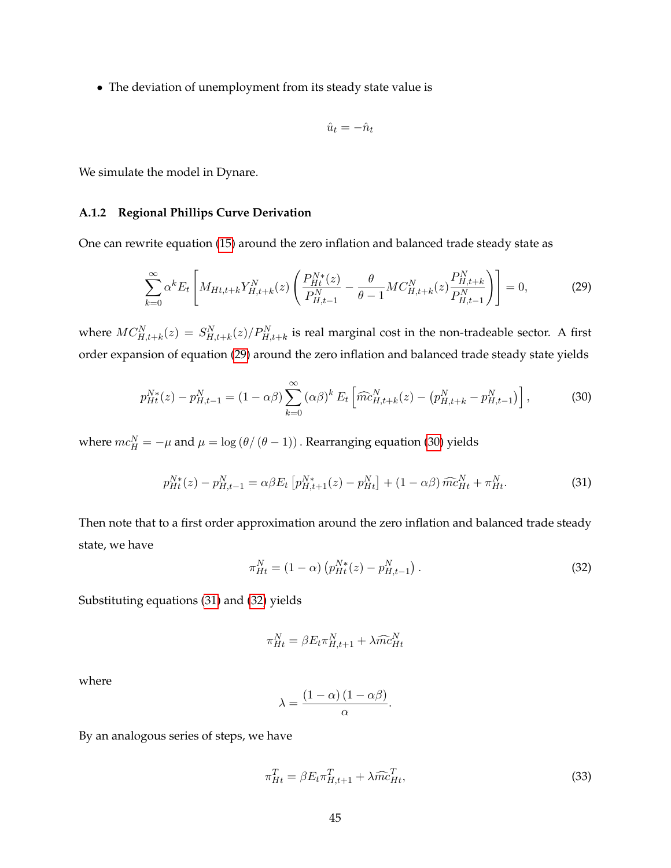• The deviation of unemployment from its steady state value is

$$
\hat{u}_t = -\hat{n}_t
$$

We simulate the model in Dynare.

#### **A.1.2 Regional Phillips Curve Derivation**

One can rewrite equation [\(15\)](#page-16-0) around the zero inflation and balanced trade steady state as

<span id="page-45-0"></span>
$$
\sum_{k=0}^{\infty} \alpha^k E_t \left[ M_{Ht, t+k} Y_{H, t+k}^N(z) \left( \frac{P_{Ht}^{N*}(z)}{P_{H, t-1}^N} - \frac{\theta}{\theta - 1} M C_{H, t+k}^N(z) \frac{P_{H, t+k}^N}{P_{H, t-1}^N} \right) \right] = 0,
$$
\n(29)

where  $MC_{H,t+k}^N(z) = S_{H,t+k}^N(z)/P_{H,t+k}^N$  is real marginal cost in the non-tradeable sector. A first order expansion of equation [\(29\)](#page-45-0) around the zero inflation and balanced trade steady state yields

<span id="page-45-1"></span>
$$
p_{Ht}^{N*}(z) - p_{H,t-1}^{N} = (1 - \alpha \beta) \sum_{k=0}^{\infty} (\alpha \beta)^k E_t \left[ \widehat{mc}_{H,t+k}^{N}(z) - (p_{H,t+k}^{N} - p_{H,t-1}^{N}) \right],
$$
 (30)

where  $mc_H^N=-\mu$  and  $\mu=\log\left(\theta/\left(\theta-1\right)\right)$  . Rearranging equation [\(30\)](#page-45-1) yields

<span id="page-45-2"></span>
$$
p_{Ht}^{N*}(z) - p_{H,t-1}^N = \alpha \beta E_t \left[ p_{H,t+1}^{N*}(z) - p_{Ht}^N \right] + (1 - \alpha \beta) \widehat{mc}_{Ht}^N + \pi_{Ht}^N. \tag{31}
$$

Then note that to a first order approximation around the zero inflation and balanced trade steady state, we have

<span id="page-45-3"></span>
$$
\pi_{Ht}^{N} = (1 - \alpha) \left( p_{Ht}^{N*}(z) - p_{H,t-1}^{N} \right). \tag{32}
$$

Substituting equations [\(31\)](#page-45-2) and [\(32\)](#page-45-3) yields

$$
\pi_{Ht}^N = \beta E_t \pi_{H,t+1}^N + \lambda \widehat{mc}_{Ht}^N
$$

where

$$
\lambda = \frac{(1 - \alpha) (1 - \alpha \beta)}{\alpha}.
$$

By an analogous series of steps, we have

$$
\pi_{Ht}^T = \beta E_t \pi_{H,t+1}^T + \lambda \widehat{mc}_{Ht}^T,\tag{33}
$$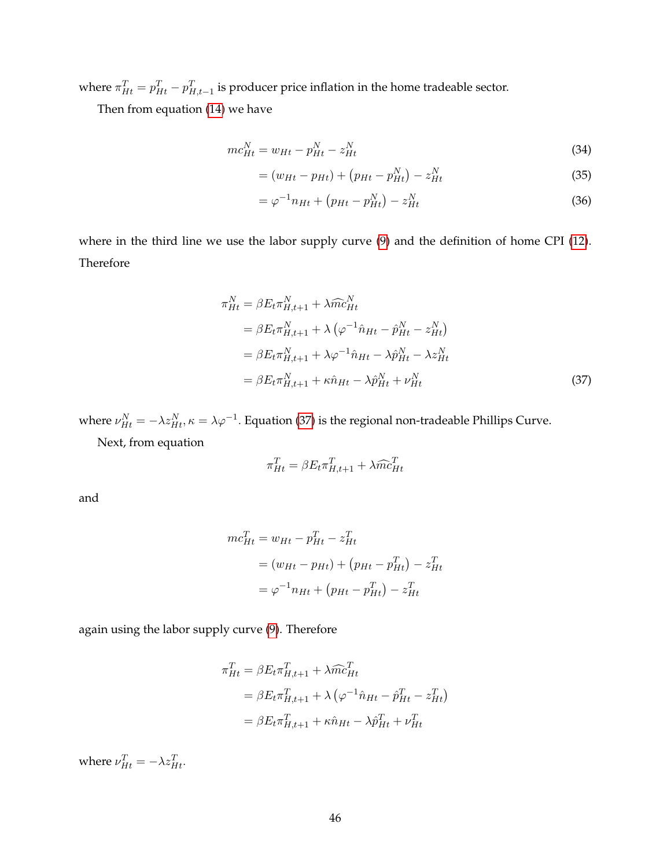where  $\pi_{Ht}^T = p_{Ht}^T - p_{H,t-1}^T$  is producer price inflation in the home tradeable sector.

Then from equation [\(14\)](#page-16-1) we have

$$
mc_{Ht}^{N} = w_{Ht} - p_{Ht}^{N} - z_{Ht}^{N}
$$
\n(34)

$$
= (w_{Ht} - p_{Ht}) + (p_{Ht} - p_{Ht}^N) - z_{Ht}^N
$$
\n(35)

$$
= \varphi^{-1} n_{Ht} + (p_{Ht} - p_{Ht}^N) - z_{Ht}^N
$$
\n(36)

where in the third line we use the labor supply curve [\(9\)](#page-14-0) and the definition of home CPI [\(12\)](#page-15-0). Therefore

$$
\pi_{Ht}^{N} = \beta E_{t} \pi_{H,t+1}^{N} + \lambda \widehat{m} c_{Ht}^{N}
$$
\n
$$
= \beta E_{t} \pi_{H,t+1}^{N} + \lambda \left( \varphi^{-1} \hat{n}_{Ht} - \hat{p}_{Ht}^{N} - z_{Ht}^{N} \right)
$$
\n
$$
= \beta E_{t} \pi_{H,t+1}^{N} + \lambda \varphi^{-1} \hat{n}_{Ht} - \lambda \hat{p}_{Ht}^{N} - \lambda z_{Ht}^{N}
$$
\n
$$
= \beta E_{t} \pi_{H,t+1}^{N} + \kappa \hat{n}_{Ht} - \lambda \hat{p}_{Ht}^{N} + \nu_{Ht}^{N}
$$
\n(37)

where  $\nu^N_{Ht}=-\lambda z^N_{Ht}, \kappa=\lambda\varphi^{-1}.$  Equation [\(37\)](#page-46-0) is the regional non-tradeable Phillips Curve.

Next, from equation

<span id="page-46-0"></span>
$$
\pi_{Ht}^T = \beta E_t \pi_{H,t+1}^T + \lambda \widehat{mc}_{Ht}^T
$$

and

$$
mc_{Ht}^{T} = w_{Ht} - p_{Ht}^{T} - z_{Ht}^{T}
$$
  
=  $(w_{Ht} - p_{Ht}) + (p_{Ht} - p_{Ht}^{T}) - z_{Ht}^{T}$   
=  $\varphi^{-1}n_{Ht} + (p_{Ht} - p_{Ht}^{T}) - z_{Ht}^{T}$ 

again using the labor supply curve [\(9\)](#page-14-0). Therefore

$$
\pi_{Ht}^{T} = \beta E_t \pi_{H,t+1}^{T} + \lambda \widehat{m} c_{Ht}^{T}
$$

$$
= \beta E_t \pi_{H,t+1}^{T} + \lambda \left( \varphi^{-1} \hat{n}_{Ht} - \hat{p}_{Ht}^{T} - z_{Ht}^{T} \right)
$$

$$
= \beta E_t \pi_{H,t+1}^{T} + \kappa \hat{n}_{Ht} - \lambda \hat{p}_{Ht}^{T} + \nu_{Ht}^{T}
$$

where  $\nu_{Ht}^T = -\lambda z_{Ht}^T$ .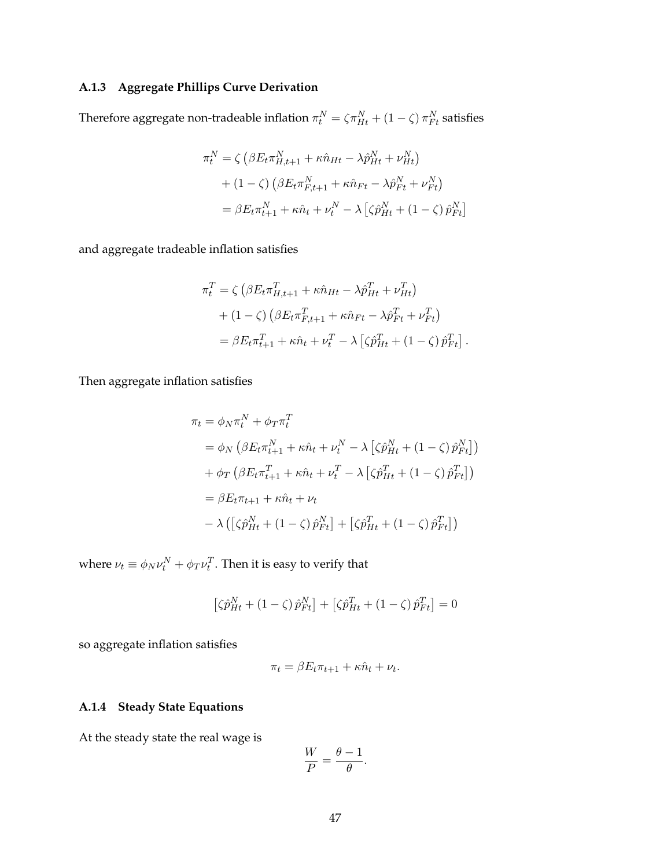## **A.1.3 Aggregate Phillips Curve Derivation**

Therefore aggregate non-tradeable inflation  $\pi^N_t = \zeta \pi^N_{Ht} + (1-\zeta) \, \pi^N_{Ft}$  satisfies

$$
\pi_t^N = \zeta \left( \beta E_t \pi_{H,t+1}^N + \kappa \hat{n}_{Ht} - \lambda \hat{p}_{Ht}^N + \nu_{Ht}^N \right)
$$

$$
+ (1 - \zeta) \left( \beta E_t \pi_{F,t+1}^N + \kappa \hat{n}_{Ft} - \lambda \hat{p}_{Ft}^N + \nu_{Ft}^N \right)
$$

$$
= \beta E_t \pi_{t+1}^N + \kappa \hat{n}_t + \nu_t^N - \lambda \left[ \zeta \hat{p}_{Ht}^N + (1 - \zeta) \hat{p}_{Ft}^N \right]
$$

and aggregate tradeable inflation satisfies

$$
\pi_t^T = \zeta \left( \beta E_t \pi_{H,t+1}^T + \kappa \hat{n}_{Ht} - \lambda \hat{p}_{Ht}^T + \nu_{Ht}^T \right)
$$

$$
+ (1 - \zeta) \left( \beta E_t \pi_{F,t+1}^T + \kappa \hat{n}_{Ft} - \lambda \hat{p}_{Ft}^T + \nu_{Ft}^T \right)
$$

$$
= \beta E_t \pi_{t+1}^T + \kappa \hat{n}_t + \nu_t^T - \lambda \left[ \zeta \hat{p}_{Ht}^T + (1 - \zeta) \hat{p}_{Ft}^T \right].
$$

Then aggregate inflation satisfies

$$
\pi_t = \phi_N \pi_t^N + \phi_T \pi_t^T
$$
  
\n
$$
= \phi_N \left( \beta E_t \pi_{t+1}^N + \kappa \hat{n}_t + \nu_t^N - \lambda \left[ \zeta \hat{p}_{Ht}^N + (1 - \zeta) \hat{p}_{Ft}^N \right] \right)
$$
  
\n
$$
+ \phi_T \left( \beta E_t \pi_{t+1}^T + \kappa \hat{n}_t + \nu_t^T - \lambda \left[ \zeta \hat{p}_{Ht}^T + (1 - \zeta) \hat{p}_{Ft}^T \right] \right)
$$
  
\n
$$
= \beta E_t \pi_{t+1} + \kappa \hat{n}_t + \nu_t
$$
  
\n
$$
- \lambda \left( \left[ \zeta \hat{p}_{Ht}^N + (1 - \zeta) \hat{p}_{Ft}^N \right] + \left[ \zeta \hat{p}_{Ht}^T + (1 - \zeta) \hat{p}_{Ft}^T \right] \right)
$$

where  $\nu_t \equiv \phi_N \nu^N_t + \phi_T \nu^T_t$ . Then it is easy to verify that

$$
\left[\zeta \hat{p}_{Ht}^N + (1 - \zeta) \hat{p}_{Ft}^N\right] + \left[\zeta \hat{p}_{Ht}^T + (1 - \zeta) \hat{p}_{Ft}^T\right] = 0
$$

so aggregate inflation satisfies

$$
\pi_t = \beta E_t \pi_{t+1} + \kappa \hat{n}_t + \nu_t.
$$

## **A.1.4 Steady State Equations**

At the steady state the real wage is

$$
\frac{W}{P} = \frac{\theta - 1}{\theta}.
$$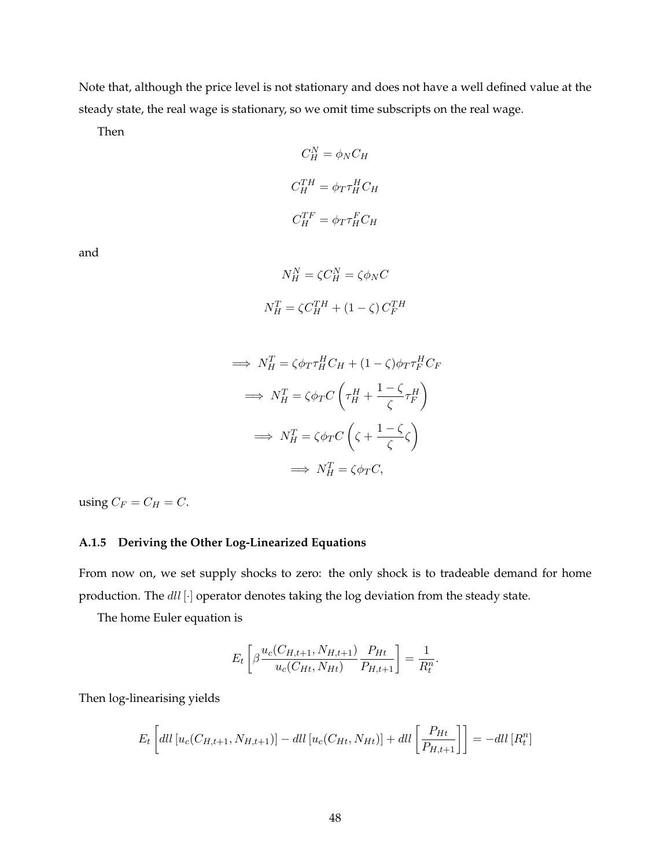Note that, although the price level is not stationary and does not have a well defined value at the steady state, the real wage is stationary, so we omit time subscripts on the real wage.

Then

$$
C_H^N = \phi_N C_H
$$

$$
C_H^{TH} = \phi_T \tau_H^H C_H
$$

$$
C_H^{TF} = \phi_T \tau_H^F C_H
$$

and

$$
N_H^N = \zeta C_H^N = \zeta \phi_N C
$$
  

$$
N_H^T = \zeta C_H^{TH} + (1 - \zeta) C_F^{TH}
$$

$$
\implies N_H^T = \zeta \phi_T \tau_H^H C_H + (1 - \zeta) \phi_T \tau_F^H C_F
$$
\n
$$
\implies N_H^T = \zeta \phi_T C \left( \tau_H^H + \frac{1 - \zeta}{\zeta} \tau_F^H \right)
$$
\n
$$
\implies N_H^T = \zeta \phi_T C \left( \zeta + \frac{1 - \zeta}{\zeta} \zeta \right)
$$
\n
$$
\implies N_H^T = \zeta \phi_T C,
$$

using  $C_F = C_H = C$ .

#### **A.1.5 Deriving the Other Log-Linearized Equations**

From now on, we set supply shocks to zero: the only shock is to tradeable demand for home production. The  $dll$  [·] operator denotes taking the log deviation from the steady state.

The home Euler equation is

$$
E_t\left[\beta \frac{u_c(C_{H,t+1}, N_{H,t+1})}{u_c(C_{Ht}, N_{Ht})} \frac{P_{Ht}}{P_{H,t+1}}\right] = \frac{1}{R_t^n}.
$$

Then log-linearising yields

$$
E_t\left[dll\left[u_c(C_{H,t+1}, N_{H,t+1})\right] - dll\left[u_c(C_{Ht}, N_{Ht})\right] + dll\left[\frac{P_{Ht}}{P_{H,t+1}}\right]\right] = -dll\left[R_t^n\right]
$$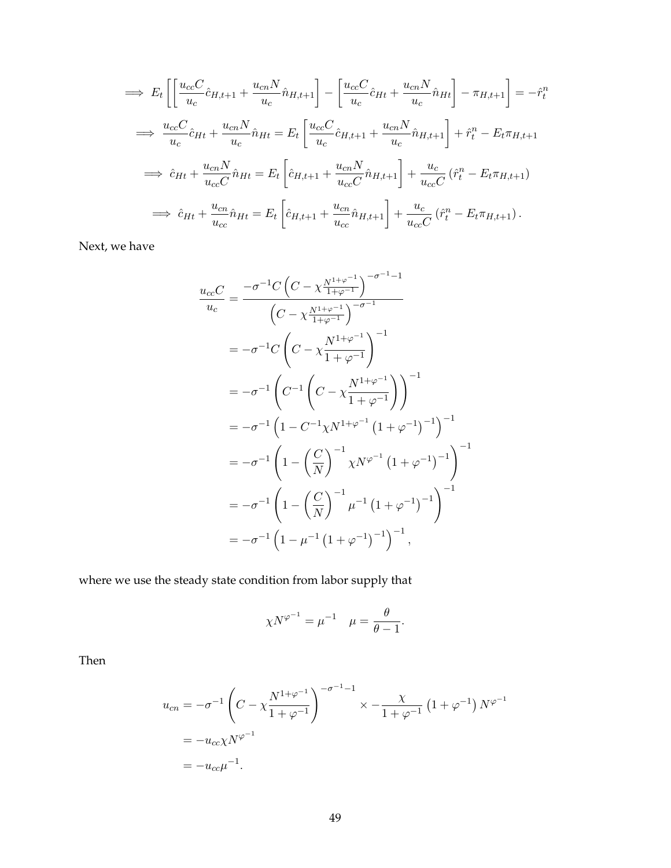$$
\Rightarrow E_t \left[ \left[ \frac{u_{cc}C}{u_c} \hat{c}_{H,t+1} + \frac{u_{cn}N}{u_c} \hat{n}_{H,t+1} \right] - \left[ \frac{u_{cc}C}{u_c} \hat{c}_{Ht} + \frac{u_{cn}N}{u_c} \hat{n}_{Ht} \right] - \pi_{H,t+1} \right] = -\hat{r}_t^n
$$
  
\n
$$
\Rightarrow \frac{u_{cc}C}{u_c} \hat{c}_{Ht} + \frac{u_{cn}N}{u_c} \hat{n}_{Ht} = E_t \left[ \frac{u_{cc}C}{u_c} \hat{c}_{H,t+1} + \frac{u_{cn}N}{u_c} \hat{n}_{H,t+1} \right] + \hat{r}_t^n - E_t \pi_{H,t+1}
$$
  
\n
$$
\Rightarrow \hat{c}_{Ht} + \frac{u_{cn}N}{u_{cc}C} \hat{n}_{Ht} = E_t \left[ \hat{c}_{H,t+1} + \frac{u_{cn}N}{u_{cc}C} \hat{n}_{H,t+1} \right] + \frac{u_c}{u_{cc}C} (\hat{r}_t^n - E_t \pi_{H,t+1})
$$
  
\n
$$
\Rightarrow \hat{c}_{Ht} + \frac{u_{cn}}{u_{cc}} \hat{n}_{Ht} = E_t \left[ \hat{c}_{H,t+1} + \frac{u_{cn}}{u_{cc}} \hat{n}_{H,t+1} \right] + \frac{u_c}{u_{cc}C} (\hat{r}_t^n - E_t \pi_{H,t+1}).
$$

Next, we have

$$
\frac{u_{cc}C}{u_c} = \frac{-\sigma^{-1}C\left(C - \chi^{\frac{N^{1+\varphi^{-1}}}{1+\varphi^{-1}}}\right)^{-\sigma^{-1}-1}}{\left(C - \chi^{\frac{N^{1+\varphi^{-1}}}{1+\varphi^{-1}}}\right)^{-\sigma^{-1}}}
$$
\n
$$
= -\sigma^{-1}C\left(C - \chi^{\frac{N^{1+\varphi^{-1}}}{1+\varphi^{-1}}}\right)^{-1}
$$
\n
$$
= -\sigma^{-1}\left(C^{-1}\left(C - \chi^{\frac{N^{1+\varphi^{-1}}}{1+\varphi^{-1}}}\right)\right)^{-1}
$$
\n
$$
= -\sigma^{-1}\left(1 - C^{-1}\chi N^{1+\varphi^{-1}}\left(1 + \varphi^{-1}\right)^{-1}\right)^{-1}
$$
\n
$$
= -\sigma^{-1}\left(1 - \left(\frac{C}{N}\right)^{-1}\chi N^{\varphi^{-1}}\left(1 + \varphi^{-1}\right)^{-1}\right)^{-1}
$$
\n
$$
= -\sigma^{-1}\left(1 - \left(\frac{C}{N}\right)^{-1}\mu^{-1}\left(1 + \varphi^{-1}\right)^{-1}\right)^{-1}
$$
\n
$$
= -\sigma^{-1}\left(1 - \mu^{-1}\left(1 + \varphi^{-1}\right)^{-1}\right)^{-1}
$$

where we use the steady state condition from labor supply that

$$
\chi N^{\varphi^{-1}} = \mu^{-1} \quad \mu = \frac{\theta}{\theta - 1}.
$$

Then

$$
u_{cn} = -\sigma^{-1} \left( C - \chi \frac{N^{1+\varphi^{-1}}}{1+\varphi^{-1}} \right)^{-\sigma^{-1}-1} \times -\frac{\chi}{1+\varphi^{-1}} \left( 1+\varphi^{-1} \right) N^{\varphi^{-1}}
$$
  
=  $-u_{cc} \chi N^{\varphi^{-1}}$   
=  $-u_{cc} \mu^{-1}$ .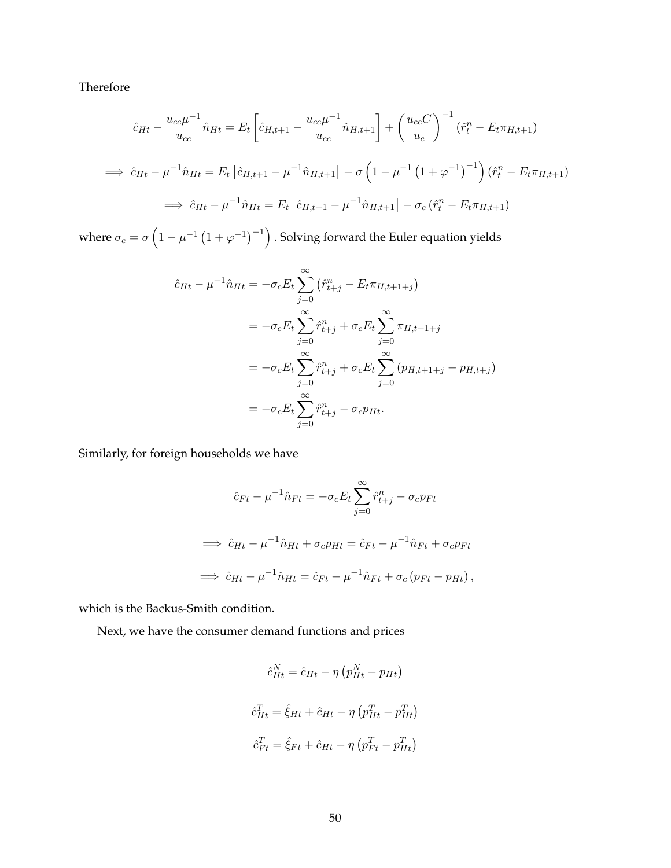Therefore

$$
\hat{c}_{Ht} - \frac{u_{cc}\mu^{-1}}{u_{cc}} \hat{n}_{Ht} = E_t \left[ \hat{c}_{H,t+1} - \frac{u_{cc}\mu^{-1}}{u_{cc}} \hat{n}_{H,t+1} \right] + \left( \frac{u_{cc}C}{u_c} \right)^{-1} (\hat{r}_t^n - E_t \pi_{H,t+1})
$$
\n
$$
\implies \hat{c}_{Ht} - \mu^{-1} \hat{n}_{Ht} = E_t \left[ \hat{c}_{H,t+1} - \mu^{-1} \hat{n}_{H,t+1} \right] - \sigma \left( 1 - \mu^{-1} \left( 1 + \varphi^{-1} \right)^{-1} \right) (\hat{r}_t^n - E_t \pi_{H,t+1})
$$
\n
$$
\implies \hat{c}_{Ht} - \mu^{-1} \hat{n}_{Ht} = E_t \left[ \hat{c}_{H,t+1} - \mu^{-1} \hat{n}_{H,t+1} \right] - \sigma_c (\hat{r}_t^n - E_t \pi_{H,t+1})
$$

where  $\sigma_c = \sigma \left( 1 - \mu^{-1} \left( 1 + \varphi^{-1} \right)^{-1} \right)$  . Solving forward the Euler equation yields

$$
\hat{c}_{Ht} - \mu^{-1}\hat{n}_{Ht} = -\sigma_c E_t \sum_{j=0}^{\infty} (\hat{r}_{t+j}^n - E_t \pi_{H,t+1+j})
$$
  
\n
$$
= -\sigma_c E_t \sum_{j=0}^{\infty} \hat{r}_{t+j}^n + \sigma_c E_t \sum_{j=0}^{\infty} \pi_{H,t+1+j}
$$
  
\n
$$
= -\sigma_c E_t \sum_{j=0}^{\infty} \hat{r}_{t+j}^n + \sigma_c E_t \sum_{j=0}^{\infty} (p_{H,t+1+j} - p_{H,t+j})
$$
  
\n
$$
= -\sigma_c E_t \sum_{j=0}^{\infty} \hat{r}_{t+j}^n - \sigma_c p_{Ht}.
$$

Similarly, for foreign households we have

$$
\hat{c}_{Ft} - \mu^{-1}\hat{n}_{Ft} = -\sigma_c E_t \sum_{j=0}^{\infty} \hat{r}_{t+j}^n - \sigma_c p_{Ft}
$$
  
\n
$$
\implies \hat{c}_{Ht} - \mu^{-1}\hat{n}_{Ht} + \sigma_c p_{Ht} = \hat{c}_{Ft} - \mu^{-1}\hat{n}_{Ft} + \sigma_c p_{Ft}
$$
  
\n
$$
\implies \hat{c}_{Ht} - \mu^{-1}\hat{n}_{Ht} = \hat{c}_{Ft} - \mu^{-1}\hat{n}_{Ft} + \sigma_c (p_{Ft} - p_{Ht}),
$$

which is the Backus-Smith condition.

Next, we have the consumer demand functions and prices

$$
\hat{c}_{Ht}^{N} = \hat{c}_{Ht} - \eta \left( p_{Ht}^{N} - p_{Ht} \right)
$$

$$
\hat{c}_{Ht}^{T} = \hat{\xi}_{Ht} + \hat{c}_{Ht} - \eta \left( p_{Ht}^{T} - p_{Ht}^{T} \right)
$$

$$
\hat{c}_{Ft}^{T} = \hat{\xi}_{Ft} + \hat{c}_{Ht} - \eta \left( p_{Ft}^{T} - p_{Ht}^{T} \right)
$$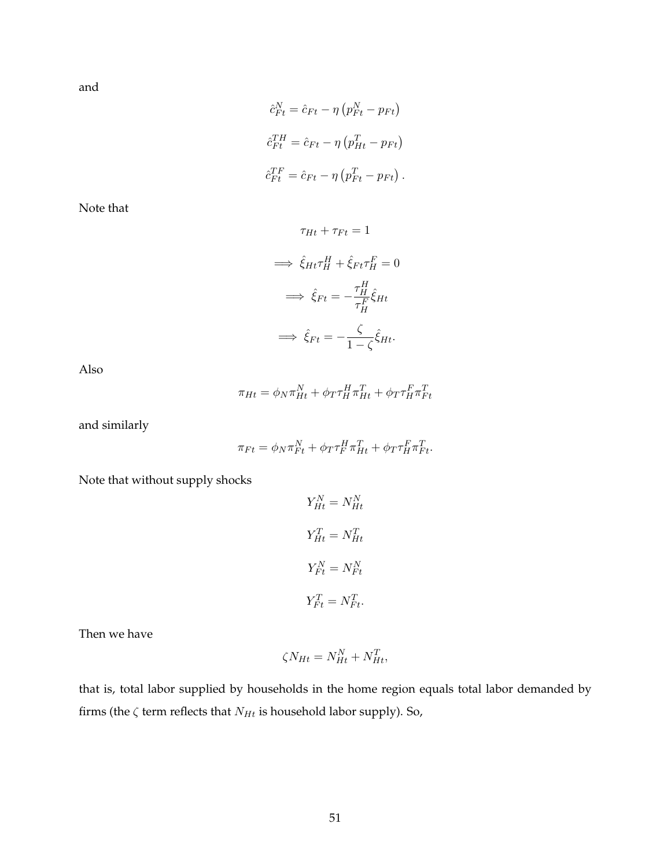and

$$
\hat{c}_{Ft}^{N} = \hat{c}_{Ft} - \eta (p_{Ft}^{N} - p_{Ft})
$$
\n
$$
\hat{c}_{Ft}^{TH} = \hat{c}_{Ft} - \eta (p_{Ht}^{T} - p_{Ft})
$$
\n
$$
\hat{c}_{Ft}^{TF} = \hat{c}_{Ft} - \eta (p_{Ft}^{T} - p_{Ft}).
$$

Note that

$$
\tau_{Ht} + \tau_{Ft} = 1
$$

$$
\implies \hat{\xi}_{Ht}\tau_H^H + \hat{\xi}_{Ft}\tau_H^F = 0
$$

$$
\implies \hat{\xi}_{Ft} = -\frac{\tau_H^H}{\tau_H^F}\hat{\xi}_{Ht}
$$

$$
\implies \hat{\xi}_{Ft} = -\frac{\zeta}{1-\zeta}\hat{\xi}_{Ht}.
$$

Also

$$
\pi_{Ht} = \phi_N \pi_{Ht}^N + \phi_T \tau_H^H \pi_{Ht}^T + \phi_T \tau_H^F \pi_{Ft}^T
$$

and similarly

$$
\pi_{Ft} = \phi_N \pi_{Ft}^N + \phi_T \tau_F^H \pi_{Ht}^T + \phi_T \tau_H^F \pi_{Ft}^T.
$$

Note that without supply shocks

$$
Y_{Ht}^{N} = N_{Ht}^{N}
$$

$$
Y_{Ht}^{T} = N_{Ht}^{T}
$$

$$
Y_{Ft}^{N} = N_{Ft}^{N}
$$

$$
Y_{Ft}^{T} = N_{Ft}^{T}.
$$

Then we have

$$
\zeta N_{Ht} = N_{Ht}^N + N_{Ht}^T,
$$

that is, total labor supplied by households in the home region equals total labor demanded by firms (the  $\zeta$  term reflects that  $N_{Ht}$  is household labor supply). So,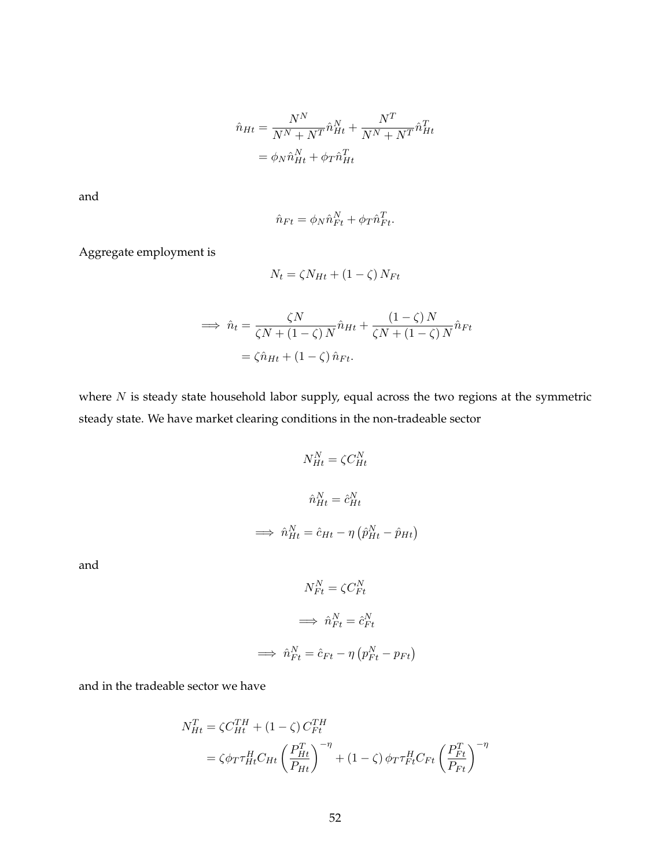$$
\hat{n}_{Ht} = \frac{N^N}{N^N + N^T} \hat{n}_{Ht}^N + \frac{N^T}{N^N + N^T} \hat{n}_{Ht}^T
$$

$$
= \phi_N \hat{n}_{Ht}^N + \phi_T \hat{n}_{Ht}^T
$$

and

$$
\hat{n}_{Ft} = \phi_N \hat{n}_{Ft}^N + \phi_T \hat{n}_{Ft}^T.
$$

Aggregate employment is

$$
N_t = \zeta N_{Ht} + (1 - \zeta) N_{Ft}
$$

$$
\implies \hat{n}_t = \frac{\zeta N}{\zeta N + (1 - \zeta) N} \hat{n}_{Ht} + \frac{(1 - \zeta) N}{\zeta N + (1 - \zeta) N} \hat{n}_{Ft}
$$

$$
= \zeta \hat{n}_{Ht} + (1 - \zeta) \hat{n}_{Ft}.
$$

where  $N$  is steady state household labor supply, equal across the two regions at the symmetric steady state. We have market clearing conditions in the non-tradeable sector

$$
N_{Ht}^{N} = \zeta C_{Ht}^{N}
$$

$$
\hat{n}_{Ht}^{N} = \hat{c}_{Ht}^{N}
$$

$$
\implies \hat{n}_{Ht}^{N} = \hat{c}_{Ht} - \eta \left(\hat{p}_{Ht}^{N} - \hat{p}_{Ht}\right)
$$

and

$$
N_{Ft}^{N} = \zeta C_{Ft}^{N}
$$

$$
\implies \hat{n}_{Ft}^{N} = \hat{c}_{Ft}^{N}
$$

$$
\implies \hat{n}_{Ft}^{N} = \hat{c}_{Ft} - \eta (p_{Ft}^{N} - p_{Ft})
$$

and in the tradeable sector we have

$$
N_{Ht}^{T} = \zeta C_{Ht}^{TH} + (1 - \zeta) C_{Ft}^{TH}
$$
  
=  $\zeta \phi_T \tau_{Ht}^H C_{Ht} \left(\frac{P_{Ht}^T}{P_{Ht}}\right)^{-\eta} + (1 - \zeta) \phi_T \tau_{Ft}^H C_{Ft} \left(\frac{P_{Ft}^T}{P_{Ft}}\right)^{-\eta}$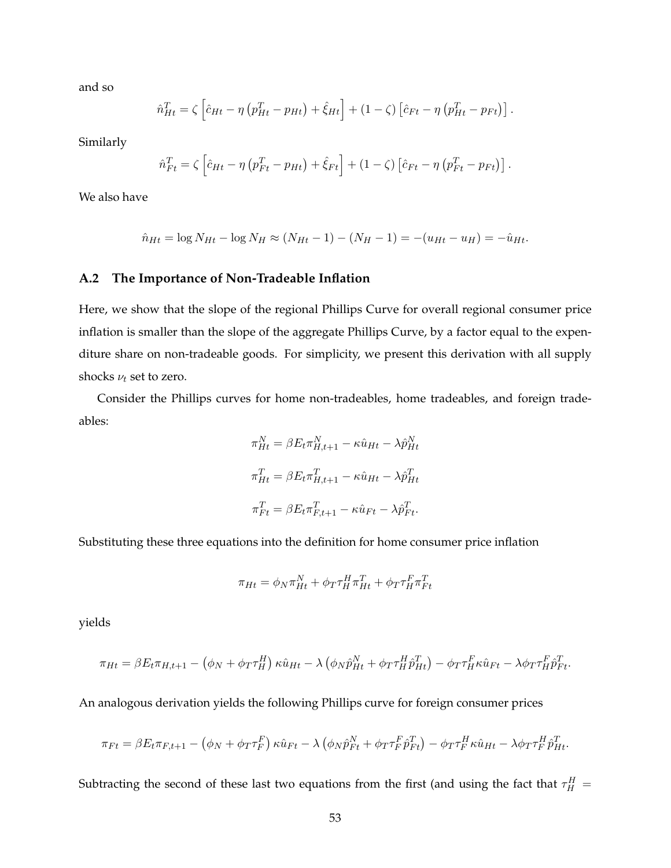and so

$$
\hat{n}_{Ht}^T = \zeta \left[ \hat{c}_{Ht} - \eta \left( p_{Ht}^T - p_{Ht} \right) + \hat{\xi}_{Ht} \right] + (1 - \zeta) \left[ \hat{c}_{Ft} - \eta \left( p_{Ht}^T - p_{Ft} \right) \right].
$$

Similarly

$$
\hat{n}_{Ft}^T = \zeta \left[ \hat{c}_{Ht} - \eta \left( p_{Ft}^T - p_{Ht} \right) + \hat{\xi}_{Ft} \right] + (1 - \zeta) \left[ \hat{c}_{Ft} - \eta \left( p_{Ft}^T - p_{Ft} \right) \right].
$$

We also have

$$
\hat{n}_{Ht} = \log N_{Ht} - \log N_H \approx (N_{Ht} - 1) - (N_H - 1) = -(u_{Ht} - u_H) = -\hat{u}_{Ht}.
$$

## <span id="page-53-0"></span>**A.2 The Importance of Non-Tradeable Inflation**

Here, we show that the slope of the regional Phillips Curve for overall regional consumer price inflation is smaller than the slope of the aggregate Phillips Curve, by a factor equal to the expenditure share on non-tradeable goods. For simplicity, we present this derivation with all supply shocks  $\nu_t$  set to zero.

Consider the Phillips curves for home non-tradeables, home tradeables, and foreign tradeables:

$$
\pi_{Ht}^N = \beta E_t \pi_{H,t+1}^N - \kappa \hat{u}_{Ht} - \lambda \hat{p}_{Ht}^N
$$

$$
\pi_{Ht}^T = \beta E_t \pi_{H,t+1}^T - \kappa \hat{u}_{Ht} - \lambda \hat{p}_{Ht}^T
$$

$$
\pi_{Ft}^T = \beta E_t \pi_{F,t+1}^T - \kappa \hat{u}_{Ft} - \lambda \hat{p}_{Ft}^T.
$$

Substituting these three equations into the definition for home consumer price inflation

$$
\pi_{Ht} = \phi_N \pi_{Ht}^N + \phi_T \tau_H^H \pi_{Ht}^T + \phi_T \tau_H^F \pi_{Ft}^T
$$

yields

$$
\pi_{Ht} = \beta E_t \pi_{H,t+1} - \left(\phi_N + \phi_T \tau_H^H\right) \kappa \hat{u}_{Ht} - \lambda \left(\phi_N \hat{p}_{Ht}^N + \phi_T \tau_H^H \hat{p}_{Ht}^T\right) - \phi_T \tau_H^F \kappa \hat{u}_{Ft} - \lambda \phi_T \tau_H^F \hat{p}_{Ft}^T.
$$

An analogous derivation yields the following Phillips curve for foreign consumer prices

$$
\pi_{Ft} = \beta E_t \pi_{F,t+1} - \left(\phi_N + \phi_T \tau_F^F\right) \kappa \hat{u}_{Ft} - \lambda \left(\phi_N \hat{p}_{Ft}^N + \phi_T \tau_F^F \hat{p}_{Ft}^T\right) - \phi_T \tau_F^H \kappa \hat{u}_{Ht} - \lambda \phi_T \tau_F^H \hat{p}_{Ht}^T.
$$

Subtracting the second of these last two equations from the first (and using the fact that  $\tau_H^H =$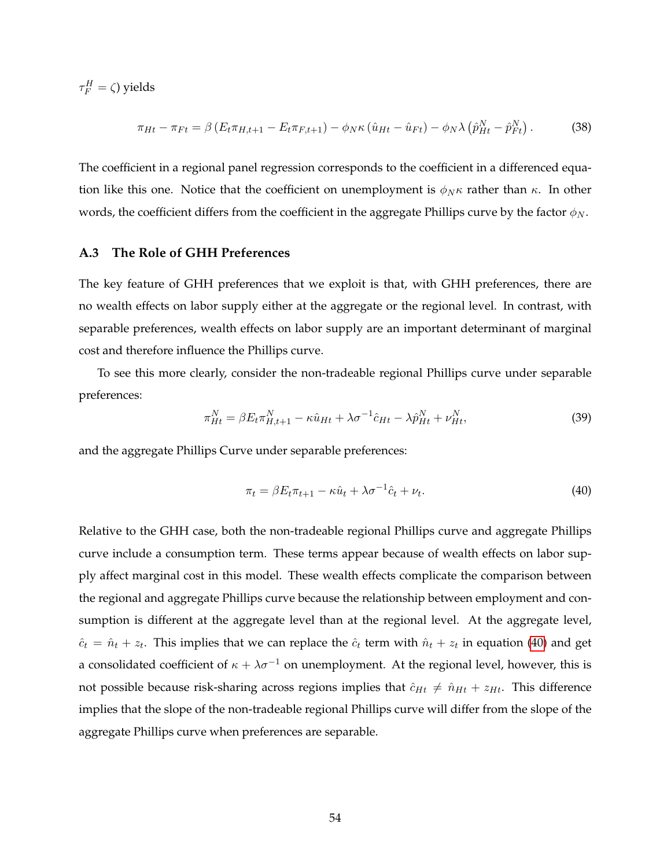$\tau_F^H = \zeta$ ) yields

$$
\pi_{Ht} - \pi_{Ft} = \beta \left( E_t \pi_{H, t+1} - E_t \pi_{F, t+1} \right) - \phi_N \kappa \left( \hat{u}_{Ht} - \hat{u}_{Ft} \right) - \phi_N \lambda \left( \hat{p}_{Ht}^N - \hat{p}_{Ft}^N \right). \tag{38}
$$

The coefficient in a regional panel regression corresponds to the coefficient in a differenced equation like this one. Notice that the coefficient on unemployment is  $\phi_N \kappa$  rather than  $\kappa$ . In other words, the coefficient differs from the coefficient in the aggregate Phillips curve by the factor  $\phi_N$ .

## <span id="page-54-0"></span>**A.3 The Role of GHH Preferences**

The key feature of GHH preferences that we exploit is that, with GHH preferences, there are no wealth effects on labor supply either at the aggregate or the regional level. In contrast, with separable preferences, wealth effects on labor supply are an important determinant of marginal cost and therefore influence the Phillips curve.

To see this more clearly, consider the non-tradeable regional Phillips curve under separable preferences:

$$
\pi_{Ht}^N = \beta E_t \pi_{H,t+1}^N - \kappa \hat{u}_{Ht} + \lambda \sigma^{-1} \hat{c}_{Ht} - \lambda \hat{p}_{Ht}^N + \nu_{Ht}^N, \tag{39}
$$

and the aggregate Phillips Curve under separable preferences:

<span id="page-54-1"></span>
$$
\pi_t = \beta E_t \pi_{t+1} - \kappa \hat{u}_t + \lambda \sigma^{-1} \hat{c}_t + \nu_t. \tag{40}
$$

Relative to the GHH case, both the non-tradeable regional Phillips curve and aggregate Phillips curve include a consumption term. These terms appear because of wealth effects on labor supply affect marginal cost in this model. These wealth effects complicate the comparison between the regional and aggregate Phillips curve because the relationship between employment and consumption is different at the aggregate level than at the regional level. At the aggregate level,  $\hat{c}_t = \hat{n}_t + z_t$ . This implies that we can replace the  $\hat{c}_t$  term with  $\hat{n}_t + z_t$  in equation [\(40\)](#page-54-1) and get a consolidated coefficient of  $\kappa + \lambda \sigma^{-1}$  on unemployment. At the regional level, however, this is not possible because risk-sharing across regions implies that  $\hat{c}_{Ht} \neq \hat{n}_{Ht} + z_{Ht}$ . This difference implies that the slope of the non-tradeable regional Phillips curve will differ from the slope of the aggregate Phillips curve when preferences are separable.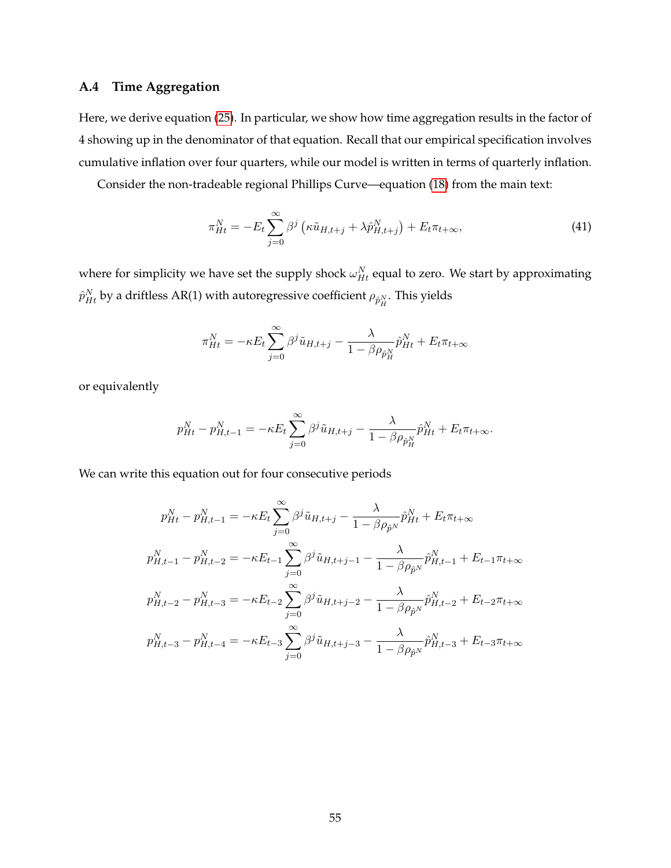## <span id="page-55-0"></span>**A.4 Time Aggregation**

Here, we derive equation [\(25\)](#page-28-2). In particular, we show how time aggregation results in the factor of 4 showing up in the denominator of that equation. Recall that our empirical specification involves cumulative inflation over four quarters, while our model is written in terms of quarterly inflation.

Consider the non-tradeable regional Phillips Curve—equation [\(18\)](#page-20-0) from the main text:

$$
\pi_{Ht}^N = -E_t \sum_{j=0}^{\infty} \beta^j \left( \kappa \tilde{u}_{H,t+j} + \lambda \hat{p}_{H,t+j}^N \right) + E_t \pi_{t+\infty}, \tag{41}
$$

where for simplicity we have set the supply shock  $\omega_{Ht}^N$  equal to zero. We start by approximating  $\hat{p}^N_{Ht}$  by a driftless AR(1) with autoregressive coefficient  $\rho_{\hat{p}^N_H}.$  This yields

$$
\pi_{Ht}^N = -\kappa E_t \sum_{j=0}^{\infty} \beta^j \tilde{u}_{H,t+j} - \frac{\lambda}{1 - \beta \rho_{\hat{p}_H^N}} \hat{p}_{Ht}^N + E_t \pi_{t+\infty}
$$

or equivalently

$$
p_{Ht}^N - p_{H,t-1}^N = -\kappa E_t \sum_{j=0}^{\infty} \beta^j \tilde{u}_{H,t+j} - \frac{\lambda}{1 - \beta \rho_{\hat{p}_H^N}} \hat{p}_{Ht}^N + E_t \pi_{t+\infty}.
$$

We can write this equation out for four consecutive periods

$$
p_{Ht}^{N} - p_{H,t-1}^{N} = -\kappa E_{t} \sum_{j=0}^{\infty} \beta^{j} \tilde{u}_{H,t+j} - \frac{\lambda}{1 - \beta \rho_{\hat{p}^{N}}} \hat{p}_{Ht}^{N} + E_{t} \pi_{t+\infty}
$$
  
\n
$$
p_{H,t-1}^{N} - p_{H,t-2}^{N} = -\kappa E_{t-1} \sum_{j=0}^{\infty} \beta^{j} \tilde{u}_{H,t+j-1} - \frac{\lambda}{1 - \beta \rho_{\hat{p}^{N}}} \hat{p}_{H,t-1}^{N} + E_{t-1} \pi_{t+\infty}
$$
  
\n
$$
p_{H,t-2}^{N} - p_{H,t-3}^{N} = -\kappa E_{t-2} \sum_{j=0}^{\infty} \beta^{j} \tilde{u}_{H,t+j-2} - \frac{\lambda}{1 - \beta \rho_{\hat{p}^{N}}} \hat{p}_{H,t-2}^{N} + E_{t-2} \pi_{t+\infty}
$$
  
\n
$$
p_{H,t-3}^{N} - p_{H,t-4}^{N} = -\kappa E_{t-3} \sum_{j=0}^{\infty} \beta^{j} \tilde{u}_{H,t+j-3} - \frac{\lambda}{1 - \beta \rho_{\hat{p}^{N}}} \hat{p}_{H,t-3}^{N} + E_{t-3} \pi_{t+\infty}
$$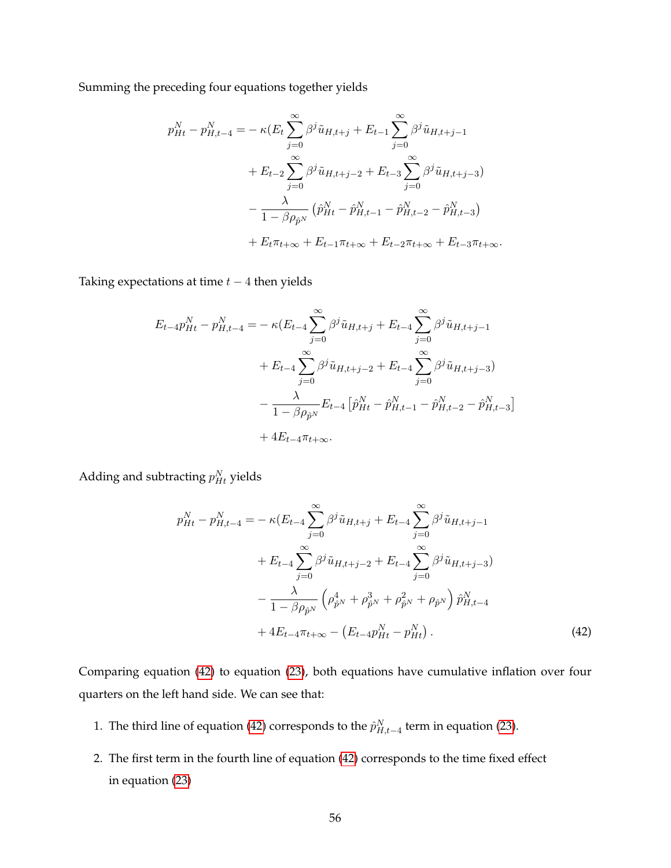Summing the preceding four equations together yields

$$
p_{Ht}^{N} - p_{H,t-4}^{N} = -\kappa (E_{t} \sum_{j=0}^{\infty} \beta^{j} \tilde{u}_{H,t+j} + E_{t-1} \sum_{j=0}^{\infty} \beta^{j} \tilde{u}_{H,t+j-1}
$$
  
+  $E_{t-2} \sum_{j=0}^{\infty} \beta^{j} \tilde{u}_{H,t+j-2} + E_{t-3} \sum_{j=0}^{\infty} \beta^{j} \tilde{u}_{H,t+j-3})$   
-  $\frac{\lambda}{1 - \beta \rho_{\hat{p}^{N}}}$   $(\hat{p}_{Ht}^{N} - \hat{p}_{H,t-1}^{N} - \hat{p}_{H,t-2}^{N} - \hat{p}_{H,t-3}^{N})$   
+  $E_{t} \pi_{t+\infty} + E_{t-1} \pi_{t+\infty} + E_{t-2} \pi_{t+\infty} + E_{t-3} \pi_{t+\infty}.$ 

Taking expectations at time  $t - 4$  then yields

$$
E_{t-4}p_{Ht}^{N} - p_{H,t-4}^{N} = -\kappa (E_{t-4} \sum_{j=0}^{\infty} \beta^{j} \tilde{u}_{H,t+j} + E_{t-4} \sum_{j=0}^{\infty} \beta^{j} \tilde{u}_{H,t+j-1} + E_{t-4} \sum_{j=0}^{\infty} \beta^{j} \tilde{u}_{H,t+j-2} + E_{t-4} \sum_{j=0}^{\infty} \beta^{j} \tilde{u}_{H,t+j-3}) - \frac{\lambda}{1 - \beta \rho_{\hat{p}^{N}}} E_{t-4} [\hat{p}_{Ht}^{N} - \hat{p}_{H,t-1}^{N} - \hat{p}_{H,t-2}^{N} - \hat{p}_{H,t-3}^{N}] + 4E_{t-4} \pi_{t+\infty}.
$$

Adding and subtracting  $p^{N}_{Ht}$  yields

<span id="page-56-0"></span>
$$
p_{Ht}^{N} - p_{H,t-4}^{N} = -\kappa (E_{t-4} \sum_{j=0}^{\infty} \beta^{j} \tilde{u}_{H,t+j} + E_{t-4} \sum_{j=0}^{\infty} \beta^{j} \tilde{u}_{H,t+j-1} + E_{t-4} \sum_{j=0}^{\infty} \beta^{j} \tilde{u}_{H,t+j-2} + E_{t-4} \sum_{j=0}^{\infty} \beta^{j} \tilde{u}_{H,t+j-3}) - \frac{\lambda}{1 - \beta \rho_{\hat{p}^{N}}} \left( \rho_{\hat{p}^{N}}^{4} + \rho_{\hat{p}^{N}}^{3} + \rho_{\hat{p}^{N}}^{2} + \rho_{\hat{p}^{N}} \right) \hat{p}_{H,t-4}^{N} + 4E_{t-4} \pi_{t+\infty} - \left( E_{t-4} p_{Ht}^{N} - p_{Ht}^{N} \right).
$$
\n(42)

Comparing equation [\(42\)](#page-56-0) to equation [\(23\)](#page-27-2), both equations have cumulative inflation over four quarters on the left hand side. We can see that:

- 1. The third line of equation [\(42\)](#page-56-0) corresponds to the  $\hat{p}^N_{H,t-4}$  term in equation [\(23\)](#page-27-2).
- 2. The first term in the fourth line of equation [\(42\)](#page-56-0) corresponds to the time fixed effect in equation [\(23\)](#page-27-2)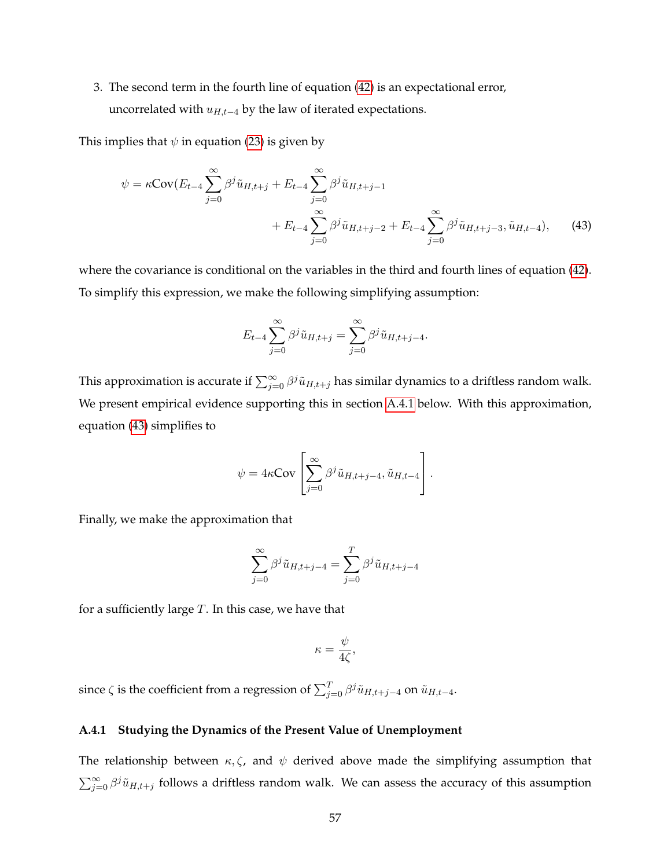3. The second term in the fourth line of equation [\(42\)](#page-56-0) is an expectational error, uncorrelated with  $u_{H,t-4}$  by the law of iterated expectations.

This implies that  $\psi$  in equation [\(23\)](#page-27-2) is given by

$$
\psi = \kappa \text{Cov}(E_{t-4} \sum_{j=0}^{\infty} \beta^j \tilde{u}_{H,t+j} + E_{t-4} \sum_{j=0}^{\infty} \beta^j \tilde{u}_{H,t+j-1} + E_{t-4} \sum_{j=0}^{\infty} \beta^j \tilde{u}_{H,t+j-2} + E_{t-4} \sum_{j=0}^{\infty} \beta^j \tilde{u}_{H,t+j-3}, \tilde{u}_{H,t-4}), \quad (43)
$$

where the covariance is conditional on the variables in the third and fourth lines of equation [\(42\)](#page-56-0). To simplify this expression, we make the following simplifying assumption:

<span id="page-57-1"></span>
$$
E_{t-4} \sum_{j=0}^{\infty} \beta^j \tilde{u}_{H,t+j} = \sum_{j=0}^{\infty} \beta^j \tilde{u}_{H,t+j-4}.
$$

This approximation is accurate if  $\sum_{j=0}^{\infty}\beta^j\tilde{u}_{H,t+j}$  has similar dynamics to a driftless random walk. We present empirical evidence supporting this in section [A.4.1](#page-57-0) below. With this approximation, equation [\(43\)](#page-57-1) simplifies to

$$
\psi = 4\kappa \text{Cov}\left[\sum_{j=0}^{\infty} \beta^j \tilde{u}_{H,t+j-4}, \tilde{u}_{H,t-4}\right].
$$

Finally, we make the approximation that

$$
\sum_{j=0}^{\infty} \beta^j \tilde{u}_{H,t+j-4} = \sum_{j=0}^{T} \beta^j \tilde{u}_{H,t+j-4}
$$

for a sufficiently large  $T$ . In this case, we have that

$$
\kappa = \frac{\psi}{4\zeta},
$$

since  $\zeta$  is the coefficient from a regression of  $\sum_{j=0}^{T} \beta^j \tilde{u}_{H,t+j-4}$  on  $\tilde{u}_{H,t-4}$ .

## <span id="page-57-0"></span>**A.4.1 Studying the Dynamics of the Present Value of Unemployment**

The relationship between  $\kappa$ ,  $\zeta$ , and  $\psi$  derived above made the simplifying assumption that  $\sum_{j=0}^{\infty} \beta^j \tilde{u}_{H,t+j}$  follows a driftless random walk. We can assess the accuracy of this assumption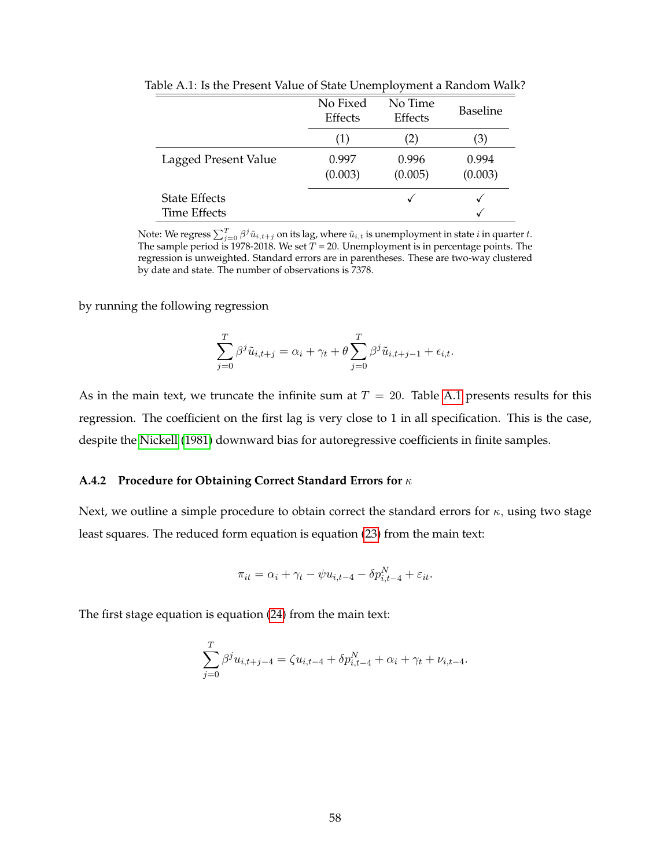|                                             | No Fixed<br>Effects | No Time<br>Effects | <b>Baseline</b>  |
|---------------------------------------------|---------------------|--------------------|------------------|
|                                             | $\left( 1\right)$   | (2)                | (3)              |
| Lagged Present Value                        | 0.997<br>(0.003)    | 0.996<br>(0.005)   | 0.994<br>(0.003) |
| <b>State Effects</b><br><b>Time Effects</b> |                     |                    |                  |

<span id="page-58-0"></span>Table A.1: Is the Present Value of State Unemployment a Random Walk?

Note: We regress  $\sum_{j=0}^T \beta^j \tilde{u}_{i,t+j}$  on its lag, where  $\tilde{u}_{i,t}$  is unemployment in state  $i$  in quarter  $t.$ The sample period is 1978-2018. We set  $T = 20$ . Unemployment is in percentage points. The regression is unweighted. Standard errors are in parentheses. These are two-way clustered by date and state. The number of observations is 7378.

by running the following regression

$$
\sum_{j=0}^{T} \beta^{j} \tilde{u}_{i,t+j} = \alpha_{i} + \gamma_{t} + \theta \sum_{j=0}^{T} \beta^{j} \tilde{u}_{i,t+j-1} + \epsilon_{i,t}.
$$

As in the main text, we truncate the infinite sum at  $T = 20$ . Table [A.1](#page-58-0) presents results for this regression. The coefficient on the first lag is very close to 1 in all specification. This is the case, despite the [Nickell](#page-69-18) [\(1981\)](#page-69-18) downward bias for autoregressive coefficients in finite samples.

#### **A.4.2 Procedure for Obtaining Correct Standard Errors for** κ

Next, we outline a simple procedure to obtain correct the standard errors for  $\kappa$ , using two stage least squares. The reduced form equation is equation [\(23\)](#page-27-2) from the main text:

$$
\pi_{it} = \alpha_i + \gamma_t - \psi u_{i,t-4} - \delta p_{i,t-4}^N + \varepsilon_{it}.
$$

The first stage equation is equation [\(24\)](#page-28-1) from the main text:

$$
\sum_{j=0}^{T} \beta^{j} u_{i,t+j-4} = \zeta u_{i,t-4} + \delta p_{i,t-4}^{N} + \alpha_{i} + \gamma_{t} + \nu_{i,t-4}.
$$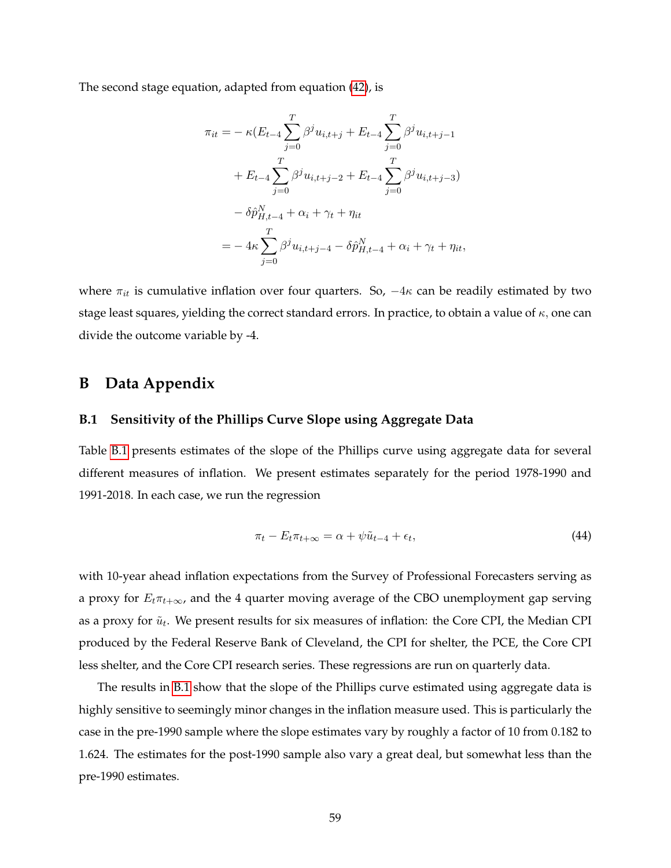The second stage equation, adapted from equation [\(42\)](#page-56-0), is

$$
\pi_{it} = -\kappa (E_{t-4} \sum_{j=0}^{T} \beta^{j} u_{i,t+j} + E_{t-4} \sum_{j=0}^{T} \beta^{j} u_{i,t+j-1} \n+ E_{t-4} \sum_{j=0}^{T} \beta^{j} u_{i,t+j-2} + E_{t-4} \sum_{j=0}^{T} \beta^{j} u_{i,t+j-3}) \n- \delta \hat{p}_{H,t-4}^{N} + \alpha_{i} + \gamma_{t} + \eta_{it} \n= -4\kappa \sum_{j=0}^{T} \beta^{j} u_{i,t+j-4} - \delta \hat{p}_{H,t-4}^{N} + \alpha_{i} + \gamma_{t} + \eta_{it},
$$

where  $\pi_{it}$  is cumulative inflation over four quarters. So,  $-4\kappa$  can be readily estimated by two stage least squares, yielding the correct standard errors. In practice, to obtain a value of  $\kappa$ , one can divide the outcome variable by -4.

# **B Data Appendix**

#### <span id="page-59-0"></span>**B.1 Sensitivity of the Phillips Curve Slope using Aggregate Data**

Table [B.1](#page-60-1) presents estimates of the slope of the Phillips curve using aggregate data for several different measures of inflation. We present estimates separately for the period 1978-1990 and 1991-2018. In each case, we run the regression

$$
\pi_t - E_t \pi_{t+\infty} = \alpha + \psi \tilde{u}_{t-4} + \epsilon_t, \tag{44}
$$

with 10-year ahead inflation expectations from the Survey of Professional Forecasters serving as a proxy for  $E_t \pi_{t+\infty}$ , and the 4 quarter moving average of the CBO unemployment gap serving as a proxy for  $\tilde{u}_t$ . We present results for six measures of inflation: the Core CPI, the Median CPI produced by the Federal Reserve Bank of Cleveland, the CPI for shelter, the PCE, the Core CPI less shelter, and the Core CPI research series. These regressions are run on quarterly data.

The results in [B.1](#page-60-1) show that the slope of the Phillips curve estimated using aggregate data is highly sensitive to seemingly minor changes in the inflation measure used. This is particularly the case in the pre-1990 sample where the slope estimates vary by roughly a factor of 10 from 0.182 to 1.624. The estimates for the post-1990 sample also vary a great deal, but somewhat less than the pre-1990 estimates.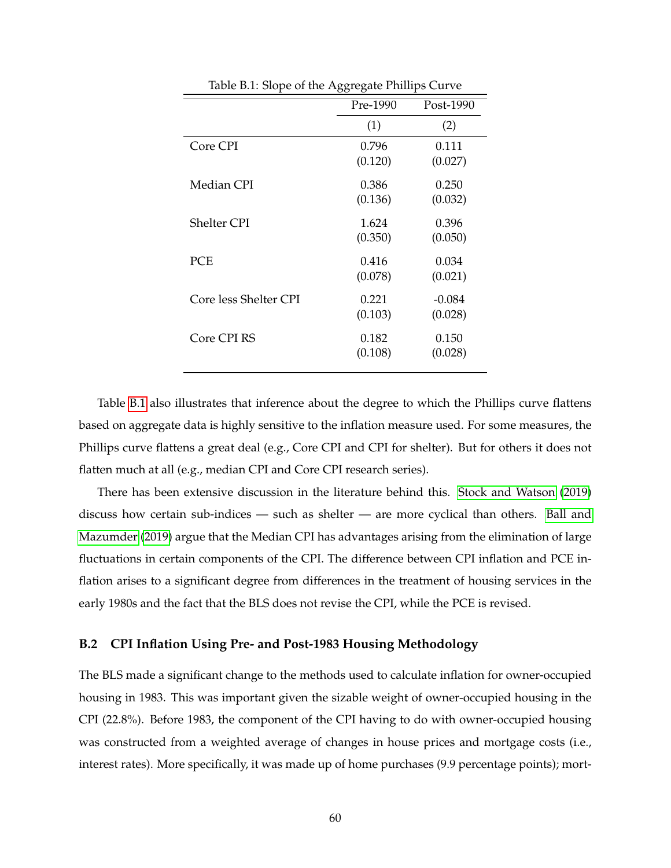<span id="page-60-1"></span>

| Ŧ.                    | ◡◡<br>ັ  | л.        |
|-----------------------|----------|-----------|
|                       | Pre-1990 | Post-1990 |
|                       | (1)      | (2)       |
| Core CPI              | 0.796    | 0.111     |
|                       | (0.120)  | (0.027)   |
| Median CPI            | 0.386    | 0.250     |
|                       | (0.136)  | (0.032)   |
| <b>Shelter CPI</b>    | 1.624    | 0.396     |
|                       | (0.350)  | (0.050)   |
| PCE                   | 0.416    | 0.034     |
|                       | (0.078)  | (0.021)   |
| Core less Shelter CPI | 0.221    | $-0.084$  |
|                       | (0.103)  | (0.028)   |
| Core CPI RS           | 0.182    | 0.150     |
|                       | (0.108)  | (0.028)   |
|                       |          |           |

Table B.1: Slope of the Aggregate Phillips Curve

Table [B.1](#page-60-1) also illustrates that inference about the degree to which the Phillips curve flattens based on aggregate data is highly sensitive to the inflation measure used. For some measures, the Phillips curve flattens a great deal (e.g., Core CPI and CPI for shelter). But for others it does not flatten much at all (e.g., median CPI and Core CPI research series).

There has been extensive discussion in the literature behind this. [Stock and Watson](#page-70-0) [\(2019\)](#page-70-0) discuss how certain sub-indices — such as shelter — are more cyclical than others. [Ball and](#page-67-6) [Mazumder](#page-67-6) [\(2019\)](#page-67-6) argue that the Median CPI has advantages arising from the elimination of large fluctuations in certain components of the CPI. The difference between CPI inflation and PCE inflation arises to a significant degree from differences in the treatment of housing services in the early 1980s and the fact that the BLS does not revise the CPI, while the PCE is revised.

## <span id="page-60-0"></span>**B.2 CPI Inflation Using Pre- and Post-1983 Housing Methodology**

The BLS made a significant change to the methods used to calculate inflation for owner-occupied housing in 1983. This was important given the sizable weight of owner-occupied housing in the CPI (22.8%). Before 1983, the component of the CPI having to do with owner-occupied housing was constructed from a weighted average of changes in house prices and mortgage costs (i.e., interest rates). More specifically, it was made up of home purchases (9.9 percentage points); mort-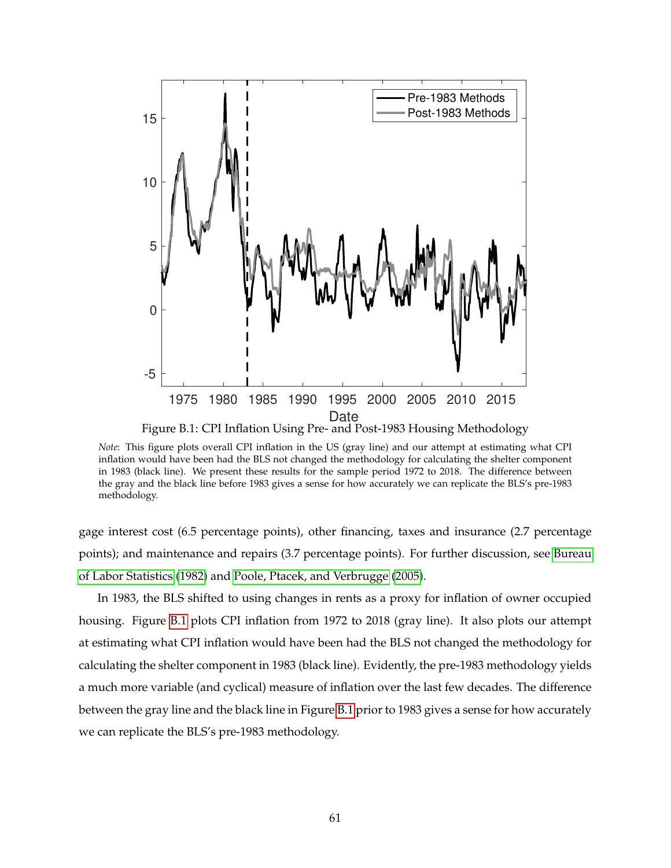<span id="page-61-0"></span>

*Note*: This figure plots overall CPI inflation in the US (gray line) and our attempt at estimating what CPI inflation would have been had the BLS not changed the methodology for calculating the shelter component in 1983 (black line). We present these results for the sample period 1972 to 2018. The difference between the gray and the black line before 1983 gives a sense for how accurately we can replicate the BLS's pre-1983 methodology.

gage interest cost (6.5 percentage points), other financing, taxes and insurance (2.7 percentage points); and maintenance and repairs (3.7 percentage points). For further discussion, see [Bureau](#page-67-17) [of Labor Statistics](#page-67-17) [\(1982\)](#page-67-17) and [Poole, Ptacek, and Verbrugge](#page-69-19) [\(2005\)](#page-69-19).

In 1983, the BLS shifted to using changes in rents as a proxy for inflation of owner occupied housing. Figure [B.1](#page-61-0) plots CPI inflation from 1972 to 2018 (gray line). It also plots our attempt at estimating what CPI inflation would have been had the BLS not changed the methodology for calculating the shelter component in 1983 (black line). Evidently, the pre-1983 methodology yields a much more variable (and cyclical) measure of inflation over the last few decades. The difference between the gray line and the black line in Figure [B.1](#page-61-0) prior to 1983 gives a sense for how accurately we can replicate the BLS's pre-1983 methodology.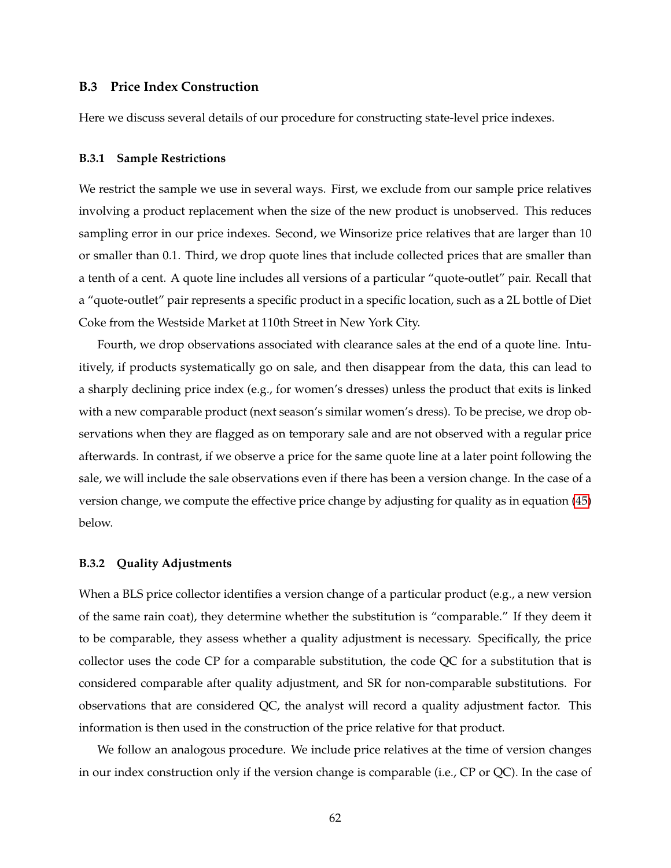#### <span id="page-62-0"></span>**B.3 Price Index Construction**

Here we discuss several details of our procedure for constructing state-level price indexes.

#### **B.3.1 Sample Restrictions**

We restrict the sample we use in several ways. First, we exclude from our sample price relatives involving a product replacement when the size of the new product is unobserved. This reduces sampling error in our price indexes. Second, we Winsorize price relatives that are larger than 10 or smaller than 0.1. Third, we drop quote lines that include collected prices that are smaller than a tenth of a cent. A quote line includes all versions of a particular "quote-outlet" pair. Recall that a "quote-outlet" pair represents a specific product in a specific location, such as a 2L bottle of Diet Coke from the Westside Market at 110th Street in New York City.

Fourth, we drop observations associated with clearance sales at the end of a quote line. Intuitively, if products systematically go on sale, and then disappear from the data, this can lead to a sharply declining price index (e.g., for women's dresses) unless the product that exits is linked with a new comparable product (next season's similar women's dress). To be precise, we drop observations when they are flagged as on temporary sale and are not observed with a regular price afterwards. In contrast, if we observe a price for the same quote line at a later point following the sale, we will include the sale observations even if there has been a version change. In the case of a version change, we compute the effective price change by adjusting for quality as in equation [\(45\)](#page-63-1) below.

#### **B.3.2 Quality Adjustments**

When a BLS price collector identifies a version change of a particular product (e.g., a new version of the same rain coat), they determine whether the substitution is "comparable." If they deem it to be comparable, they assess whether a quality adjustment is necessary. Specifically, the price collector uses the code CP for a comparable substitution, the code QC for a substitution that is considered comparable after quality adjustment, and SR for non-comparable substitutions. For observations that are considered QC, the analyst will record a quality adjustment factor. This information is then used in the construction of the price relative for that product.

We follow an analogous procedure. We include price relatives at the time of version changes in our index construction only if the version change is comparable (i.e., CP or QC). In the case of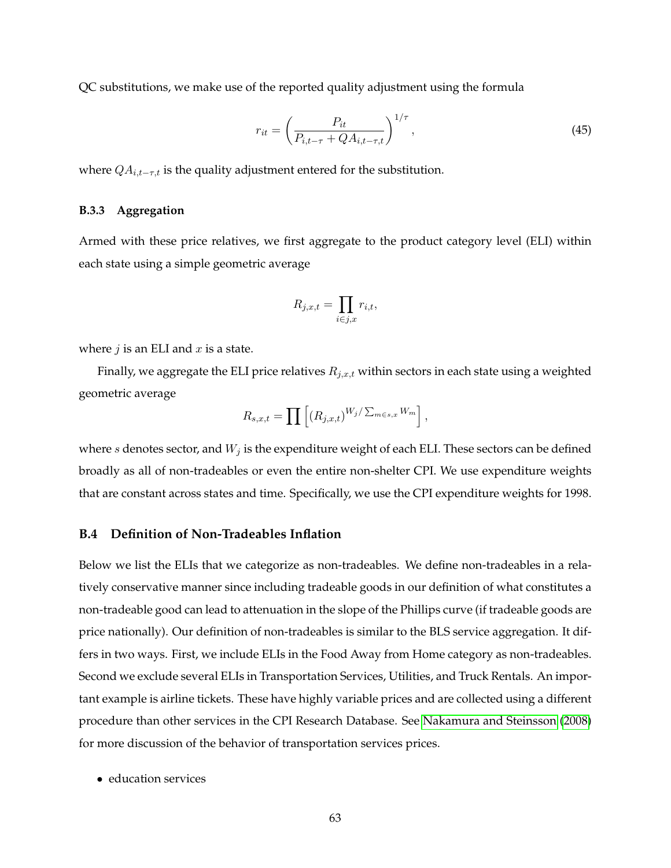QC substitutions, we make use of the reported quality adjustment using the formula

<span id="page-63-1"></span>
$$
r_{it} = \left(\frac{P_{it}}{P_{i,t-\tau} + QA_{i,t-\tau,t}}\right)^{1/\tau},
$$
\n(45)

where  $QA_{i,t-\tau,t}$  is the quality adjustment entered for the substitution.

#### **B.3.3 Aggregation**

Armed with these price relatives, we first aggregate to the product category level (ELI) within each state using a simple geometric average

$$
R_{j,x,t} = \prod_{i \in j,x} r_{i,t},
$$

where  $j$  is an ELI and  $x$  is a state.

Finally, we aggregate the ELI price relatives  $R_{j,x,t}$  within sectors in each state using a weighted geometric average

$$
R_{s,x,t} = \prod \left[ (R_{j,x,t})^{W_j/\sum_{m \in s,x} W_m} \right],
$$

where  $s$  denotes sector, and  $W_j$  is the expenditure weight of each ELI. These sectors can be defined broadly as all of non-tradeables or even the entire non-shelter CPI. We use expenditure weights that are constant across states and time. Specifically, we use the CPI expenditure weights for 1998.

#### <span id="page-63-0"></span>**B.4 Definition of Non-Tradeables Inflation**

Below we list the ELIs that we categorize as non-tradeables. We define non-tradeables in a relatively conservative manner since including tradeable goods in our definition of what constitutes a non-tradeable good can lead to attenuation in the slope of the Phillips curve (if tradeable goods are price nationally). Our definition of non-tradeables is similar to the BLS service aggregation. It differs in two ways. First, we include ELIs in the Food Away from Home category as non-tradeables. Second we exclude several ELIs in Transportation Services, Utilities, and Truck Rentals. An important example is airline tickets. These have highly variable prices and are collected using a different procedure than other services in the CPI Research Database. See [Nakamura and Steinsson](#page-69-12) [\(2008\)](#page-69-12) for more discussion of the behavior of transportation services prices.

• education services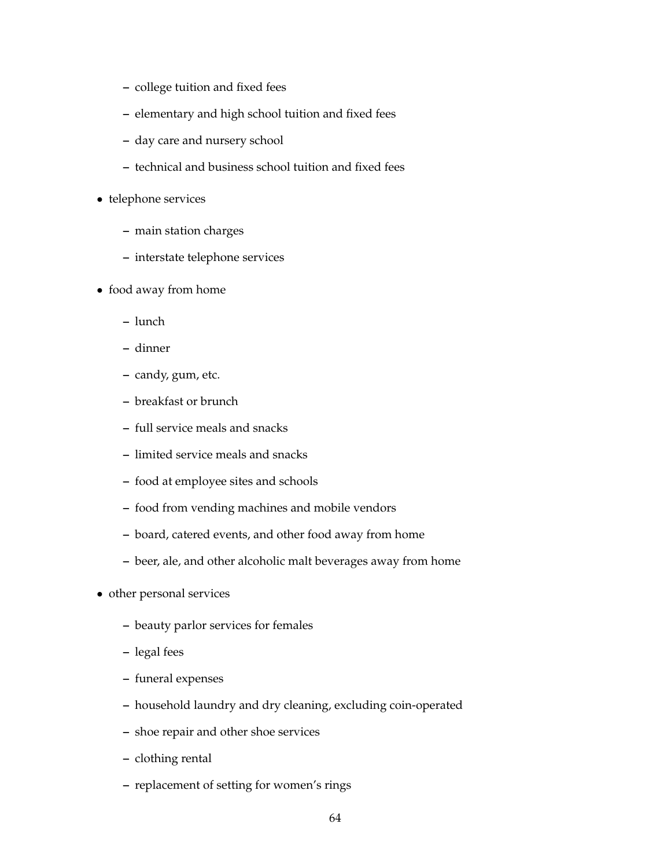- **–** college tuition and fixed fees
- **–** elementary and high school tuition and fixed fees
- **–** day care and nursery school
- **–** technical and business school tuition and fixed fees
- telephone services
	- **–** main station charges
	- **–** interstate telephone services
- food away from home
	- **–** lunch
	- **–** dinner
	- **–** candy, gum, etc.
	- **–** breakfast or brunch
	- **–** full service meals and snacks
	- **–** limited service meals and snacks
	- **–** food at employee sites and schools
	- **–** food from vending machines and mobile vendors
	- **–** board, catered events, and other food away from home
	- **–** beer, ale, and other alcoholic malt beverages away from home
- other personal services
	- **–** beauty parlor services for females
	- **–** legal fees
	- **–** funeral expenses
	- **–** household laundry and dry cleaning, excluding coin-operated
	- **–** shoe repair and other shoe services
	- **–** clothing rental
	- **–** replacement of setting for women's rings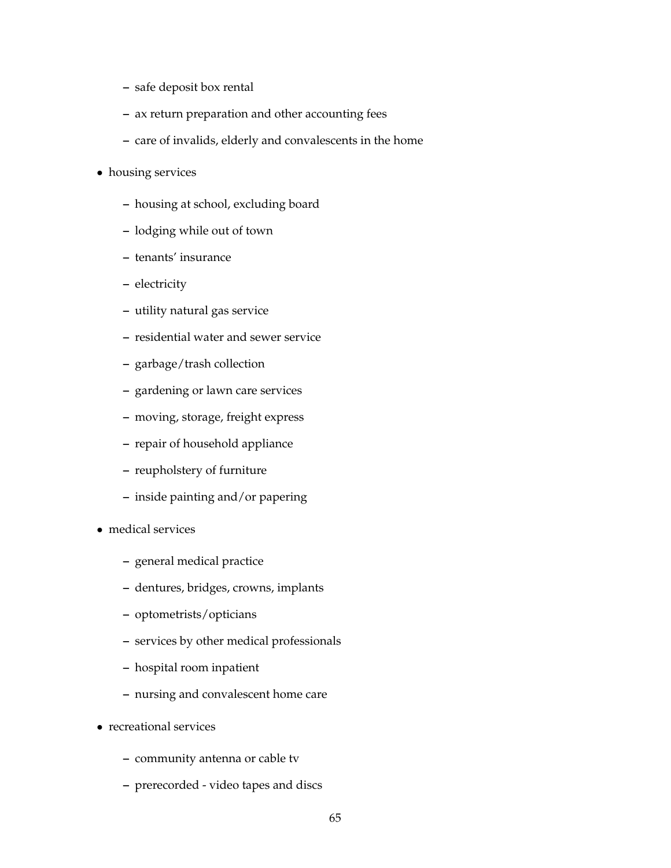- **–** safe deposit box rental
- **–** ax return preparation and other accounting fees
- **–** care of invalids, elderly and convalescents in the home
- housing services
	- **–** housing at school, excluding board
	- **–** lodging while out of town
	- **–** tenants' insurance
	- **–** electricity
	- **–** utility natural gas service
	- **–** residential water and sewer service
	- **–** garbage/trash collection
	- **–** gardening or lawn care services
	- **–** moving, storage, freight express
	- **–** repair of household appliance
	- **–** reupholstery of furniture
	- **–** inside painting and/or papering
- medical services
	- **–** general medical practice
	- **–** dentures, bridges, crowns, implants
	- **–** optometrists/opticians
	- **–** services by other medical professionals
	- **–** hospital room inpatient
	- **–** nursing and convalescent home care
- recreational services
	- **–** community antenna or cable tv
	- **–** prerecorded video tapes and discs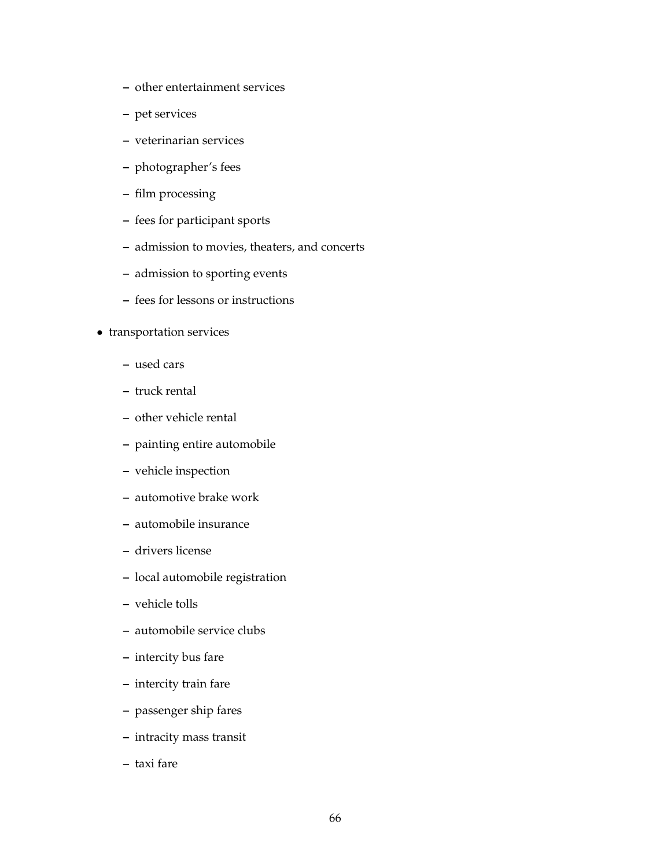- **–** other entertainment services
- **–** pet services
- **–** veterinarian services
- **–** photographer's fees
- **–** film processing
- **–** fees for participant sports
- **–** admission to movies, theaters, and concerts
- **–** admission to sporting events
- **–** fees for lessons or instructions
- transportation services
	- **–** used cars
	- **–** truck rental
	- **–** other vehicle rental
	- **–** painting entire automobile
	- **–** vehicle inspection
	- **–** automotive brake work
	- **–** automobile insurance
	- **–** drivers license
	- **–** local automobile registration
	- **–** vehicle tolls
	- **–** automobile service clubs
	- **–** intercity bus fare
	- **–** intercity train fare
	- **–** passenger ship fares
	- **–** intracity mass transit
	- **–** taxi fare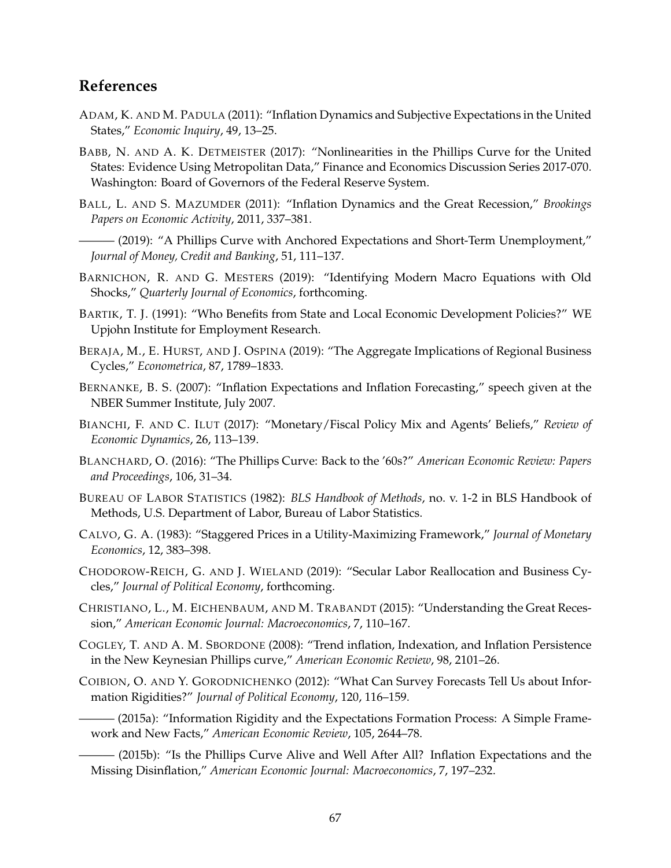# **References**

- <span id="page-67-14"></span>ADAM, K. AND M. PADULA (2011): "Inflation Dynamics and Subjective Expectations in the United States," *Economic Inquiry*, 49, 13–25.
- <span id="page-67-4"></span>BABB, N. AND A. K. DETMEISTER (2017): "Nonlinearities in the Phillips Curve for the United States: Evidence Using Metropolitan Data," Finance and Economics Discussion Series 2017-070. Washington: Board of Governors of the Federal Reserve System.
- <span id="page-67-0"></span>BALL, L. AND S. MAZUMDER (2011): "Inflation Dynamics and the Great Recession," *Brookings Papers on Economic Activity*, 2011, 337–381.
- <span id="page-67-6"></span>— (2019): "A Phillips Curve with Anchored Expectations and Short-Term Unemployment," *Journal of Money, Credit and Banking*, 51, 111–137.
- <span id="page-67-8"></span>BARNICHON, R. AND G. MESTERS (2019): "Identifying Modern Macro Equations with Old Shocks," *Quarterly Journal of Economics*, forthcoming.
- <span id="page-67-15"></span>BARTIK, T. J. (1991): "Who Benefits from State and Local Economic Development Policies?" WE Upjohn Institute for Employment Research.
- <span id="page-67-5"></span>BERAJA, M., E. HURST, AND J. OSPINA (2019): "The Aggregate Implications of Regional Business Cycles," *Econometrica*, 87, 1789–1833.
- <span id="page-67-2"></span>BERNANKE, B. S. (2007): "Inflation Expectations and Inflation Forecasting," speech given at the NBER Summer Institute, July 2007.
- <span id="page-67-3"></span>BIANCHI, F. AND C. ILUT (2017): "Monetary/Fiscal Policy Mix and Agents' Beliefs," *Review of Economic Dynamics*, 26, 113–139.
- <span id="page-67-1"></span>BLANCHARD, O. (2016): "The Phillips Curve: Back to the '60s?" *American Economic Review: Papers and Proceedings*, 106, 31–34.
- <span id="page-67-17"></span>BUREAU OF LABOR STATISTICS (1982): *BLS Handbook of Methods*, no. v. 1-2 in BLS Handbook of Methods, U.S. Department of Labor, Bureau of Labor Statistics.
- <span id="page-67-10"></span>CALVO, G. A. (1983): "Staggered Prices in a Utility-Maximizing Framework," *Journal of Monetary Economics*, 12, 383–398.
- <span id="page-67-16"></span>CHODOROW-REICH, G. AND J. WIELAND (2019): "Secular Labor Reallocation and Business Cycles," *Journal of Political Economy*, forthcoming.
- <span id="page-67-9"></span>CHRISTIANO, L., M. EICHENBAUM, AND M. TRABANDT (2015): "Understanding the Great Recession," *American Economic Journal: Macroeconomics*, 7, 110–167.
- <span id="page-67-11"></span>COGLEY, T. AND A. M. SBORDONE (2008): "Trend inflation, Indexation, and Inflation Persistence in the New Keynesian Phillips curve," *American Economic Review*, 98, 2101–26.
- <span id="page-67-13"></span><span id="page-67-12"></span>COIBION, O. AND Y. GORODNICHENKO (2012): "What Can Survey Forecasts Tell Us about Information Rigidities?" *Journal of Political Economy*, 120, 116–159.
	- ——— (2015a): "Information Rigidity and the Expectations Formation Process: A Simple Framework and New Facts," *American Economic Review*, 105, 2644–78.

<span id="page-67-7"></span>- (2015b): "Is the Phillips Curve Alive and Well After All? Inflation Expectations and the Missing Disinflation," *American Economic Journal: Macroeconomics*, 7, 197–232.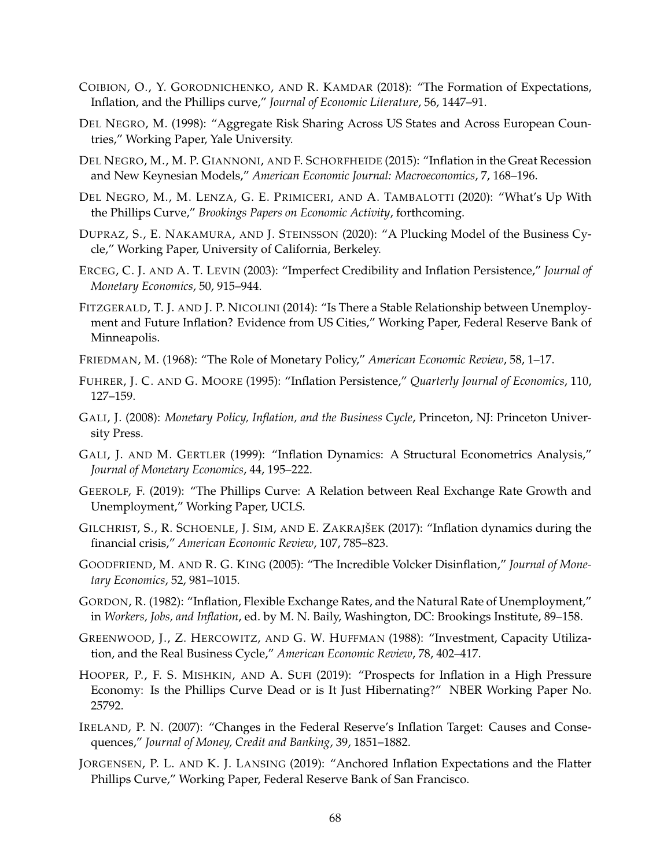- <span id="page-68-15"></span>COIBION, O., Y. GORODNICHENKO, AND R. KAMDAR (2018): "The Formation of Expectations, Inflation, and the Phillips curve," *Journal of Economic Literature*, 56, 1447–91.
- <span id="page-68-16"></span>DEL NEGRO, M. (1998): "Aggregate Risk Sharing Across US States and Across European Countries," Working Paper, Yale University.
- <span id="page-68-11"></span>DEL NEGRO, M., M. P. GIANNONI, AND F. SCHORFHEIDE (2015): "Inflation in the Great Recession and New Keynesian Models," *American Economic Journal: Macroeconomics*, 7, 168–196.
- <span id="page-68-10"></span>DEL NEGRO, M., M. LENZA, G. E. PRIMICERI, AND A. TAMBALOTTI (2020): "What's Up With the Phillips Curve," *Brookings Papers on Economic Activity*, forthcoming.
- <span id="page-68-17"></span>DUPRAZ, S., E. NAKAMURA, AND J. STEINSSON (2020): "A Plucking Model of the Business Cycle," Working Paper, University of California, Berkeley.
- <span id="page-68-0"></span>ERCEG, C. J. AND A. T. LEVIN (2003): "Imperfect Credibility and Inflation Persistence," *Journal of Monetary Economics*, 50, 915–944.
- <span id="page-68-2"></span>FITZGERALD, T. J. AND J. P. NICOLINI (2014): "Is There a Stable Relationship between Unemployment and Future Inflation? Evidence from US Cities," Working Paper, Federal Reserve Bank of Minneapolis.
- <span id="page-68-5"></span>FRIEDMAN, M. (1968): "The Role of Monetary Policy," *American Economic Review*, 58, 1–17.
- <span id="page-68-7"></span>FUHRER, J. C. AND G. MOORE (1995): "Inflation Persistence," *Quarterly Journal of Economics*, 110, 127–159.
- <span id="page-68-18"></span>GALI, J. (2008): *Monetary Policy, Inflation, and the Business Cycle*, Princeton, NJ: Princeton University Press.
- <span id="page-68-8"></span>GALI, J. AND M. GERTLER (1999): "Inflation Dynamics: A Structural Econometrics Analysis," *Journal of Monetary Economics*, 44, 195–222.
- <span id="page-68-9"></span>GEEROLF, F. (2019): "The Phillips Curve: A Relation between Real Exchange Rate Growth and Unemployment," Working Paper, UCLS.
- <span id="page-68-12"></span>GILCHRIST, S., R. SCHOENLE, J. SIM, AND E. ZAKRAJŠEK (2017): "Inflation dynamics during the financial crisis," *American Economic Review*, 107, 785–823.
- <span id="page-68-1"></span>GOODFRIEND, M. AND R. G. KING (2005): "The Incredible Volcker Disinflation," *Journal of Monetary Economics*, 52, 981–1015.
- <span id="page-68-6"></span>GORDON, R. (1982): "Inflation, Flexible Exchange Rates, and the Natural Rate of Unemployment," in *Workers, Jobs, and Inflation*, ed. by M. N. Baily, Washington, DC: Brookings Institute, 89–158.
- <span id="page-68-13"></span>GREENWOOD, J., Z. HERCOWITZ, AND G. W. HUFFMAN (1988): "Investment, Capacity Utilization, and the Real Business Cycle," *American Economic Review*, 78, 402–417.
- <span id="page-68-3"></span>HOOPER, P., F. S. MISHKIN, AND A. SUFI (2019): "Prospects for Inflation in a High Pressure Economy: Is the Phillips Curve Dead or is It Just Hibernating?" NBER Working Paper No. 25792.
- <span id="page-68-14"></span>IRELAND, P. N. (2007): "Changes in the Federal Reserve's Inflation Target: Causes and Consequences," *Journal of Money, Credit and Banking*, 39, 1851–1882.
- <span id="page-68-4"></span>JORGENSEN, P. L. AND K. J. LANSING (2019): "Anchored Inflation Expectations and the Flatter Phillips Curve," Working Paper, Federal Reserve Bank of San Francisco.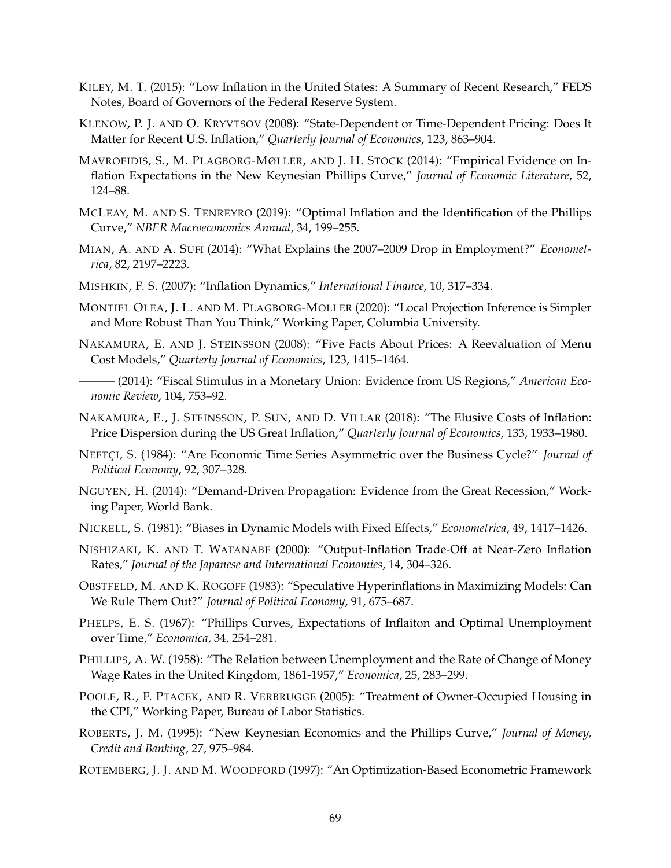- <span id="page-69-0"></span>KILEY, M. T. (2015): "Low Inflation in the United States: A Summary of Recent Research," FEDS Notes, Board of Governors of the Federal Reserve System.
- <span id="page-69-13"></span>KLENOW, P. J. AND O. KRYVTSOV (2008): "State-Dependent or Time-Dependent Pricing: Does It Matter for Recent U.S. Inflation," *Quarterly Journal of Economics*, 123, 863–904.
- <span id="page-69-2"></span>MAVROEIDIS, S., M. PLAGBORG-MØLLER, AND J. H. STOCK (2014): "Empirical Evidence on Inflation Expectations in the New Keynesian Phillips Curve," *Journal of Economic Literature*, 52, 124–88.
- <span id="page-69-3"></span>MCLEAY, M. AND S. TENREYRO (2019): "Optimal Inflation and the Identification of the Phillips Curve," *NBER Macroeconomics Annual*, 34, 199–255.
- <span id="page-69-14"></span>MIAN, A. AND A. SUFI (2014): "What Explains the 2007–2009 Drop in Employment?" *Econometrica*, 82, 2197–2223.
- <span id="page-69-1"></span>MISHKIN, F. S. (2007): "Inflation Dynamics," *International Finance*, 10, 317–334.
- <span id="page-69-16"></span>MONTIEL OLEA, J. L. AND M. PLAGBORG-MOLLER (2020): "Local Projection Inference is Simpler and More Robust Than You Think," Working Paper, Columbia University.
- <span id="page-69-12"></span>NAKAMURA, E. AND J. STEINSSON (2008): "Five Facts About Prices: A Reevaluation of Menu Cost Models," *Quarterly Journal of Economics*, 123, 1415–1464.
- <span id="page-69-10"></span>——— (2014): "Fiscal Stimulus in a Monetary Union: Evidence from US Regions," *American Economic Review*, 104, 753–92.
- <span id="page-69-11"></span>NAKAMURA, E., J. STEINSSON, P. SUN, AND D. VILLAR (2018): "The Elusive Costs of Inflation: Price Dispersion during the US Great Inflation," *Quarterly Journal of Economics*, 133, 1933–1980.
- <span id="page-69-15"></span>NEFTCI, S. (1984): "Are Economic Time Series Asymmetric over the Business Cycle?" *Journal of Political Economy*, 92, 307–328.
- <span id="page-69-5"></span>NGUYEN, H. (2014): "Demand-Driven Propagation: Evidence from the Great Recession," Working Paper, World Bank.
- <span id="page-69-18"></span>NICKELL, S. (1981): "Biases in Dynamic Models with Fixed Effects," *Econometrica*, 49, 1417–1426.
- <span id="page-69-4"></span>NISHIZAKI, K. AND T. WATANABE (2000): "Output-Inflation Trade-Off at Near-Zero Inflation Rates," *Journal of the Japanese and International Economies*, 14, 304–326.
- <span id="page-69-9"></span>OBSTFELD, M. AND K. ROGOFF (1983): "Speculative Hyperinflations in Maximizing Models: Can We Rule Them Out?" *Journal of Political Economy*, 91, 675–687.
- <span id="page-69-7"></span>PHELPS, E. S. (1967): "Phillips Curves, Expectations of Inflaiton and Optimal Unemployment over Time," *Economica*, 34, 254–281.
- <span id="page-69-6"></span>PHILLIPS, A. W. (1958): "The Relation between Unemployment and the Rate of Change of Money Wage Rates in the United Kingdom, 1861-1957," *Economica*, 25, 283–299.
- <span id="page-69-19"></span>POOLE, R., F. PTACEK, AND R. VERBRUGGE (2005): "Treatment of Owner-Occupied Housing in the CPI," Working Paper, Bureau of Labor Statistics.
- <span id="page-69-8"></span>ROBERTS, J. M. (1995): "New Keynesian Economics and the Phillips Curve," *Journal of Money, Credit and Banking*, 27, 975–984.
- <span id="page-69-17"></span>ROTEMBERG, J. J. AND M. WOODFORD (1997): "An Optimization-Based Econometric Framework